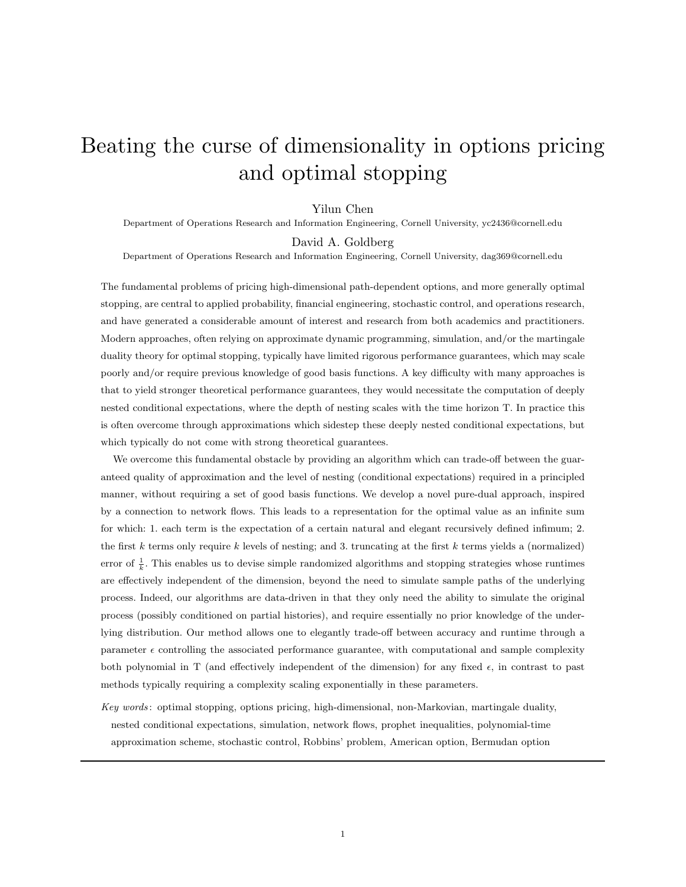# Beating the curse of dimensionality in options pricing and optimal stopping

#### Yilun Chen

Department of Operations Research and Information Engineering, Cornell University, yc2436@cornell.edu

David A. Goldberg

Department of Operations Research and Information Engineering, Cornell University, dag369@cornell.edu

The fundamental problems of pricing high-dimensional path-dependent options, and more generally optimal stopping, are central to applied probability, financial engineering, stochastic control, and operations research, and have generated a considerable amount of interest and research from both academics and practitioners. Modern approaches, often relying on approximate dynamic programming, simulation, and/or the martingale duality theory for optimal stopping, typically have limited rigorous performance guarantees, which may scale poorly and/or require previous knowledge of good basis functions. A key difficulty with many approaches is that to yield stronger theoretical performance guarantees, they would necessitate the computation of deeply nested conditional expectations, where the depth of nesting scales with the time horizon T. In practice this is often overcome through approximations which sidestep these deeply nested conditional expectations, but which typically do not come with strong theoretical guarantees.

We overcome this fundamental obstacle by providing an algorithm which can trade-off between the guaranteed quality of approximation and the level of nesting (conditional expectations) required in a principled manner, without requiring a set of good basis functions. We develop a novel pure-dual approach, inspired by a connection to network flows. This leads to a representation for the optimal value as an infinite sum for which: 1. each term is the expectation of a certain natural and elegant recursively defined infimum; 2. the first k terms only require k levels of nesting; and 3. truncating at the first k terms yields a (normalized) error of  $\frac{1}{k}$ . This enables us to devise simple randomized algorithms and stopping strategies whose runtimes are effectively independent of the dimension, beyond the need to simulate sample paths of the underlying process. Indeed, our algorithms are data-driven in that they only need the ability to simulate the original process (possibly conditioned on partial histories), and require essentially no prior knowledge of the underlying distribution. Our method allows one to elegantly trade-off between accuracy and runtime through a parameter  $\epsilon$  controlling the associated performance guarantee, with computational and sample complexity both polynomial in T (and effectively independent of the dimension) for any fixed  $\epsilon$ , in contrast to past methods typically requiring a complexity scaling exponentially in these parameters.

Key words: optimal stopping, options pricing, high-dimensional, non-Markovian, martingale duality, nested conditional expectations, simulation, network flows, prophet inequalities, polynomial-time approximation scheme, stochastic control, Robbins' problem, American option, Bermudan option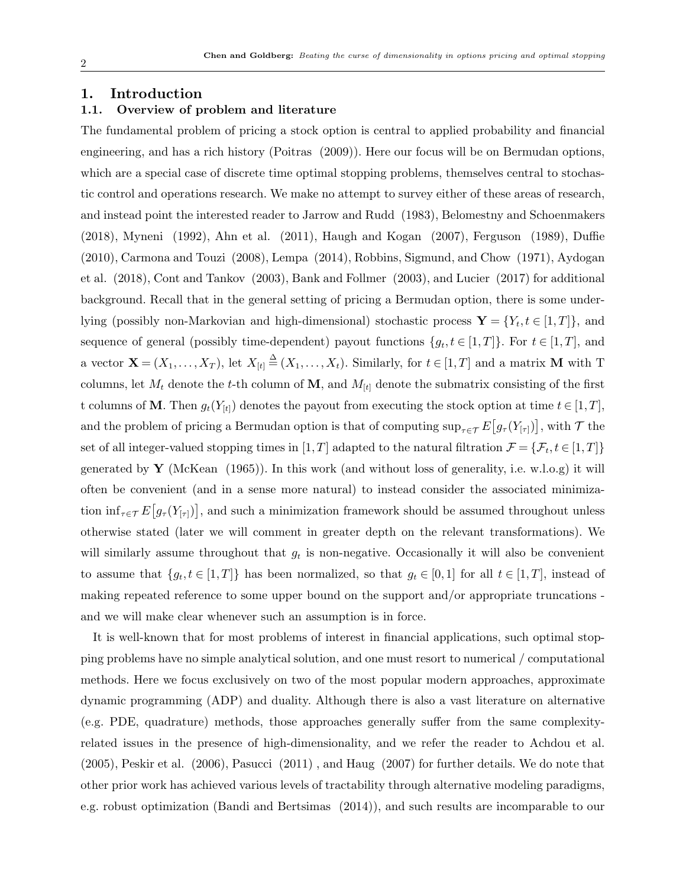# 1. Introduction

# 1.1. Overview of problem and literature

The fundamental problem of pricing a stock option is central to applied probability and financial engineering, and has a rich history (Poitras (2009)). Here our focus will be on Bermudan options, which are a special case of discrete time optimal stopping problems, themselves central to stochastic control and operations research. We make no attempt to survey either of these areas of research, and instead point the interested reader to Jarrow and Rudd (1983), Belomestny and Schoenmakers (2018), Myneni (1992), Ahn et al. (2011), Haugh and Kogan (2007), Ferguson (1989), Duffie (2010), Carmona and Touzi (2008), Lempa (2014), Robbins, Sigmund, and Chow (1971), Aydogan et al. (2018), Cont and Tankov (2003), Bank and Follmer (2003), and Lucier (2017) for additional background. Recall that in the general setting of pricing a Bermudan option, there is some underlying (possibly non-Markovian and high-dimensional) stochastic process  $\mathbf{Y} = \{Y_t, t \in [1, T]\}$ , and sequence of general (possibly time-dependent) payout functions  $\{g_t, t \in [1,T]\}$ . For  $t \in [1,T]$ , and a vector  $\mathbf{X} = (X_1, \ldots, X_T)$ , let  $X_{[t]} \stackrel{\Delta}{=} (X_1, \ldots, X_t)$ . Similarly, for  $t \in [1, T]$  and a matrix M with T columns, let  $M_t$  denote the t-th column of **M**, and  $M_{[t]}$  denote the submatrix consisting of the first t columns of M. Then  $g_t(Y_{[t]})$  denotes the payout from executing the stock option at time  $t \in [1, T]$ , and the problem of pricing a Bermudan option is that of computing  $\sup_{\tau \in \mathcal{T}} E[g_\tau(Y_{[\tau)})]$ , with  $\mathcal{T}$  the set of all integer-valued stopping times in  $[1, T]$  adapted to the natural filtration  $\mathcal{F} = \{\mathcal{F}_t, t \in [1, T]\}$ generated by **Y** (McKean (1965)). In this work (and without loss of generality, i.e. w.l.o.g) it will often be convenient (and in a sense more natural) to instead consider the associated minimization  $\inf_{\tau \in \mathcal{T}} E[g_\tau(Y_{[\tau]})],$  and such a minimization framework should be assumed throughout unless otherwise stated (later we will comment in greater depth on the relevant transformations). We will similarly assume throughout that  $g_t$  is non-negative. Occasionally it will also be convenient to assume that  $\{g_t, t \in [1,T]\}$  has been normalized, so that  $g_t \in [0,1]$  for all  $t \in [1,T]$ , instead of making repeated reference to some upper bound on the support and/or appropriate truncations and we will make clear whenever such an assumption is in force.

It is well-known that for most problems of interest in financial applications, such optimal stopping problems have no simple analytical solution, and one must resort to numerical / computational methods. Here we focus exclusively on two of the most popular modern approaches, approximate dynamic programming (ADP) and duality. Although there is also a vast literature on alternative (e.g. PDE, quadrature) methods, those approaches generally suffer from the same complexityrelated issues in the presence of high-dimensionality, and we refer the reader to Achdou et al. (2005), Peskir et al. (2006), Pasucci (2011) , and Haug (2007) for further details. We do note that other prior work has achieved various levels of tractability through alternative modeling paradigms, e.g. robust optimization (Bandi and Bertsimas (2014)), and such results are incomparable to our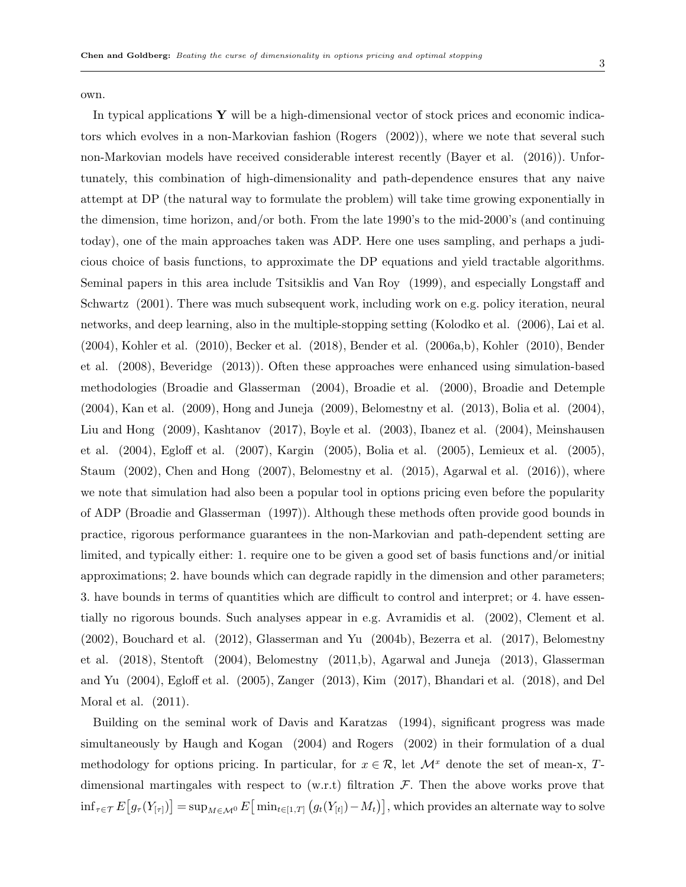own.

In typical applications  $\bf{Y}$  will be a high-dimensional vector of stock prices and economic indicators which evolves in a non-Markovian fashion (Rogers (2002)), where we note that several such non-Markovian models have received considerable interest recently (Bayer et al. (2016)). Unfortunately, this combination of high-dimensionality and path-dependence ensures that any naive attempt at DP (the natural way to formulate the problem) will take time growing exponentially in the dimension, time horizon, and/or both. From the late 1990's to the mid-2000's (and continuing today), one of the main approaches taken was ADP. Here one uses sampling, and perhaps a judicious choice of basis functions, to approximate the DP equations and yield tractable algorithms. Seminal papers in this area include Tsitsiklis and Van Roy (1999), and especially Longstaff and Schwartz (2001). There was much subsequent work, including work on e.g. policy iteration, neural networks, and deep learning, also in the multiple-stopping setting (Kolodko et al. (2006), Lai et al. (2004), Kohler et al. (2010), Becker et al. (2018), Bender et al. (2006a,b), Kohler (2010), Bender et al. (2008), Beveridge (2013)). Often these approaches were enhanced using simulation-based methodologies (Broadie and Glasserman (2004), Broadie et al. (2000), Broadie and Detemple (2004), Kan et al. (2009), Hong and Juneja (2009), Belomestny et al. (2013), Bolia et al. (2004), Liu and Hong (2009), Kashtanov (2017), Boyle et al. (2003), Ibanez et al. (2004), Meinshausen et al. (2004), Egloff et al. (2007), Kargin (2005), Bolia et al. (2005), Lemieux et al. (2005), Staum (2002), Chen and Hong (2007), Belomestny et al. (2015), Agarwal et al. (2016)), where we note that simulation had also been a popular tool in options pricing even before the popularity of ADP (Broadie and Glasserman (1997)). Although these methods often provide good bounds in practice, rigorous performance guarantees in the non-Markovian and path-dependent setting are limited, and typically either: 1. require one to be given a good set of basis functions and/or initial approximations; 2. have bounds which can degrade rapidly in the dimension and other parameters; 3. have bounds in terms of quantities which are difficult to control and interpret; or 4. have essentially no rigorous bounds. Such analyses appear in e.g. Avramidis et al. (2002), Clement et al. (2002), Bouchard et al. (2012), Glasserman and Yu (2004b), Bezerra et al. (2017), Belomestny et al. (2018), Stentoft (2004), Belomestny (2011,b), Agarwal and Juneja (2013), Glasserman and Yu (2004), Egloff et al. (2005), Zanger (2013), Kim (2017), Bhandari et al. (2018), and Del Moral et al. (2011).

Building on the seminal work of Davis and Karatzas (1994), significant progress was made simultaneously by Haugh and Kogan (2004) and Rogers (2002) in their formulation of a dual methodology for options pricing. In particular, for  $x \in \mathcal{R}$ , let  $\mathcal{M}^x$  denote the set of mean-x, Tdimensional martingales with respect to  $(w.r.t)$  filtration  $F$ . Then the above works prove that  $\inf_{\tau \in \mathcal{T}} E \big[ g_{\tau}(Y_{[\tau]}) \big] = \sup_{M \in \mathcal{M}^0} E \big[ \min_{t \in [1,T]} \big( g_t(Y_{[t]}) - M_t \big) \big],$  which provides an alternate way to solve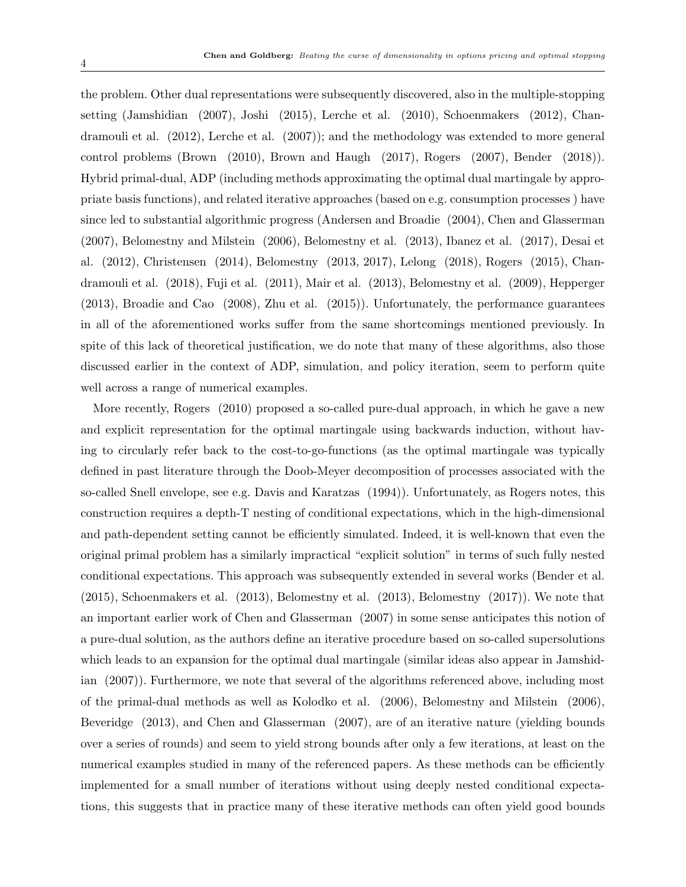the problem. Other dual representations were subsequently discovered, also in the multiple-stopping setting (Jamshidian (2007), Joshi (2015), Lerche et al. (2010), Schoenmakers (2012), Chandramouli et al. (2012), Lerche et al. (2007)); and the methodology was extended to more general control problems (Brown (2010), Brown and Haugh (2017), Rogers (2007), Bender (2018)). Hybrid primal-dual, ADP (including methods approximating the optimal dual martingale by appropriate basis functions), and related iterative approaches (based on e.g. consumption processes ) have since led to substantial algorithmic progress (Andersen and Broadie (2004), Chen and Glasserman (2007), Belomestny and Milstein (2006), Belomestny et al. (2013), Ibanez et al. (2017), Desai et al. (2012), Christensen (2014), Belomestny (2013, 2017), Lelong (2018), Rogers (2015), Chandramouli et al. (2018), Fuji et al. (2011), Mair et al. (2013), Belomestny et al. (2009), Hepperger (2013), Broadie and Cao (2008), Zhu et al. (2015)). Unfortunately, the performance guarantees in all of the aforementioned works suffer from the same shortcomings mentioned previously. In spite of this lack of theoretical justification, we do note that many of these algorithms, also those discussed earlier in the context of ADP, simulation, and policy iteration, seem to perform quite well across a range of numerical examples.

More recently, Rogers (2010) proposed a so-called pure-dual approach, in which he gave a new and explicit representation for the optimal martingale using backwards induction, without having to circularly refer back to the cost-to-go-functions (as the optimal martingale was typically defined in past literature through the Doob-Meyer decomposition of processes associated with the so-called Snell envelope, see e.g. Davis and Karatzas (1994)). Unfortunately, as Rogers notes, this construction requires a depth-T nesting of conditional expectations, which in the high-dimensional and path-dependent setting cannot be efficiently simulated. Indeed, it is well-known that even the original primal problem has a similarly impractical "explicit solution" in terms of such fully nested conditional expectations. This approach was subsequently extended in several works (Bender et al. (2015), Schoenmakers et al. (2013), Belomestny et al. (2013), Belomestny (2017)). We note that an important earlier work of Chen and Glasserman (2007) in some sense anticipates this notion of a pure-dual solution, as the authors define an iterative procedure based on so-called supersolutions which leads to an expansion for the optimal dual martingale (similar ideas also appear in Jamshidian (2007)). Furthermore, we note that several of the algorithms referenced above, including most of the primal-dual methods as well as Kolodko et al. (2006), Belomestny and Milstein (2006), Beveridge (2013), and Chen and Glasserman (2007), are of an iterative nature (yielding bounds over a series of rounds) and seem to yield strong bounds after only a few iterations, at least on the numerical examples studied in many of the referenced papers. As these methods can be efficiently implemented for a small number of iterations without using deeply nested conditional expectations, this suggests that in practice many of these iterative methods can often yield good bounds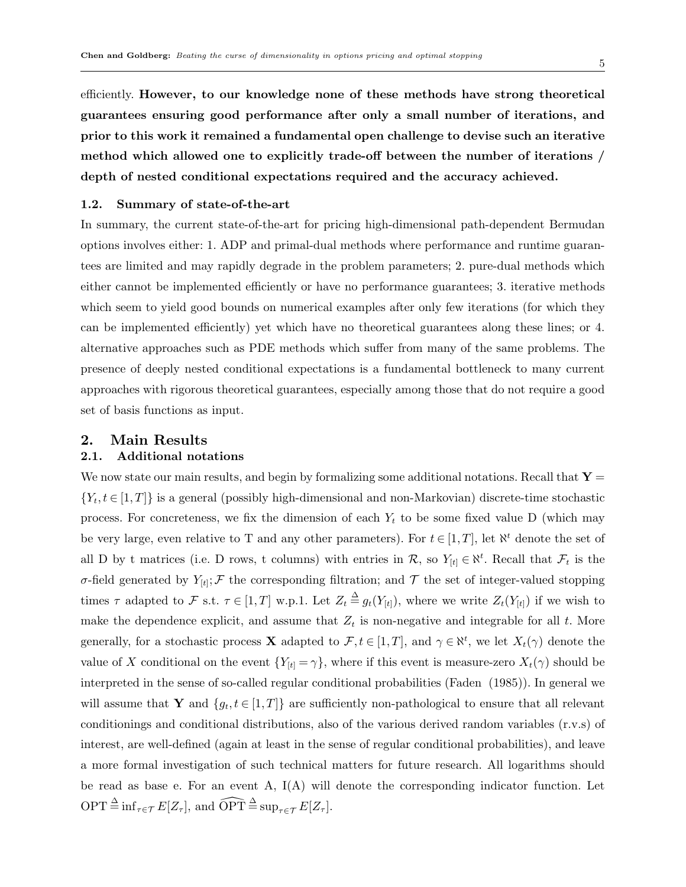efficiently. However, to our knowledge none of these methods have strong theoretical guarantees ensuring good performance after only a small number of iterations, and prior to this work it remained a fundamental open challenge to devise such an iterative method which allowed one to explicitly trade-off between the number of iterations / depth of nested conditional expectations required and the accuracy achieved.

#### 1.2. Summary of state-of-the-art

In summary, the current state-of-the-art for pricing high-dimensional path-dependent Bermudan options involves either: 1. ADP and primal-dual methods where performance and runtime guarantees are limited and may rapidly degrade in the problem parameters; 2. pure-dual methods which either cannot be implemented efficiently or have no performance guarantees; 3. iterative methods which seem to yield good bounds on numerical examples after only few iterations (for which they can be implemented efficiently) yet which have no theoretical guarantees along these lines; or 4. alternative approaches such as PDE methods which suffer from many of the same problems. The presence of deeply nested conditional expectations is a fundamental bottleneck to many current approaches with rigorous theoretical guarantees, especially among those that do not require a good set of basis functions as input.

# 2. Main Results

### 2.1. Additional notations

We now state our main results, and begin by formalizing some additional notations. Recall that  $\mathbf{Y} =$  $\{Y_t, t \in [1,T]\}$  is a general (possibly high-dimensional and non-Markovian) discrete-time stochastic process. For concreteness, we fix the dimension of each  $Y_t$  to be some fixed value D (which may be very large, even relative to T and any other parameters). For  $t \in [1, T]$ , let  $\aleph^t$  denote the set of all D by t matrices (i.e. D rows, t columns) with entries in  $\mathcal{R}$ , so  $Y_{[t]} \in \aleph^t$ . Recall that  $\mathcal{F}_t$  is the σ-field generated by  $Y_{[t]}$ ; F the corresponding filtration; and T the set of integer-valued stopping times  $\tau$  adapted to  $\mathcal F$  s.t.  $\tau \in [1, T]$  w.p.1. Let  $Z_t \triangleq g_t(Y_{[t]})$ , where we write  $Z_t(Y_{[t]})$  if we wish to make the dependence explicit, and assume that  $Z_t$  is non-negative and integrable for all t. More generally, for a stochastic process **X** adapted to  $\mathcal{F}, t \in [1, T]$ , and  $\gamma \in \aleph^t$ , we let  $X_t(\gamma)$  denote the value of X conditional on the event  ${Y_{[t] = \gamma}}$ , where if this event is measure-zero  $X_t(\gamma)$  should be interpreted in the sense of so-called regular conditional probabilities (Faden (1985)). In general we will assume that Y and  $\{g_t, t \in [1,T]\}$  are sufficiently non-pathological to ensure that all relevant conditionings and conditional distributions, also of the various derived random variables (r.v.s) of interest, are well-defined (again at least in the sense of regular conditional probabilities), and leave a more formal investigation of such technical matters for future research. All logarithms should be read as base e. For an event A,  $I(A)$  will denote the corresponding indicator function. Let  $\text{OPT} \triangleq \inf_{\tau \in \mathcal{T}} E[Z_{\tau}],$  and  $\widehat{\text{OPT}} \triangleq \sup_{\tau \in \mathcal{T}} E[Z_{\tau}].$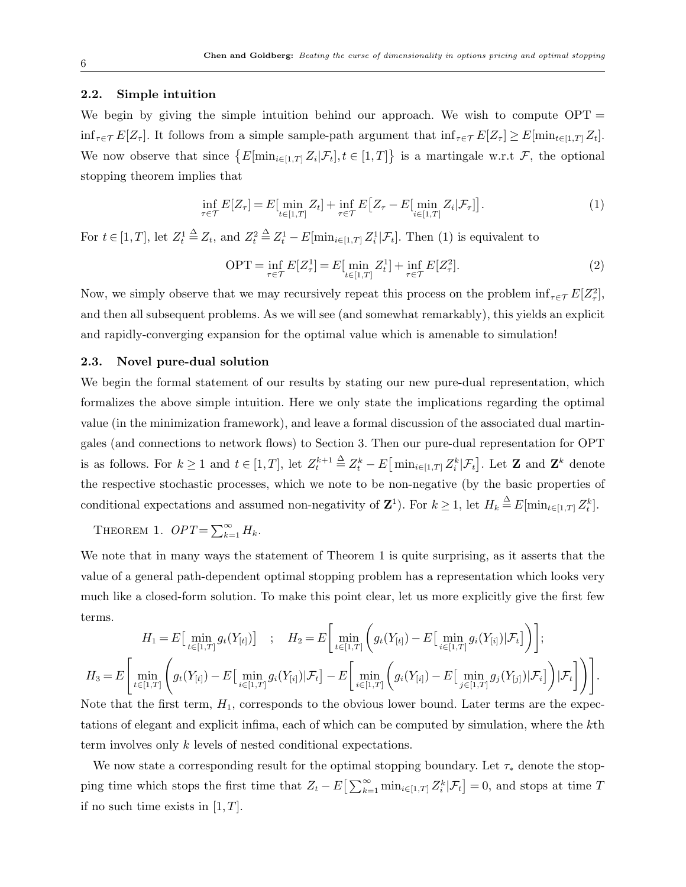# 2.2. Simple intuition

We begin by giving the simple intuition behind our approach. We wish to compute  $OPT =$  $\inf_{\tau \in \mathcal{T}} E[Z_{\tau}]$ . It follows from a simple sample-path argument that  $\inf_{\tau \in \mathcal{T}} E[Z_{\tau}] \geq E[\min_{t \in [1,T]} Z_t]$ . We now observe that since  $\{E[\min_{i\in[1,T]} Z_i | \mathcal{F}_t], t\in[1,T]\}$  is a martingale w.r.t  $\mathcal{F}$ , the optional stopping theorem implies that

$$
\inf_{\tau \in \mathcal{T}} E[Z_{\tau}] = E[\min_{t \in [1,T]} Z_t] + \inf_{\tau \in \mathcal{T}} E[Z_{\tau} - E[\min_{i \in [1,T]} Z_i | \mathcal{F}_{\tau}]]. \tag{1}
$$

For  $t \in [1, T]$ , let  $Z_t^1 \triangleq Z_t$ , and  $Z_t^2 \triangleq Z_t^1 - E[\min_{i \in [1, T]} Z_i^1 | \mathcal{F}_t]$ . Then (1) is equivalent to

$$
\text{OPT} = \inf_{\tau \in \mathcal{T}} E[Z_{\tau}^1] = E[\min_{t \in [1,T]} Z_t^1] + \inf_{\tau \in \mathcal{T}} E[Z_{\tau}^2]. \tag{2}
$$

Now, we simply observe that we may recursively repeat this process on the problem  $\inf_{\tau \in \mathcal{T}} E[Z_{\tau}^2]$ , and then all subsequent problems. As we will see (and somewhat remarkably), this yields an explicit and rapidly-converging expansion for the optimal value which is amenable to simulation!

# 2.3. Novel pure-dual solution

We begin the formal statement of our results by stating our new pure-dual representation, which formalizes the above simple intuition. Here we only state the implications regarding the optimal value (in the minimization framework), and leave a formal discussion of the associated dual martingales (and connections to network flows) to Section 3. Then our pure-dual representation for OPT is as follows. For  $k \geq 1$  and  $t \in [1, T]$ , let  $Z_t^{k+1} \triangleq Z_t^k - E\left[\min_{i \in [1, T]} Z_i^k | \mathcal{F}_t\right]$ . Let **Z** and **Z**<sup>k</sup> denote the respective stochastic processes, which we note to be non-negative (by the basic properties of conditional expectations and assumed non-negativity of  $\mathbf{Z}^1$ ). For  $k \geq 1$ , let  $H_k \stackrel{\Delta}{=} E[\min_{t \in [1,T]} Z_t^k]$ .

THEOREM 1.  $OPT = \sum_{k=1}^{\infty} H_k$ .

We note that in many ways the statement of Theorem 1 is quite surprising, as it asserts that the value of a general path-dependent optimal stopping problem has a representation which looks very much like a closed-form solution. To make this point clear, let us more explicitly give the first few terms.

$$
H_1 = E\Big[\min_{t \in [1,T]} g_t(Y_{[t]})\Big] \quad ; \quad H_2 = E\Big[\min_{t \in [1,T]} \Big(g_t(Y_{[t]}) - E\big[\min_{i \in [1,T]} g_i(Y_{[i]}) | \mathcal{F}_t\big]\Big)\Big];
$$
  

$$
H_3 = E\Big[\min_{t \in [1,T]} \Bigg(g_t(Y_{[t]}) - E\big[\min_{i \in [1,T]} g_i(Y_{[i]}) | \mathcal{F}_t\big] - E\big[\min_{i \in [1,T]} \Bigg(g_t(Y_{[i]}) - E\big[\min_{j \in [1,T]} g_j(Y_{[j]}) | \mathcal{F}_t\big]\Bigg)\Big].
$$

Note that the first term,  $H_1$ , corresponds to the obvious lower bound. Later terms are the expectations of elegant and explicit infima, each of which can be computed by simulation, where the kth term involves only k levels of nested conditional expectations.

We now state a corresponding result for the optimal stopping boundary. Let  $\tau_*$  denote the stopping time which stops the first time that  $Z_t - E\left[\sum_{k=1}^{\infty} \min_{i \in [1,T]} Z_i^k | \mathcal{F}_t\right] = 0$ , and stops at time T if no such time exists in  $[1, T]$ .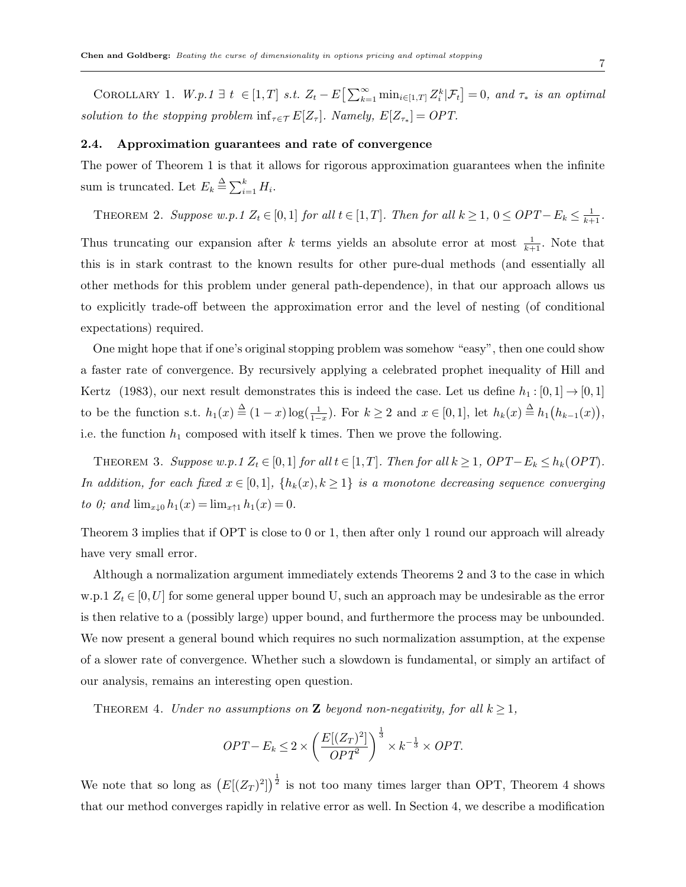COROLLARY 1.  $W.p.1 \exists t \in [1,T] \text{ s.t. } Z_t - E\left[\sum_{k=1}^{\infty} \min_{i \in [1,T]} Z_i^k | \mathcal{F}_t\right] = 0, \text{ and } \tau_* \text{ is an optimal}$ solution to the stopping problem  $\inf_{\tau \in \mathcal{T}} E[Z_{\tau}]$ . Namely,  $E[Z_{\tau_*}] = OPT$ .

#### 2.4. Approximation guarantees and rate of convergence

The power of Theorem 1 is that it allows for rigorous approximation guarantees when the infinite sum is truncated. Let  $E_k \triangleq \sum_{i=1}^k H_i$ .

THEOREM 2. Suppose w.p.1  $Z_t \in [0,1]$  for all  $t \in [1,T]$ . Then for all  $k \geq 1$ ,  $0 \leq OPT - E_k \leq \frac{1}{k+1}$ .

Thus truncating our expansion after k terms yields an absolute error at most  $\frac{1}{k+1}$ . Note that this is in stark contrast to the known results for other pure-dual methods (and essentially all other methods for this problem under general path-dependence), in that our approach allows us to explicitly trade-off between the approximation error and the level of nesting (of conditional expectations) required.

One might hope that if one's original stopping problem was somehow "easy", then one could show a faster rate of convergence. By recursively applying a celebrated prophet inequality of Hill and Kertz (1983), our next result demonstrates this is indeed the case. Let us define  $h_1 : [0,1] \rightarrow [0,1]$ to be the function s.t.  $h_1(x) \triangleq (1-x) \log(\frac{1}{1-x})$ . For  $k \ge 2$  and  $x \in [0,1]$ , let  $h_k(x) \triangleq h_1(h_{k-1}(x))$ , i.e. the function  $h_1$  composed with itself k times. Then we prove the following.

THEOREM 3. Suppose w.p.1  $Z_t \in [0,1]$  for all  $t \in [1,T]$ . Then for all  $k \geq 1$ ,  $OPT - E_k \leq h_k(OPT)$ . In addition, for each fixed  $x \in [0,1]$ ,  $\{h_k(x), k \geq 1\}$  is a monotone decreasing sequence converging to 0; and  $\lim_{x\downarrow 0} h_1(x) = \lim_{x\uparrow 1} h_1(x) = 0$ .

Theorem 3 implies that if OPT is close to 0 or 1, then after only 1 round our approach will already have very small error.

Although a normalization argument immediately extends Theorems 2 and 3 to the case in which w.p.1  $Z_t \in [0, U]$  for some general upper bound U, such an approach may be undesirable as the error is then relative to a (possibly large) upper bound, and furthermore the process may be unbounded. We now present a general bound which requires no such normalization assumption, at the expense of a slower rate of convergence. Whether such a slowdown is fundamental, or simply an artifact of our analysis, remains an interesting open question.

THEOREM 4. Under no assumptions on **Z** beyond non-negativity, for all  $k > 1$ ,

$$
OPT - E_k \le 2 \times \left(\frac{E[(Z_T)^2]}{OPT^2}\right)^{\frac{1}{3}} \times k^{-\frac{1}{3}} \times OPT.
$$

We note that so long as  $(E[(Z_T)^2])^{\frac{1}{2}}$  is not too many times larger than OPT, Theorem 4 shows that our method converges rapidly in relative error as well. In Section 4, we describe a modification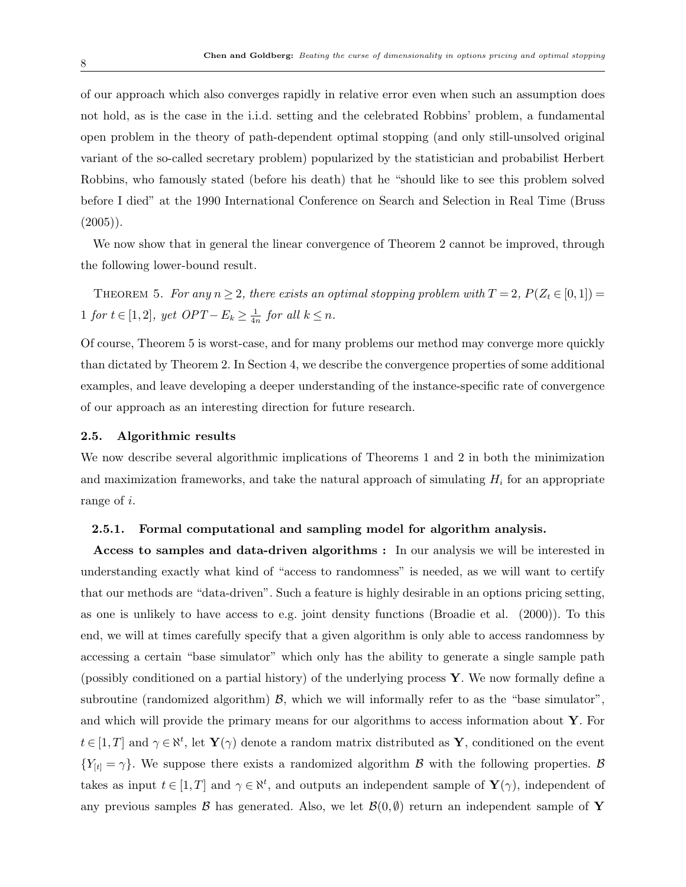of our approach which also converges rapidly in relative error even when such an assumption does not hold, as is the case in the i.i.d. setting and the celebrated Robbins' problem, a fundamental open problem in the theory of path-dependent optimal stopping (and only still-unsolved original variant of the so-called secretary problem) popularized by the statistician and probabilist Herbert Robbins, who famously stated (before his death) that he "should like to see this problem solved before I died" at the 1990 International Conference on Search and Selection in Real Time (Bruss  $(2005)$ .

We now show that in general the linear convergence of Theorem 2 cannot be improved, through the following lower-bound result.

THEOREM 5. For any  $n \geq 2$ , there exists an optimal stopping problem with  $T = 2$ ,  $P(Z_t \in [0, 1]) =$ 1 for  $t \in [1,2]$ , yet  $OPT - E_k \geq \frac{1}{4r}$  $\frac{1}{4n}$  for all  $k \leq n$ .

Of course, Theorem 5 is worst-case, and for many problems our method may converge more quickly than dictated by Theorem 2. In Section 4, we describe the convergence properties of some additional examples, and leave developing a deeper understanding of the instance-specific rate of convergence of our approach as an interesting direction for future research.

#### 2.5. Algorithmic results

We now describe several algorithmic implications of Theorems 1 and 2 in both the minimization and maximization frameworks, and take the natural approach of simulating  $H_i$  for an appropriate range of i.

#### 2.5.1. Formal computational and sampling model for algorithm analysis.

Access to samples and data-driven algorithms : In our analysis we will be interested in understanding exactly what kind of "access to randomness" is needed, as we will want to certify that our methods are "data-driven". Such a feature is highly desirable in an options pricing setting, as one is unlikely to have access to e.g. joint density functions (Broadie et al. (2000)). To this end, we will at times carefully specify that a given algorithm is only able to access randomness by accessing a certain "base simulator" which only has the ability to generate a single sample path (possibly conditioned on a partial history) of the underlying process Y. We now formally define a subroutine (randomized algorithm)  $\beta$ , which we will informally refer to as the "base simulator", and which will provide the primary means for our algorithms to access information about  $\mathbf{Y}$ . For  $t \in [1, T]$  and  $\gamma \in \aleph^t$ , let  $\mathbf{Y}(\gamma)$  denote a random matrix distributed as  $\mathbf{Y}$ , conditioned on the event  ${Y_{[t] = \gamma}}$ . We suppose there exists a randomized algorithm B with the following properties. B takes as input  $t \in [1, T]$  and  $\gamma \in \aleph^t$ , and outputs an independent sample of  $\mathbf{Y}(\gamma)$ , independent of any previous samples B has generated. Also, we let  $\mathcal{B}(0, \emptyset)$  return an independent sample of Y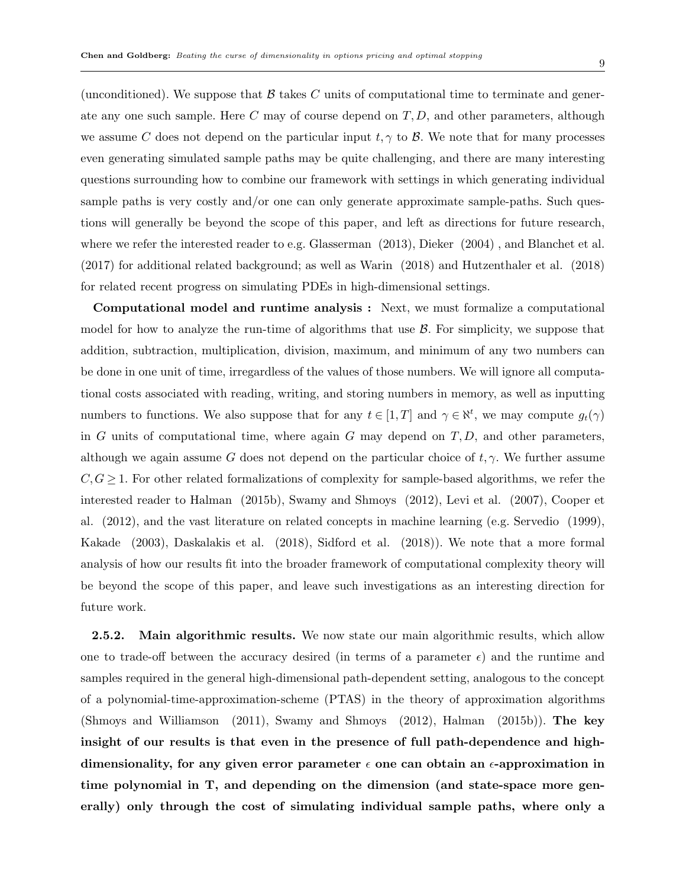(unconditioned). We suppose that  $\beta$  takes C units of computational time to terminate and generate any one such sample. Here  $C$  may of course depend on  $T, D$ , and other parameters, although we assume C does not depend on the particular input  $t, \gamma$  to B. We note that for many processes even generating simulated sample paths may be quite challenging, and there are many interesting questions surrounding how to combine our framework with settings in which generating individual sample paths is very costly and/or one can only generate approximate sample-paths. Such questions will generally be beyond the scope of this paper, and left as directions for future research, where we refer the interested reader to e.g. Glasserman (2013), Dieker (2004), and Blanchet et al. (2017) for additional related background; as well as Warin (2018) and Hutzenthaler et al. (2018) for related recent progress on simulating PDEs in high-dimensional settings.

Computational model and runtime analysis : Next, we must formalize a computational model for how to analyze the run-time of algorithms that use  $\beta$ . For simplicity, we suppose that addition, subtraction, multiplication, division, maximum, and minimum of any two numbers can be done in one unit of time, irregardless of the values of those numbers. We will ignore all computational costs associated with reading, writing, and storing numbers in memory, as well as inputting numbers to functions. We also suppose that for any  $t \in [1,T]$  and  $\gamma \in \aleph^t$ , we may compute  $g_t(\gamma)$ in G units of computational time, where again G may depend on  $T, D$ , and other parameters, although we again assume G does not depend on the particular choice of  $t, \gamma$ . We further assume  $C, G \geq 1$ . For other related formalizations of complexity for sample-based algorithms, we refer the interested reader to Halman (2015b), Swamy and Shmoys (2012), Levi et al. (2007), Cooper et al. (2012), and the vast literature on related concepts in machine learning (e.g. Servedio (1999), Kakade (2003), Daskalakis et al. (2018), Sidford et al. (2018)). We note that a more formal analysis of how our results fit into the broader framework of computational complexity theory will be beyond the scope of this paper, and leave such investigations as an interesting direction for future work.

**2.5.2.** Main algorithmic results. We now state our main algorithmic results, which allow one to trade-off between the accuracy desired (in terms of a parameter  $\epsilon$ ) and the runtime and samples required in the general high-dimensional path-dependent setting, analogous to the concept of a polynomial-time-approximation-scheme (PTAS) in the theory of approximation algorithms (Shmoys and Williamson (2011), Swamy and Shmoys (2012), Halman (2015b)). The key insight of our results is that even in the presence of full path-dependence and highdimensionality, for any given error parameter  $\epsilon$  one can obtain an  $\epsilon$ -approximation in time polynomial in T, and depending on the dimension (and state-space more generally) only through the cost of simulating individual sample paths, where only a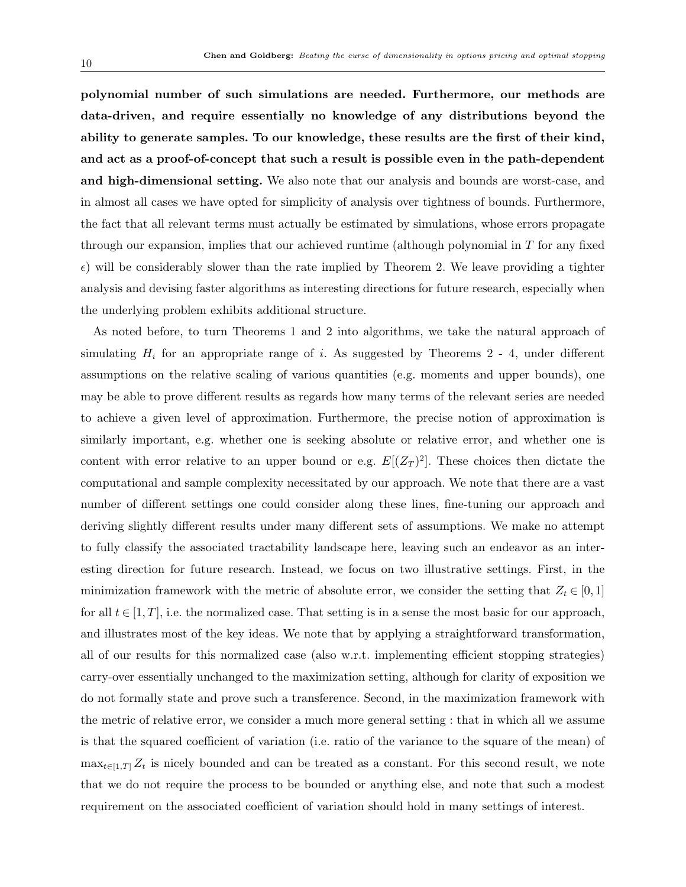polynomial number of such simulations are needed. Furthermore, our methods are data-driven, and require essentially no knowledge of any distributions beyond the ability to generate samples. To our knowledge, these results are the first of their kind, and act as a proof-of-concept that such a result is possible even in the path-dependent and high-dimensional setting. We also note that our analysis and bounds are worst-case, and in almost all cases we have opted for simplicity of analysis over tightness of bounds. Furthermore, the fact that all relevant terms must actually be estimated by simulations, whose errors propagate through our expansion, implies that our achieved runtime (although polynomial in  $T$  for any fixed  $\epsilon$ ) will be considerably slower than the rate implied by Theorem 2. We leave providing a tighter analysis and devising faster algorithms as interesting directions for future research, especially when the underlying problem exhibits additional structure.

As noted before, to turn Theorems 1 and 2 into algorithms, we take the natural approach of simulating  $H_i$  for an appropriate range of i. As suggested by Theorems 2 - 4, under different assumptions on the relative scaling of various quantities (e.g. moments and upper bounds), one may be able to prove different results as regards how many terms of the relevant series are needed to achieve a given level of approximation. Furthermore, the precise notion of approximation is similarly important, e.g. whether one is seeking absolute or relative error, and whether one is content with error relative to an upper bound or e.g.  $E[(Z_T)^2]$ . These choices then dictate the computational and sample complexity necessitated by our approach. We note that there are a vast number of different settings one could consider along these lines, fine-tuning our approach and deriving slightly different results under many different sets of assumptions. We make no attempt to fully classify the associated tractability landscape here, leaving such an endeavor as an interesting direction for future research. Instead, we focus on two illustrative settings. First, in the minimization framework with the metric of absolute error, we consider the setting that  $Z_t \in [0,1]$ for all  $t \in [1, T]$ , i.e. the normalized case. That setting is in a sense the most basic for our approach, and illustrates most of the key ideas. We note that by applying a straightforward transformation, all of our results for this normalized case (also w.r.t. implementing efficient stopping strategies) carry-over essentially unchanged to the maximization setting, although for clarity of exposition we do not formally state and prove such a transference. Second, in the maximization framework with the metric of relative error, we consider a much more general setting : that in which all we assume is that the squared coefficient of variation (i.e. ratio of the variance to the square of the mean) of  $\max_{t\in[1,T]}Z_t$  is nicely bounded and can be treated as a constant. For this second result, we note that we do not require the process to be bounded or anything else, and note that such a modest requirement on the associated coefficient of variation should hold in many settings of interest.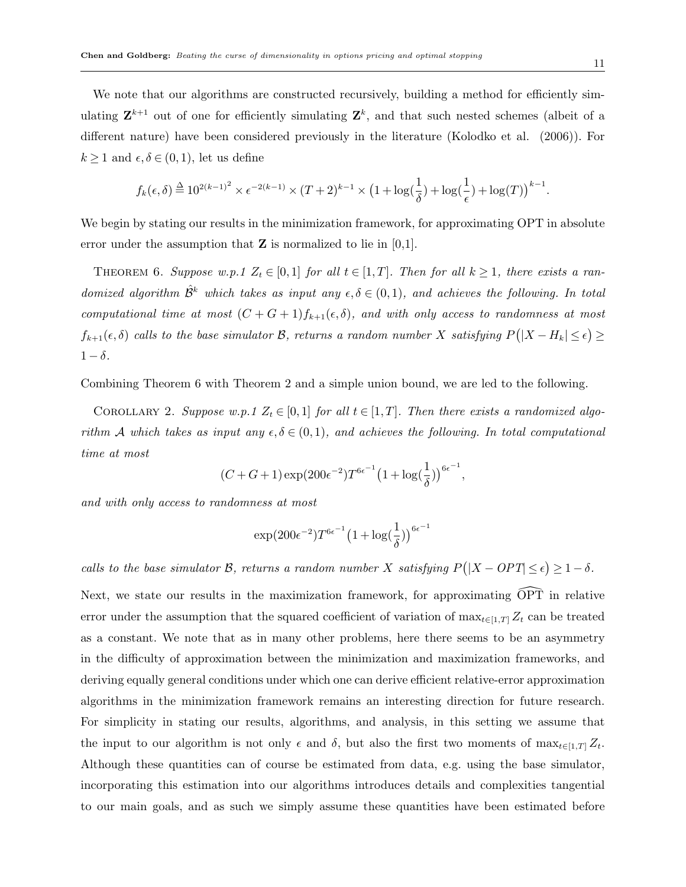We note that our algorithms are constructed recursively, building a method for efficiently simulating  $\mathbf{Z}^{k+1}$  out of one for efficiently simulating  $\mathbf{Z}^k$ , and that such nested schemes (albeit of a different nature) have been considered previously in the literature (Kolodko et al. (2006)). For  $k \geq 1$  and  $\epsilon, \delta \in (0,1)$ , let us define

$$
f_k(\epsilon,\delta) \stackrel{\Delta}{=} 10^{2(k-1)^2} \times \epsilon^{-2(k-1)} \times (T+2)^{k-1} \times \left(1+\log(\frac{1}{\delta})+\log(\frac{1}{\epsilon})+\log(T)\right)^{k-1}.
$$

We begin by stating our results in the minimization framework, for approximating OPT in absolute error under the assumption that  $\mathbf Z$  is normalized to lie in [0,1].

THEOREM 6. Suppose w.p.1  $Z_t \in [0,1]$  for all  $t \in [1,T]$ . Then for all  $k \geq 1$ , there exists a randomized algorithm  $\hat{\mathcal{B}}^k$  which takes as input any  $\epsilon, \delta \in (0,1)$ , and achieves the following. In total computational time at most  $(C+G+1)f_{k+1}(\epsilon,\delta)$ , and with only access to randomness at most  $f_{k+1}(\epsilon, \delta)$  calls to the base simulator B, returns a random number X satisfying  $P(|X - H_k| \leq \epsilon) \geq$  $1 - \delta$ .

Combining Theorem 6 with Theorem 2 and a simple union bound, we are led to the following.

COROLLARY 2. Suppose w.p.1  $Z_t \in [0,1]$  for all  $t \in [1,T]$ . Then there exists a randomized algorithm A which takes as input any  $\epsilon, \delta \in (0,1)$ , and achieves the following. In total computational time at most

$$
(C+G+1)\exp(200\epsilon^{-2})T^{6\epsilon^{-1}}\big(1+\log(\frac{1}{\delta})\big)^{6\epsilon^{-1}},
$$

and with only access to randomness at most

$$
\exp(200\epsilon^{-2})T^{6\epsilon^{-1}}\big(1+\log(\frac{1}{\delta})\big)^{6\epsilon^{-1}}
$$

calls to the base simulator B, returns a random number X satisfying  $P(|X - OPT| \leq \epsilon) \geq 1 - \delta$ .

Next, we state our results in the maximization framework, for approximating  $\widehat{OPT}$  in relative error under the assumption that the squared coefficient of variation of  $\max_{t\in[1,T]}Z_t$  can be treated as a constant. We note that as in many other problems, here there seems to be an asymmetry in the difficulty of approximation between the minimization and maximization frameworks, and deriving equally general conditions under which one can derive efficient relative-error approximation algorithms in the minimization framework remains an interesting direction for future research. For simplicity in stating our results, algorithms, and analysis, in this setting we assume that the input to our algorithm is not only  $\epsilon$  and  $\delta$ , but also the first two moments of  $\max_{t\in[1,T]}Z_t$ . Although these quantities can of course be estimated from data, e.g. using the base simulator, incorporating this estimation into our algorithms introduces details and complexities tangential to our main goals, and as such we simply assume these quantities have been estimated before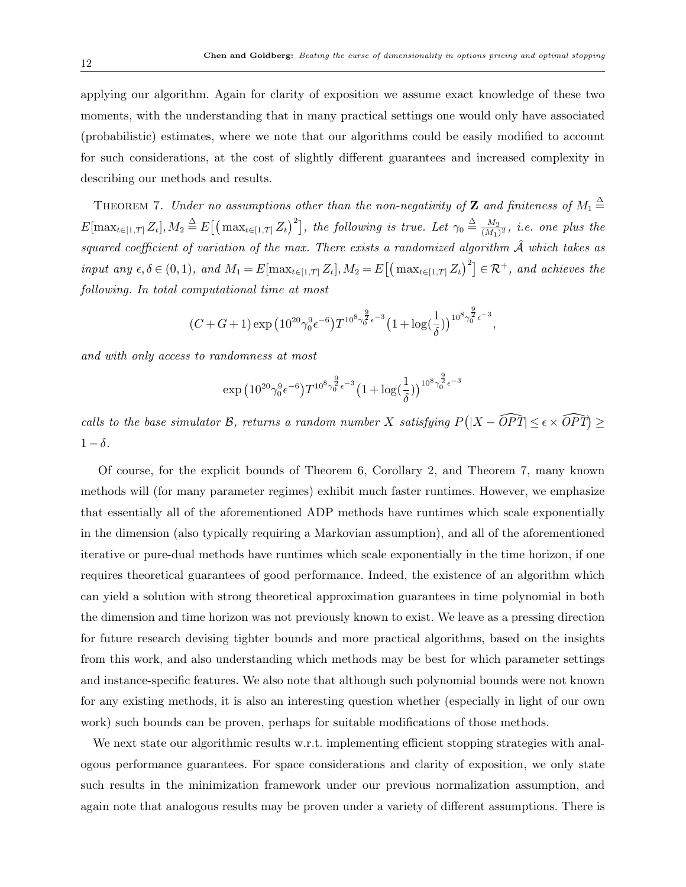applying our algorithm. Again for clarity of exposition we assume exact knowledge of these two moments, with the understanding that in many practical settings one would only have associated (probabilistic) estimates, where we note that our algorithms could be easily modified to account for such considerations, at the cost of slightly different guarantees and increased complexity in describing our methods and results.

THEOREM 7. Under no assumptions other than the non-negativity of **Z** and finiteness of  $M_1 \triangleq$  $E[\max_{t \in [1,T]} Z_t], M_2 \triangleq E[(\max_{t \in [1,T]} Z_t)^2],$  the following is true. Let  $\gamma_0 \triangleq \frac{M_2}{(M_1)}$  $\frac{M_2}{(M_1)^2}$ , i.e. one plus the squared coefficient of variation of the max. There exists a randomized algorithm  $\hat{A}$  which takes as input any  $\epsilon, \delta \in (0,1)$ , and  $M_1 = E[\max_{t \in [1,T]} Z_t], M_2 = E[(\max_{t \in [1,T]} Z_t)^2] \in \mathcal{R}^+$ , and achieves the following. In total computational time at most

$$
(C+G+1)\exp\big(10^{20}\gamma_0^9\epsilon^{-6}\big)T^{10^8\gamma_0^{\frac{9}{2}}\epsilon^{-3}}\big(1+\log(\frac{1}{\delta})\big)^{10^8\gamma_0^{\frac{9}{2}}\epsilon^{-3}},
$$

and with only access to randomness at most

$$
\exp\big(10^{20} \gamma_0^9 \epsilon^{-6}\big) T^{10^8 \gamma_0^{\frac{9}{2}} \epsilon^{-3}} \big(1 + \log(\frac{1}{\delta})\big)^{10^8 \gamma_0^{\frac{9}{2}} \epsilon^{-3}}
$$

calls to the base simulator B, returns a random number X satisfying  $P(|X - \widehat{OPT}| \le \epsilon \times \widehat{OPT}) \ge$  $1 - \delta$ .

Of course, for the explicit bounds of Theorem 6, Corollary 2, and Theorem 7, many known methods will (for many parameter regimes) exhibit much faster runtimes. However, we emphasize that essentially all of the aforementioned ADP methods have runtimes which scale exponentially in the dimension (also typically requiring a Markovian assumption), and all of the aforementioned iterative or pure-dual methods have runtimes which scale exponentially in the time horizon, if one requires theoretical guarantees of good performance. Indeed, the existence of an algorithm which can yield a solution with strong theoretical approximation guarantees in time polynomial in both the dimension and time horizon was not previously known to exist. We leave as a pressing direction for future research devising tighter bounds and more practical algorithms, based on the insights from this work, and also understanding which methods may be best for which parameter settings and instance-specific features. We also note that although such polynomial bounds were not known for any existing methods, it is also an interesting question whether (especially in light of our own work) such bounds can be proven, perhaps for suitable modifications of those methods.

We next state our algorithmic results w.r.t. implementing efficient stopping strategies with analogous performance guarantees. For space considerations and clarity of exposition, we only state such results in the minimization framework under our previous normalization assumption, and again note that analogous results may be proven under a variety of different assumptions. There is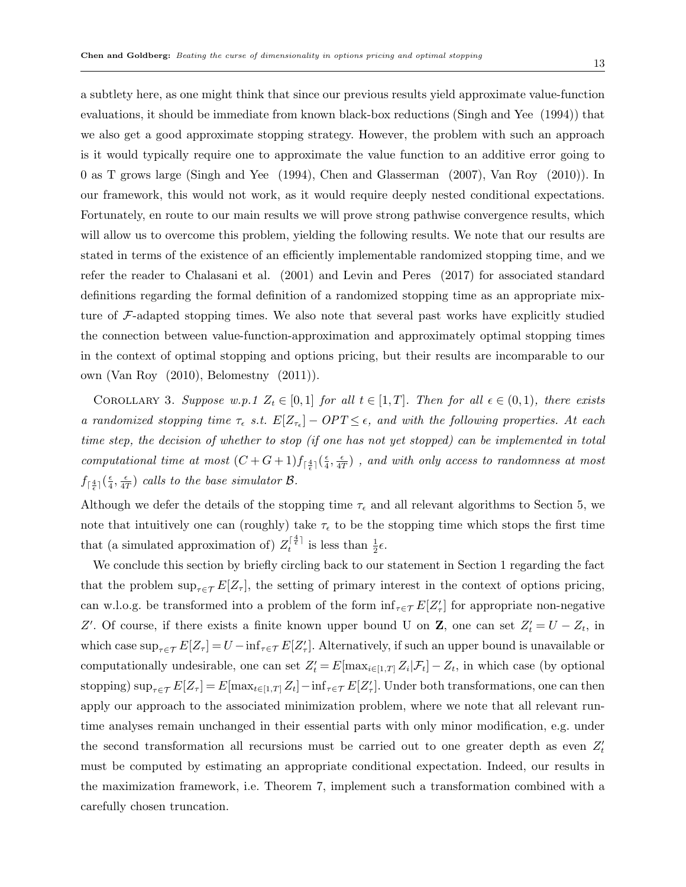a subtlety here, as one might think that since our previous results yield approximate value-function evaluations, it should be immediate from known black-box reductions (Singh and Yee (1994)) that we also get a good approximate stopping strategy. However, the problem with such an approach is it would typically require one to approximate the value function to an additive error going to 0 as T grows large (Singh and Yee (1994), Chen and Glasserman (2007), Van Roy (2010)). In our framework, this would not work, as it would require deeply nested conditional expectations. Fortunately, en route to our main results we will prove strong pathwise convergence results, which will allow us to overcome this problem, yielding the following results. We note that our results are stated in terms of the existence of an efficiently implementable randomized stopping time, and we refer the reader to Chalasani et al. (2001) and Levin and Peres (2017) for associated standard definitions regarding the formal definition of a randomized stopping time as an appropriate mixture of F-adapted stopping times. We also note that several past works have explicitly studied the connection between value-function-approximation and approximately optimal stopping times in the context of optimal stopping and options pricing, but their results are incomparable to our own (Van Roy (2010), Belomestny (2011)).

COROLLARY 3. Suppose w.p.1  $Z_t \in [0,1]$  for all  $t \in [1,T]$ . Then for all  $\epsilon \in (0,1)$ , there exists a randomized stopping time  $\tau_{\epsilon}$  s.t.  $E[Z_{\tau_{\epsilon}}] - OPT \leq \epsilon$ , and with the following properties. At each time step, the decision of whether to stop (if one has not yet stopped) can be implemented in total computational time at most  $(C+G+1)f_{\lceil\frac{4}{\epsilon}\rceil}(\frac{\epsilon}{4})$  $\frac{\epsilon}{4}$ ,  $\frac{\epsilon}{47}$  $\left(\frac{\epsilon}{4T}\right)$  , and with only access to randomness at most  $f_{\lceil\frac{4}{\epsilon}\rceil}(\frac{\epsilon}{4}$  $\frac{\epsilon}{4}$ ,  $\frac{\epsilon}{47}$  $\frac{\epsilon}{4T}$ ) calls to the base simulator B.

Although we defer the details of the stopping time  $\tau_{\epsilon}$  and all relevant algorithms to Section 5, we note that intuitively one can (roughly) take  $\tau_{\epsilon}$  to be the stopping time which stops the first time that (a simulated approximation of)  $Z_t^{\lceil \frac{4}{\epsilon} \rceil}$  $t^{\frac{1}{\epsilon} \atop t}$  is less than  $\frac{1}{2} \epsilon$ .

We conclude this section by briefly circling back to our statement in Section 1 regarding the fact that the problem  $\sup_{\tau \in \mathcal{T}} E[Z_{\tau}],$  the setting of primary interest in the context of options pricing, can w.l.o.g. be transformed into a problem of the form  $\inf_{\tau \in \mathcal{T}} E[Z_{\tau}']$  for appropriate non-negative Z'. Of course, if there exists a finite known upper bound U on **Z**, one can set  $Z'_t = U - Z_t$ , in which case  $\sup_{\tau \in \mathcal{T}} E[Z_{\tau}] = U - \inf_{\tau \in \mathcal{T}} E[Z_{\tau}']$ . Alternatively, if such an upper bound is unavailable or computationally undesirable, one can set  $Z'_t = E[\max_{i \in [1,T]} Z_i | \mathcal{F}_t] - Z_t$ , in which case (by optional stopping)  $\sup_{\tau \in \mathcal{T}} E[Z_{\tau}] = E[\max_{t \in [1,T]} Z_t] - \inf_{\tau \in \mathcal{T}} E[Z_{\tau}']$ . Under both transformations, one can then apply our approach to the associated minimization problem, where we note that all relevant runtime analyses remain unchanged in their essential parts with only minor modification, e.g. under the second transformation all recursions must be carried out to one greater depth as even  $Z_t$ must be computed by estimating an appropriate conditional expectation. Indeed, our results in the maximization framework, i.e. Theorem 7, implement such a transformation combined with a carefully chosen truncation.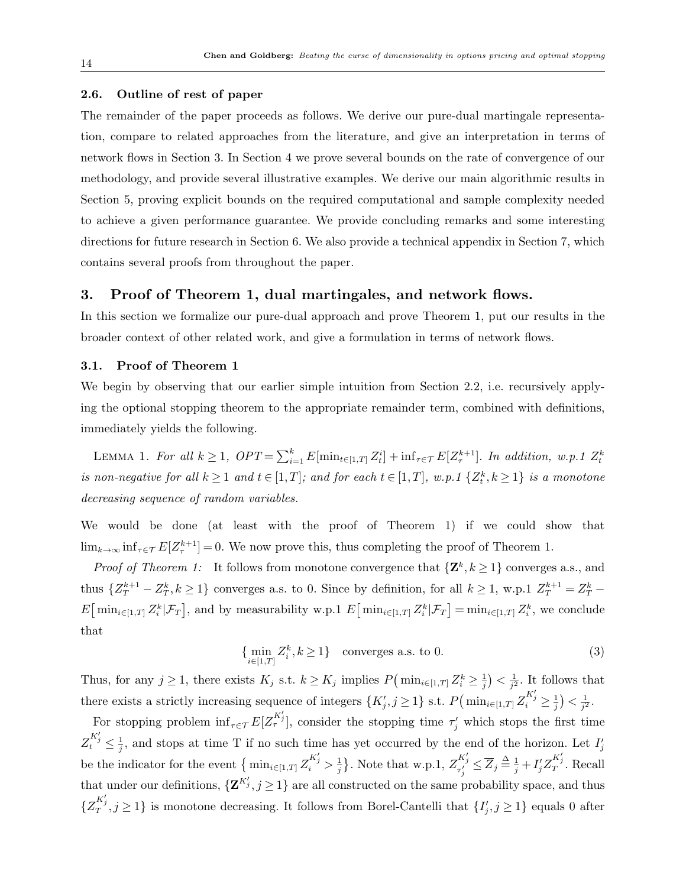#### 2.6. Outline of rest of paper

The remainder of the paper proceeds as follows. We derive our pure-dual martingale representation, compare to related approaches from the literature, and give an interpretation in terms of network flows in Section 3. In Section 4 we prove several bounds on the rate of convergence of our methodology, and provide several illustrative examples. We derive our main algorithmic results in Section 5, proving explicit bounds on the required computational and sample complexity needed to achieve a given performance guarantee. We provide concluding remarks and some interesting directions for future research in Section 6. We also provide a technical appendix in Section 7, which contains several proofs from throughout the paper.

# 3. Proof of Theorem 1, dual martingales, and network flows.

In this section we formalize our pure-dual approach and prove Theorem 1, put our results in the broader context of other related work, and give a formulation in terms of network flows.

#### 3.1. Proof of Theorem 1

We begin by observing that our earlier simple intuition from Section 2.2, i.e. recursively applying the optional stopping theorem to the appropriate remainder term, combined with definitions, immediately yields the following.

LEMMA 1. For all  $k \geq 1$ ,  $OPT = \sum_{i=1}^{k} E[\min_{t \in [1,T]} Z_t^i] + \inf_{\tau \in \mathcal{T}} E[Z_{\tau}^{k+1}]$ . In addition, w.p.1  $Z_t^k$ is non-negative for all  $k \geq 1$  and  $t \in [1, T]$ ; and for each  $t \in [1, T]$ , w.p.1  $\{Z_t^k, k \geq 1\}$  is a monotone decreasing sequence of random variables.

We would be done (at least with the proof of Theorem 1) if we could show that  $\lim_{k\to\infty} \inf_{\tau \in \mathcal{T}} E[Z_{\tau}^{k+1}] = 0$ . We now prove this, thus completing the proof of Theorem 1.

*Proof of Theorem 1:* It follows from monotone convergence that  $\{Z^k, k \geq 1\}$  converges a.s., and thus  $\{Z_T^{k+1} - Z_T^k, k \ge 1\}$  converges a.s. to 0. Since by definition, for all  $k \ge 1$ , w.p.1  $Z_T^{k+1} = Z_T^k$  $E\left[\min_{i\in[1,T]} Z_i^k | \mathcal{F}_T \right]$ , and by measurability w.p.1  $E\left[\min_{i\in[1,T]} Z_i^k | \mathcal{F}_T \right] = \min_{i\in[1,T]} Z_i^k$ , we conclude that

$$
\{\min_{i \in [1,T]} Z_i^k, k \ge 1\} \quad \text{converges a.s. to 0.} \tag{3}
$$

Thus, for any  $j \geq 1$ , there exists  $K_j$  s.t.  $k \geq K_j$  implies  $P(\min_{i \in [1,T]} Z_i^k \geq \frac{1}{i})$  $\frac{1}{j}$ ) <  $\frac{1}{j^2}$  $\frac{1}{j^2}$ . It follows that there exists a strictly increasing sequence of integers  $\{K'_j, j \geq 1\}$  s.t.  $P(\min_{i \in [1,T]} Z_i^{K'_j} \geq \frac{1}{i})$  $(\frac{1}{j}) < \frac{1}{j^2}$  $\frac{1}{j^2}$  .

For stopping problem  $\inf_{\tau \in \mathcal{T}} E[Z_{\tau}^{K'}]$ , consider the stopping time  $\tau'_j$  which stops the first time  $Z_t^{K'_j} \leq \frac{1}{i}$  $\frac{1}{j}$ , and stops at time T if no such time has yet occurred by the end of the horizon. Let  $I'_j$ be the indicator for the event  $\{\min_{i\in[1,T]} Z_i^{K_j'} > \frac{1}{i}\}$  $\frac{1}{j}$ . Note that w.p.1,  $Z_{\tau'_j}^{K'_j} \leq \overline{Z}_j \stackrel{\Delta}{=} \frac{1}{j} + I'_j Z_T^{K'_j}$ . Recall that under our definitions,  $\{ \mathbf{Z}^{K'}_{j}, j \geq 1 \}$  are all constructed on the same probability space, and thus  $\{Z^{K'_j}_T, j \geq 1\}$  is monotone decreasing. It follows from Borel-Cantelli that  $\{I'_j, j \geq 1\}$  equals 0 after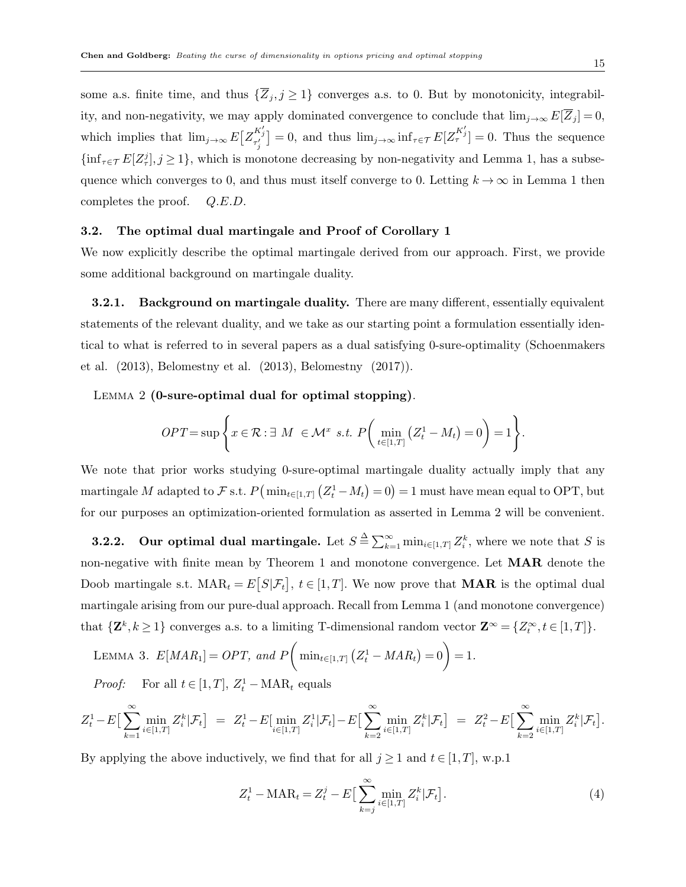some a.s. finite time, and thus  $\{\overline{Z}_i, j \geq 1\}$  converges a.s. to 0. But by monotonicity, integrability, and non-negativity, we may apply dominated convergence to conclude that  $\lim_{j\to\infty} E[\overline{Z}_j] = 0$ , which implies that  $\lim_{j\to\infty} E\left[Z^{K'_j}_{\tau'_j}\right] = 0$ , and thus  $\lim_{j\to\infty} \inf_{\tau \in \mathcal{T}} E[Z^{K'_j}_{\tau'}] = 0$ . Thus the sequence  $\{\inf_{\tau \in \mathcal{T}} E[Z_{\tau}^j], j \geq 1\}$ , which is monotone decreasing by non-negativity and Lemma 1, has a subsequence which converges to 0, and thus must itself converge to 0. Letting  $k \to \infty$  in Lemma 1 then completes the proof.  $Q.E.D.$ 

### 3.2. The optimal dual martingale and Proof of Corollary 1

We now explicitly describe the optimal martingale derived from our approach. First, we provide some additional background on martingale duality.

3.2.1. Background on martingale duality. There are many different, essentially equivalent statements of the relevant duality, and we take as our starting point a formulation essentially identical to what is referred to in several papers as a dual satisfying 0-sure-optimality (Schoenmakers et al. (2013), Belomestny et al. (2013), Belomestny (2017)).

LEMMA 2 (0-sure-optimal dual for optimal stopping).

$$
OPT = \sup \left\{ x \in \mathcal{R} : \exists M \in \mathcal{M}^x \text{ s.t. } P\left(\min_{t \in [1,T]} (Z_t^1 - M_t) = 0\right) = 1 \right\}.
$$

We note that prior works studying 0-sure-optimal martingale duality actually imply that any martingale M adapted to F s.t.  $P(\min_{t \in [1,T]} (Z_t^1 - M_t) = 0) = 1$  must have mean equal to OPT, but for our purposes an optimization-oriented formulation as asserted in Lemma 2 will be convenient.

**3.2.2.** Our optimal dual martingale. Let  $S \triangleq \sum_{k=1}^{\infty} \min_{i \in [1,T]} Z_i^k$ , where we note that S is non-negative with finite mean by Theorem 1 and monotone convergence. Let MAR denote the Doob martingale s.t.  $\text{MAR}_t = E[S|\mathcal{F}_t], t \in [1,T]$ . We now prove that **MAR** is the optimal dual martingale arising from our pure-dual approach. Recall from Lemma 1 (and monotone convergence) that  $\{ \mathbf{Z}^k, k \geq 1 \}$  converges a.s. to a limiting T-dimensional random vector  $\mathbf{Z}^{\infty} = \{ Z_t^{\infty}, t \in [1, T] \}.$ 

LEMMA 3.  $E[MAR_1] = OPT$ , and  $P\left( \min_{t \in [1,T]} (Z_t^1 - MAR_t) = 0 \right) = 1$ .

*Proof:* For all  $t \in [1, T]$ ,  $Z_t^1 - \text{MAR}_t$  equals

$$
Z_t^1 - E\big[\sum_{k=1}^{\infty} \min_{i \in [1,T]} Z_i^k | \mathcal{F}_t\big] = Z_t^1 - E\big[\min_{i \in [1,T]} Z_i^1 | \mathcal{F}_t\big] - E\big[\sum_{k=2}^{\infty} \min_{i \in [1,T]} Z_i^k | \mathcal{F}_t\big] = Z_t^2 - E\big[\sum_{k=2}^{\infty} \min_{i \in [1,T]} Z_i^k | \mathcal{F}_t\big].
$$

By applying the above inductively, we find that for all  $j \ge 1$  and  $t \in [1, T]$ , w.p.1

$$
Z_t^1 - \text{MAR}_t = Z_t^j - E\left[\sum_{k=j}^{\infty} \min_{i \in [1,T]} Z_i^k | \mathcal{F}_t\right].
$$
\n
$$
\tag{4}
$$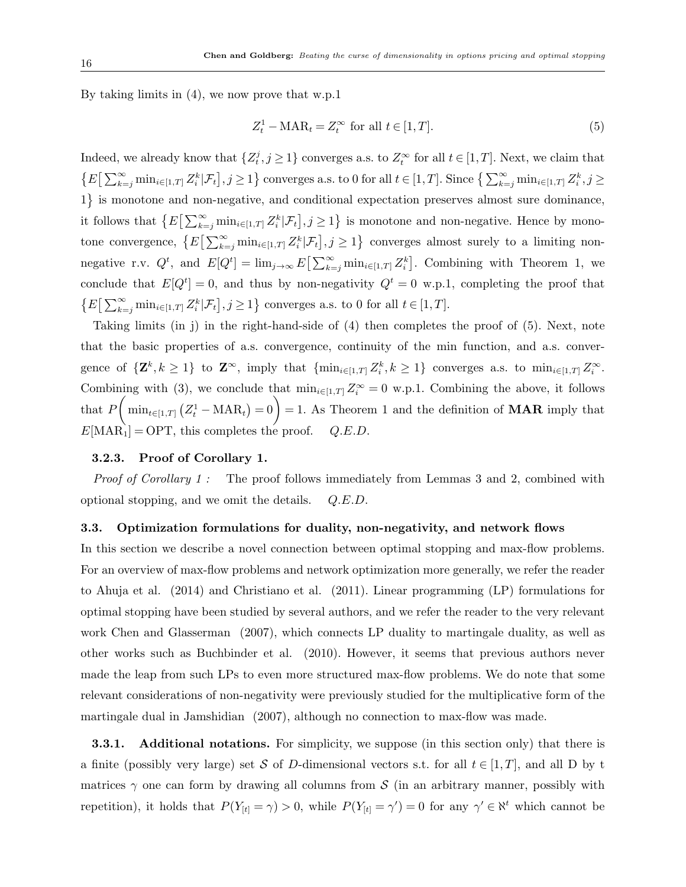By taking limits in (4), we now prove that w.p.1

$$
Z_t^1 - \text{MAR}_t = Z_t^\infty \text{ for all } t \in [1, T]. \tag{5}
$$

Indeed, we already know that  $\{Z_t^j, j \geq 1\}$  converges a.s. to  $Z_t^{\infty}$  for all  $t \in [1, T]$ . Next, we claim that  $\{E\left[\sum_{k=j}^{\infty}\min_{i\in[1,T]}Z_i^k|\mathcal{F}_t\right], j\geq 1\}$  converges a.s. to 0 for all  $t\in[1,T]$ . Since  $\left\{\sum_{k=j}^{\infty}\min_{i\in[1,T]}Z_i^k, j\geq 1\right\}$ 1) is monotone and non-negative, and conditional expectation preserves almost sure dominance, it follows that  $\{E\left[\sum_{k=j}^{\infty} \min_{i\in[1,T]} Z_i^k | \mathcal{F}_t\right], j\geq 1\}$  is monotone and non-negative. Hence by monotone convergence,  $\{E\left[\sum_{k=j}^{\infty} \min_{i\in[1,T]} Z_i^k | \mathcal{F}_t\right], j\geq 1\}$  converges almost surely to a limiting nonnegative r.v.  $Q^t$ , and  $E[Q^t] = \lim_{j \to \infty} E\left[\sum_{k=j}^{\infty} \min_{i \in [1,T]} Z_i^k\right]$ . Combining with Theorem 1, we conclude that  $E[Q^t] = 0$ , and thus by non-negativity  $Q^t = 0$  w.p.1, completing the proof that  $\left\{E\big[\sum_{k=j}^{\infty}\min_{i\in[1,T]}Z_i^k|\mathcal{F}_t\big],j\geq 1\right\}$  converges a.s. to 0 for all  $t\in[1,T]$ .

Taking limits (in j) in the right-hand-side of (4) then completes the proof of (5). Next, note that the basic properties of a.s. convergence, continuity of the min function, and a.s. convergence of  $\{ \mathbf{Z}^k, k \geq 1 \}$  to  $\mathbf{Z}^{\infty}$ , imply that  $\{ \min_{i \in [1,T]} Z_i^k, k \geq 1 \}$  converges a.s. to  $\min_{i \in [1,T]} Z_i^{\infty}$ . Combining with (3), we conclude that  $\min_{i\in[1,T]} Z_i^{\infty} = 0$  w.p.1. Combining the above, it follows that  $P\left(\min_{t\in[1,T]} (Z_t^1-\text{MAR}_t)=0\right)=1$ . As Theorem 1 and the definition of **MAR** imply that  $E[\text{MAR}_1] = \text{OPT}$ , this completes the proof.  $Q.E.D$ .

#### 3.2.3. Proof of Corollary 1.

Proof of Corollary 1: The proof follows immediately from Lemmas 3 and 2, combined with optional stopping, and we omit the details. Q.E.D.

#### 3.3. Optimization formulations for duality, non-negativity, and network flows

In this section we describe a novel connection between optimal stopping and max-flow problems. For an overview of max-flow problems and network optimization more generally, we refer the reader to Ahuja et al. (2014) and Christiano et al. (2011). Linear programming (LP) formulations for optimal stopping have been studied by several authors, and we refer the reader to the very relevant work Chen and Glasserman (2007), which connects LP duality to martingale duality, as well as other works such as Buchbinder et al. (2010). However, it seems that previous authors never made the leap from such LPs to even more structured max-flow problems. We do note that some relevant considerations of non-negativity were previously studied for the multiplicative form of the martingale dual in Jamshidian (2007), although no connection to max-flow was made.

**3.3.1.** Additional notations. For simplicity, we suppose (in this section only) that there is a finite (possibly very large) set S of D-dimensional vectors s.t. for all  $t \in [1, T]$ , and all D by t matrices  $\gamma$  one can form by drawing all columns from S (in an arbitrary manner, possibly with repetition), it holds that  $P(Y_{[t]} = \gamma) > 0$ , while  $P(Y_{[t]} = \gamma') = 0$  for any  $\gamma' \in \mathbb{N}^t$  which cannot be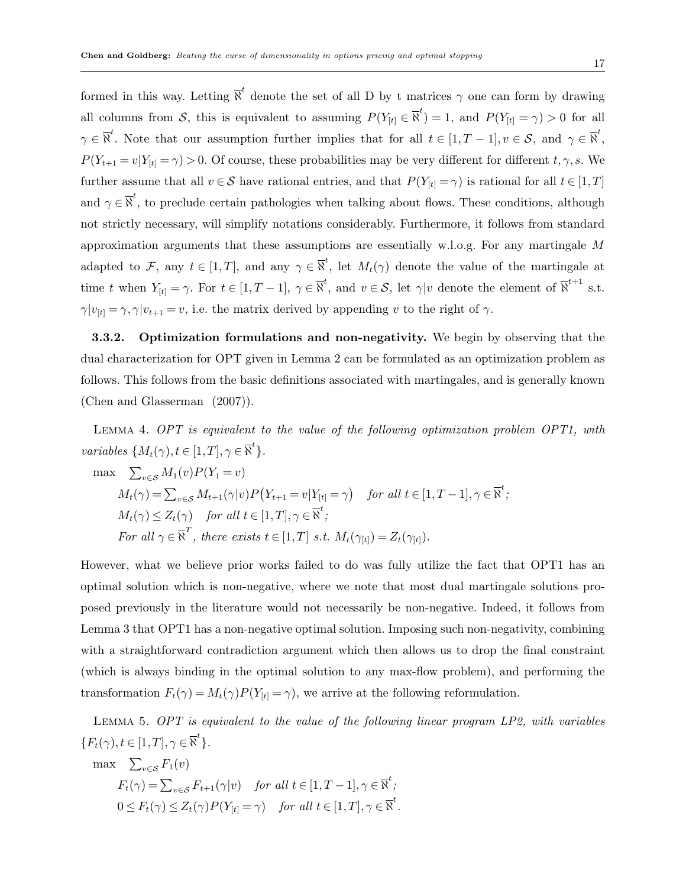formed in this way. Letting  $\overline{N}^t$  denote the set of all D by t matrices  $\gamma$  one can form by drawing all columns from S, this is equivalent to assuming  $P(Y_{[t]} \in \overline{N}^t) = 1$ , and  $P(Y_{[t]} = \gamma) > 0$  for all  $\gamma \in \overline{\aleph}^t$ . Note that our assumption further implies that for all  $t \in [1, T-1], v \in \mathcal{S}$ , and  $\gamma \in \overline{\aleph}^t$ ,  $P(Y_{t+1} = v | Y_{[t]} = \gamma) > 0$ . Of course, these probabilities may be very different for different  $t, \gamma, s$ . We further assume that all  $v \in S$  have rational entries, and that  $P(Y_{[t]} = \gamma)$  is rational for all  $t \in [1, T]$ and  $\gamma \in \overline{\mathbb{N}}^t$ , to preclude certain pathologies when talking about flows. These conditions, although not strictly necessary, will simplify notations considerably. Furthermore, it follows from standard approximation arguments that these assumptions are essentially w.l.o.g. For any martingale M adapted to F, any  $t \in [1,T]$ , and any  $\gamma \in \overline{\aleph}^t$ , let  $M_t(\gamma)$  denote the value of the martingale at time t when  $Y_{[t]} = \gamma$ . For  $t \in [1, T-1]$ ,  $\gamma \in \overline{\aleph}^t$ , and  $v \in \mathcal{S}$ , let  $\gamma|v$  denote the element of  $\overline{\aleph}^{t+1}$  s.t.  $\gamma|v_{[t]} = \gamma, \gamma|v_{t+1} = v$ , i.e. the matrix derived by appending v to the right of  $\gamma$ .

3.3.2. Optimization formulations and non-negativity. We begin by observing that the dual characterization for OPT given in Lemma 2 can be formulated as an optimization problem as follows. This follows from the basic definitions associated with martingales, and is generally known (Chen and Glasserman (2007)).

Lemma 4. OPT is equivalent to the value of the following optimization problem OPT1, with variables  $\{M_t(\gamma), t \in [1, T], \gamma \in \overline{\aleph}^t\}.$ 

$$
\max \sum_{v \in S} M_1(v) P(Y_1 = v)
$$
  
\n
$$
M_t(\gamma) = \sum_{v \in S} M_{t+1}(\gamma|v) P(Y_{t+1} = v | Y_{[t]} = \gamma) \quad \text{for all } t \in [1, T-1], \gamma \in \overline{\mathbb{N}}^t;
$$
  
\n
$$
M_t(\gamma) \le Z_t(\gamma) \quad \text{for all } t \in [1, T], \gamma \in \overline{\mathbb{N}}^t;
$$
  
\n
$$
\text{For all } \gamma \in \overline{\mathbb{N}}^T, \text{ there exists } t \in [1, T] \text{ s.t. } M_t(\gamma_{[t]}) = Z_t(\gamma_{[t]}).
$$

However, what we believe prior works failed to do was fully utilize the fact that OPT1 has an optimal solution which is non-negative, where we note that most dual martingale solutions proposed previously in the literature would not necessarily be non-negative. Indeed, it follows from Lemma 3 that OPT1 has a non-negative optimal solution. Imposing such non-negativity, combining with a straightforward contradiction argument which then allows us to drop the final constraint (which is always binding in the optimal solution to any max-flow problem), and performing the transformation  $F_t(\gamma) = M_t(\gamma)P(Y_{[t]} = \gamma)$ , we arrive at the following reformulation.

Lemma 5. OPT is equivalent to the value of the following linear program LP2, with variables  ${F_t(\gamma), t \in [1, T], \gamma \in \overline{\aleph}^t}.$ 

$$
\max \sum_{v \in \mathcal{S}} F_1(v)
$$
  
\n
$$
F_t(\gamma) = \sum_{v \in \mathcal{S}} F_{t+1}(\gamma | v) \quad \text{for all } t \in [1, T-1], \gamma \in \overline{\aleph}^t;
$$
  
\n
$$
0 \le F_t(\gamma) \le Z_t(\gamma) P(Y_{[t]} = \gamma) \quad \text{for all } t \in [1, T], \gamma \in \overline{\aleph}^t.
$$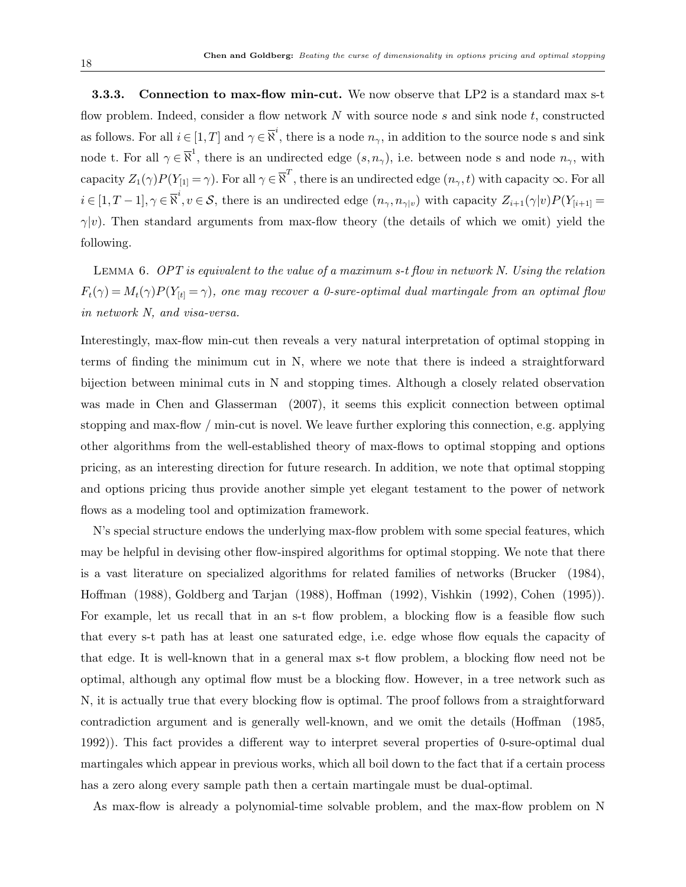3.3.3. Connection to max-flow min-cut. We now observe that LP2 is a standard max s-t flow problem. Indeed, consider a flow network  $N$  with source node  $s$  and sink node  $t$ , constructed as follows. For all  $i \in [1, T]$  and  $\gamma \in \overline{\aleph}^i$ , there is a node  $n_{\gamma}$ , in addition to the source node s and sink node t. For all  $\gamma \in \overline{\mathbb{R}}^1$ , there is an undirected edge  $(s, n_\gamma)$ , i.e. between node s and node  $n_\gamma$ , with capacity  $Z_1(\gamma)P(Y_{[1]}=\gamma)$ . For all  $\gamma\in\overline{\aleph}^T$ , there is an undirected edge  $(n_\gamma,t)$  with capacity  $\infty$ . For all  $i \in [1, T-1], \gamma \in \overline{\aleph}^i, v \in \mathcal{S}$ , there is an undirected edge  $(n_{\gamma}, n_{\gamma|v})$  with capacity  $Z_{i+1}(\gamma|v)P(Y_{[i+1]} =$  $\gamma|v\rangle$ . Then standard arguments from max-flow theory (the details of which we omit) yield the following.

Lemma 6. OPT is equivalent to the value of a maximum s-t flow in network N. Using the relation  $F_t(\gamma) = M_t(\gamma)P(Y_{[t]} = \gamma)$ , one may recover a 0-sure-optimal dual martingale from an optimal flow in network N, and visa-versa.

Interestingly, max-flow min-cut then reveals a very natural interpretation of optimal stopping in terms of finding the minimum cut in N, where we note that there is indeed a straightforward bijection between minimal cuts in N and stopping times. Although a closely related observation was made in Chen and Glasserman (2007), it seems this explicit connection between optimal stopping and max-flow / min-cut is novel. We leave further exploring this connection, e.g. applying other algorithms from the well-established theory of max-flows to optimal stopping and options pricing, as an interesting direction for future research. In addition, we note that optimal stopping and options pricing thus provide another simple yet elegant testament to the power of network flows as a modeling tool and optimization framework.

N's special structure endows the underlying max-flow problem with some special features, which may be helpful in devising other flow-inspired algorithms for optimal stopping. We note that there is a vast literature on specialized algorithms for related families of networks (Brucker (1984), Hoffman (1988), Goldberg and Tarjan (1988), Hoffman (1992), Vishkin (1992), Cohen (1995)). For example, let us recall that in an s-t flow problem, a blocking flow is a feasible flow such that every s-t path has at least one saturated edge, i.e. edge whose flow equals the capacity of that edge. It is well-known that in a general max s-t flow problem, a blocking flow need not be optimal, although any optimal flow must be a blocking flow. However, in a tree network such as N, it is actually true that every blocking flow is optimal. The proof follows from a straightforward contradiction argument and is generally well-known, and we omit the details (Hoffman (1985, 1992)). This fact provides a different way to interpret several properties of 0-sure-optimal dual martingales which appear in previous works, which all boil down to the fact that if a certain process has a zero along every sample path then a certain martingale must be dual-optimal.

As max-flow is already a polynomial-time solvable problem, and the max-flow problem on N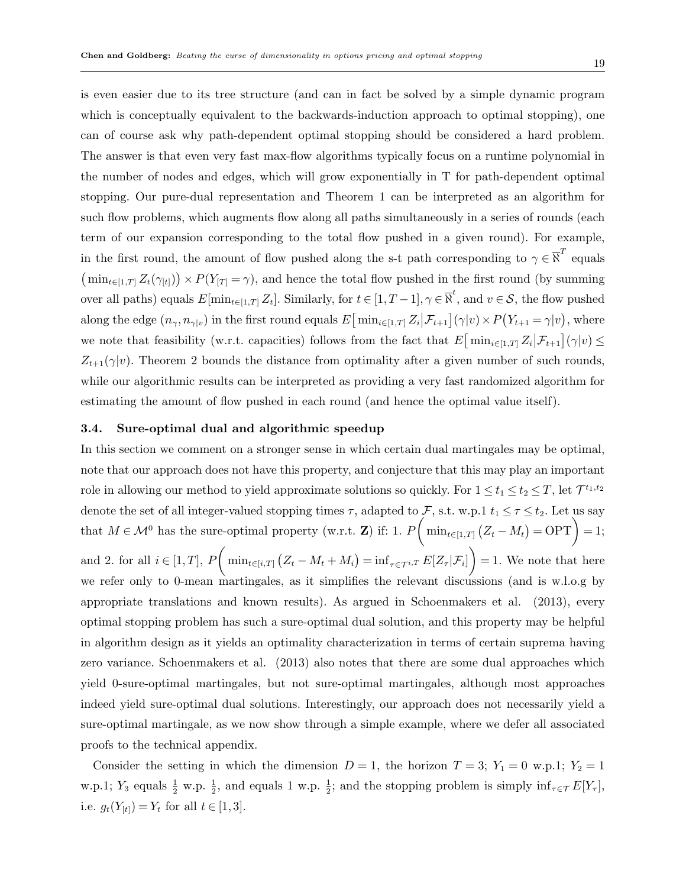is even easier due to its tree structure (and can in fact be solved by a simple dynamic program which is conceptually equivalent to the backwards-induction approach to optimal stopping), one can of course ask why path-dependent optimal stopping should be considered a hard problem. The answer is that even very fast max-flow algorithms typically focus on a runtime polynomial in the number of nodes and edges, which will grow exponentially in T for path-dependent optimal stopping. Our pure-dual representation and Theorem 1 can be interpreted as an algorithm for such flow problems, which augments flow along all paths simultaneously in a series of rounds (each term of our expansion corresponding to the total flow pushed in a given round). For example, in the first round, the amount of flow pushed along the s-t path corresponding to  $\gamma \in \overline{N}^T$  equals  $(\min_{t\in[1,T]}Z_t(\gamma_{[t]}))\times P(Y_{[T]}=\gamma)$ , and hence the total flow pushed in the first round (by summing over all paths) equals  $E[\min_{t \in [1,T]} Z_t]$ . Similarly, for  $t \in [1, T-1]$ ,  $\gamma \in \overline{\aleph}^t$ , and  $v \in \mathcal{S}$ , the flow pushed along the edge  $(n_{\gamma}, n_{\gamma|v})$  in the first round equals  $E\left[\min_{i\in[1,T]}Z_i\big|\mathcal{F}_{t+1}\right](\gamma|v)\times P(Y_{t+1}=\gamma|v)$ , where we note that feasibility (w.r.t. capacities) follows from the fact that  $E\left[\min_{i\in[1,T]}Z_i\big|\mathcal{F}_{t+1}\right](\gamma|v) \leq$  $Z_{t+1}(\gamma|v)$ . Theorem 2 bounds the distance from optimality after a given number of such rounds, while our algorithmic results can be interpreted as providing a very fast randomized algorithm for estimating the amount of flow pushed in each round (and hence the optimal value itself).

#### 3.4. Sure-optimal dual and algorithmic speedup

In this section we comment on a stronger sense in which certain dual martingales may be optimal, note that our approach does not have this property, and conjecture that this may play an important role in allowing our method to yield approximate solutions so quickly. For  $1 \le t_1 \le t_2 \le T$ , let  $\mathcal{T}^{t_1,t_2}$ denote the set of all integer-valued stopping times  $\tau$ , adapted to  $\mathcal{F}$ , s.t. w.p.1  $t_1 \leq \tau \leq t_2$ . Let us say that  $M \in \mathcal{M}^0$  has the sure-optimal property (w.r.t. **Z**) if: 1.  $P\left(\min_{t \in [1,T]} (Z_t - M_t) = \text{OPT}\right) = 1;$ and 2. for all  $i \in [1, T]$ ,  $P\left( \min_{t \in [i, T]} (Z_t - M_t + M_i) = \inf_{\tau \in \mathcal{T}^{i,T}} E[Z_\tau | \mathcal{F}_i] \right) = 1$ . We note that here we refer only to 0-mean martingales, as it simplifies the relevant discussions (and is w.l.o.g by appropriate translations and known results). As argued in Schoenmakers et al. (2013), every optimal stopping problem has such a sure-optimal dual solution, and this property may be helpful in algorithm design as it yields an optimality characterization in terms of certain suprema having zero variance. Schoenmakers et al. (2013) also notes that there are some dual approaches which yield 0-sure-optimal martingales, but not sure-optimal martingales, although most approaches indeed yield sure-optimal dual solutions. Interestingly, our approach does not necessarily yield a sure-optimal martingale, as we now show through a simple example, where we defer all associated proofs to the technical appendix.

Consider the setting in which the dimension  $D = 1$ , the horizon  $T = 3$ ;  $Y_1 = 0$  w.p.1;  $Y_2 = 1$ w.p.1;  $Y_3$  equals  $\frac{1}{2}$  w.p.  $\frac{1}{2}$ , and equals 1 w.p.  $\frac{1}{2}$ ; and the stopping problem is simply  $\inf_{\tau \in \mathcal{T}} E[Y_{\tau}],$ i.e.  $g_t(Y_{[t]}) = Y_t$  for all  $t \in [1, 3]$ .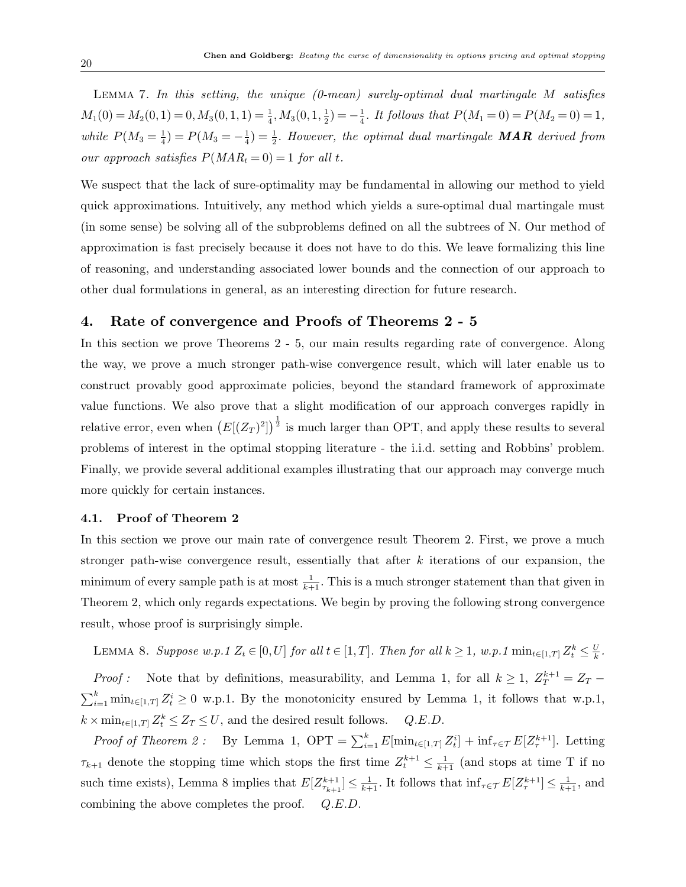LEMMA 7. In this setting, the unique  $(0$ -mean) surely-optimal dual martingale M satisfies  $M_1(0) = M_2(0, 1) = 0, M_3(0, 1, 1) = \frac{1}{4}, M_3(0, 1, \frac{1}{2})$  $(\frac{1}{2}) = -\frac{1}{4}$  $\frac{1}{4}$ . It follows that  $P(M_1 = 0) = P(M_2 = 0) = 1$ , while  $P(M_3 = \frac{1}{4})$  $(\frac{1}{4})=P(M_3=-\frac{1}{4})$  $\frac{1}{4}$ ) =  $\frac{1}{2}$ . However, the optimal dual martingale **MAR** derived from our approach satisfies  $P(MAR_t = 0) = 1$  for all t.

We suspect that the lack of sure-optimality may be fundamental in allowing our method to yield quick approximations. Intuitively, any method which yields a sure-optimal dual martingale must (in some sense) be solving all of the subproblems defined on all the subtrees of N. Our method of approximation is fast precisely because it does not have to do this. We leave formalizing this line of reasoning, and understanding associated lower bounds and the connection of our approach to other dual formulations in general, as an interesting direction for future research.

# 4. Rate of convergence and Proofs of Theorems 2 - 5

In this section we prove Theorems 2 - 5, our main results regarding rate of convergence. Along the way, we prove a much stronger path-wise convergence result, which will later enable us to construct provably good approximate policies, beyond the standard framework of approximate value functions. We also prove that a slight modification of our approach converges rapidly in relative error, even when  $(E[(Z_T)^2])^{\frac{1}{2}}$  is much larger than OPT, and apply these results to several problems of interest in the optimal stopping literature - the i.i.d. setting and Robbins' problem. Finally, we provide several additional examples illustrating that our approach may converge much more quickly for certain instances.

#### 4.1. Proof of Theorem 2

In this section we prove our main rate of convergence result Theorem 2. First, we prove a much stronger path-wise convergence result, essentially that after  $k$  iterations of our expansion, the minimum of every sample path is at most  $\frac{1}{k+1}$ . This is a much stronger statement than that given in Theorem 2, which only regards expectations. We begin by proving the following strong convergence result, whose proof is surprisingly simple.

LEMMA 8. Suppose w.p.1  $Z_t \in [0, U]$  for all  $t \in [1, T]$ . Then for all  $k \geq 1$ , w.p.1  $\min_{t \in [1, T]} Z_t^k \leq \frac{U}{k}$  $\frac{U}{k}$  .

*Proof*: Note that by definitions, measurability, and Lemma 1, for all  $k \geq 1$ ,  $Z_T^{k+1} = Z_T$  $\sum_{i=1}^k \min_{t \in [1,T]} Z_t^i \geq 0$  w.p.1. By the monotonicity ensured by Lemma 1, it follows that w.p.1,  $k \times \min_{t \in [1,T]} Z_t^k \le Z_T \le U$ , and the desired result follows.  $Q.E.D$ .

*Proof of Theorem 2:* By Lemma 1,  $\text{OPT} = \sum_{i=1}^{k} E[\min_{t \in [1,T]} Z_t^i] + \inf_{\tau \in \mathcal{T}} E[Z_{\tau}^{k+1}]$ . Letting  $\tau_{k+1}$  denote the stopping time which stops the first time  $Z_t^{k+1} \leq \frac{1}{k+1}$  (and stops at time T if no such time exists), Lemma 8 implies that  $E[Z_{\tau_{k+1}}^{k+1}] \leq \frac{1}{k+1}$ . It follows that  $\inf_{\tau \in \mathcal{T}} E[Z_{\tau}^{k+1}] \leq \frac{1}{k+1}$ , and combining the above completes the proof. Q.E.D.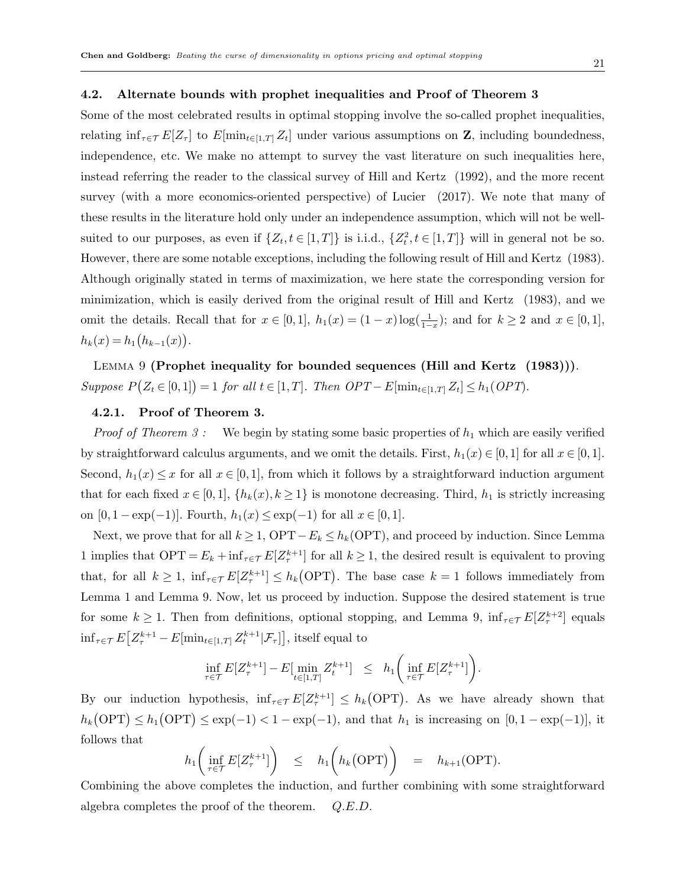#### 4.2. Alternate bounds with prophet inequalities and Proof of Theorem 3

Some of the most celebrated results in optimal stopping involve the so-called prophet inequalities, relating  $\inf_{\tau \in \mathcal{T}} E[Z_{\tau}]$  to  $E[\min_{t \in [1,T]} Z_t]$  under various assumptions on Z, including boundedness, independence, etc. We make no attempt to survey the vast literature on such inequalities here, instead referring the reader to the classical survey of Hill and Kertz (1992), and the more recent survey (with a more economics-oriented perspective) of Lucier (2017). We note that many of these results in the literature hold only under an independence assumption, which will not be wellsuited to our purposes, as even if  $\{Z_t, t \in [1,T]\}$  is i.i.d.,  $\{Z_t^2, t \in [1,T]\}$  will in general not be so. However, there are some notable exceptions, including the following result of Hill and Kertz (1983). Although originally stated in terms of maximization, we here state the corresponding version for minimization, which is easily derived from the original result of Hill and Kertz (1983), and we omit the details. Recall that for  $x \in [0,1]$ ,  $h_1(x) = (1-x)\log(\frac{1}{1-x})$ ; and for  $k \ge 2$  and  $x \in [0,1]$ ,  $h_k(x) = h_1(h_{k-1}(x)).$ 

LEMMA 9 (Prophet inequality for bounded sequences (Hill and Kertz (1983)). Suppose  $P(Z_t \in [0,1]) = 1$  for all  $t \in [1,T]$ . Then  $OPT - E[\min_{t \in [1,T]} Z_t] \leq h_1(OPT)$ .

# 4.2.1. Proof of Theorem 3.

*Proof of Theorem 3 :* We begin by stating some basic properties of  $h_1$  which are easily verified by straightforward calculus arguments, and we omit the details. First,  $h_1(x) \in [0,1]$  for all  $x \in [0,1]$ . Second,  $h_1(x) \leq x$  for all  $x \in [0,1]$ , from which it follows by a straightforward induction argument that for each fixed  $x \in [0,1]$ ,  $\{h_k(x), k \ge 1\}$  is monotone decreasing. Third,  $h_1$  is strictly increasing on  $[0, 1 - \exp(-1)]$ . Fourth,  $h_1(x) \leq \exp(-1)$  for all  $x \in [0, 1]$ .

Next, we prove that for all  $k \geq 1$ , OPT –  $E_k \leq h_k$  (OPT), and proceed by induction. Since Lemma 1 implies that  $OPT = E_k + \inf_{\tau \in \mathcal{T}} E[Z_{\tau}^{k+1}]$  for all  $k \geq 1$ , the desired result is equivalent to proving that, for all  $k \geq 1$ ,  $\inf_{\tau \in \mathcal{T}} E[Z_{\tau}^{k+1}] \leq h_k(\text{OPT})$ . The base case  $k = 1$  follows immediately from Lemma 1 and Lemma 9. Now, let us proceed by induction. Suppose the desired statement is true for some  $k \ge 1$ . Then from definitions, optional stopping, and Lemma 9,  $\inf_{\tau \in \mathcal{T}} E[Z_{\tau}^{k+2}]$  equals  $\inf_{\tau \in \mathcal{T}} E\big[Z_{\tau}^{k+1} - E[\min_{t \in [1,T]} Z_t^{k+1} | \mathcal{F}_{\tau}]\big],$  itself equal to

$$
\inf_{\tau \in \mathcal{T}} E[Z^{k+1}_{\tau}] - E[\min_{t \in [1,T]} Z^{k+1}_t] \leq h_1\bigg(\inf_{\tau \in \mathcal{T}} E[Z^{k+1}_{\tau}]\bigg).
$$

By our induction hypothesis,  $\inf_{\tau \in \mathcal{T}} E[Z_{\tau}^{k+1}] \leq h_k(\text{OPT})$ . As we have already shown that  $h_k(\text{OPT}) \leq h_1(\text{OPT}) \leq \exp(-1) < 1 - \exp(-1)$ , and that  $h_1$  is increasing on  $[0, 1 - \exp(-1)]$ , it follows that

$$
h_1\bigg(\inf_{\tau \in \mathcal{T}} E[Z^{k+1}_{\tau}]\bigg) \quad \leq \quad h_1\bigg(h_k\big(\text{OPT}\big)\bigg) \quad = \quad h_{k+1}(\text{OPT}).
$$

Combining the above completes the induction, and further combining with some straightforward algebra completes the proof of the theorem. Q.E.D.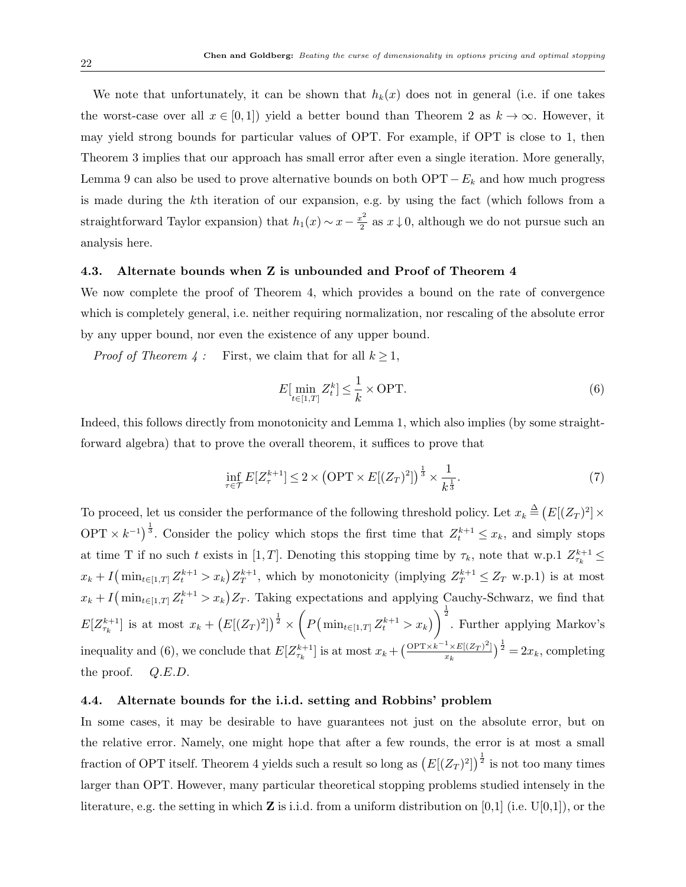We note that unfortunately, it can be shown that  $h_k(x)$  does not in general (i.e. if one takes the worst-case over all  $x \in [0,1]$  yield a better bound than Theorem 2 as  $k \to \infty$ . However, it may yield strong bounds for particular values of OPT. For example, if OPT is close to 1, then Theorem 3 implies that our approach has small error after even a single iteration. More generally, Lemma 9 can also be used to prove alternative bounds on both  $\text{OPT} - E_k$  and how much progress is made during the kth iteration of our expansion, e.g. by using the fact (which follows from a straightforward Taylor expansion) that  $h_1(x) \sim x - \frac{x^2}{2}$  $\frac{x^2}{2}$  as  $x \downarrow 0$ , although we do not pursue such an analysis here.

#### 4.3. Alternate bounds when Z is unbounded and Proof of Theorem 4

We now complete the proof of Theorem 4, which provides a bound on the rate of convergence which is completely general, i.e. neither requiring normalization, nor rescaling of the absolute error by any upper bound, nor even the existence of any upper bound.

*Proof of Theorem 4* : First, we claim that for all  $k \geq 1$ ,

$$
E\left[\min_{t \in [1,T]} Z_t^k\right] \le \frac{1}{k} \times \text{OPT}.\tag{6}
$$

Indeed, this follows directly from monotonicity and Lemma 1, which also implies (by some straightforward algebra) that to prove the overall theorem, it suffices to prove that

$$
\inf_{\tau \in \mathcal{T}} E[Z_{\tau}^{k+1}] \leq 2 \times \left(\text{OPT} \times E[(Z_T)^2]\right)^{\frac{1}{3}} \times \frac{1}{k^{\frac{1}{3}}}.\tag{7}
$$

To proceed, let us consider the performance of the following threshold policy. Let  $x_k \stackrel{\Delta}{=} (E[(Z_T)^2] \times$ OPT  $\times k^{-1}$ ,  $\frac{1}{3}$ . Consider the policy which stops the first time that  $Z_t^{k+1} \leq x_k$ , and simply stops at time T if no such t exists in [1, T]. Denoting this stopping time by  $\tau_k$ , note that w.p.1  $Z_{\tau_k}^{k+1} \leq$  $x_k + I(\min_{t \in [1,T]} Z_t^{k+1} > x_k) Z_T^{k+1}$ , which by monotonicity (implying  $Z_T^{k+1} \le Z_T$  w.p.1) is at most  $x_k + I(\min_{t \in [1,T]} Z_t^{k+1} > x_k) Z_T$ . Taking expectations and applying Cauchy-Schwarz, we find that  $E[Z_{\tau_k}^{k+1}]$  is at most  $x_k + (E[(Z_T)^2])^{\frac{1}{2}} \times \left(P(\min_{t \in [1,T]} Z_t^{k+1} > x_k)\right)^{\frac{1}{2}}$ . Further applying Markov's inequality and (6), we conclude that  $E[Z_{\tau_k}^{k+1}]$  is at most  $x_k + \left(\frac{\text{OPT} \times k^{-1} \times E[(Z_T)^2]}{x_k}\right)$  $\frac{1 \times E[(Z_T)^2]}{x_k}$  $\Big)^{\frac{1}{2}} = 2x_k$ , completing the proof.  $Q.E.D.$ 

#### 4.4. Alternate bounds for the i.i.d. setting and Robbins' problem

In some cases, it may be desirable to have guarantees not just on the absolute error, but on the relative error. Namely, one might hope that after a few rounds, the error is at most a small fraction of OPT itself. Theorem 4 yields such a result so long as  $(E[(Z_T)^2])^{\frac{1}{2}}$  is not too many times larger than OPT. However, many particular theoretical stopping problems studied intensely in the literature, e.g. the setting in which **Z** is i.i.d. from a uniform distribution on [0,1] (i.e.  $U[0,1]$ ), or the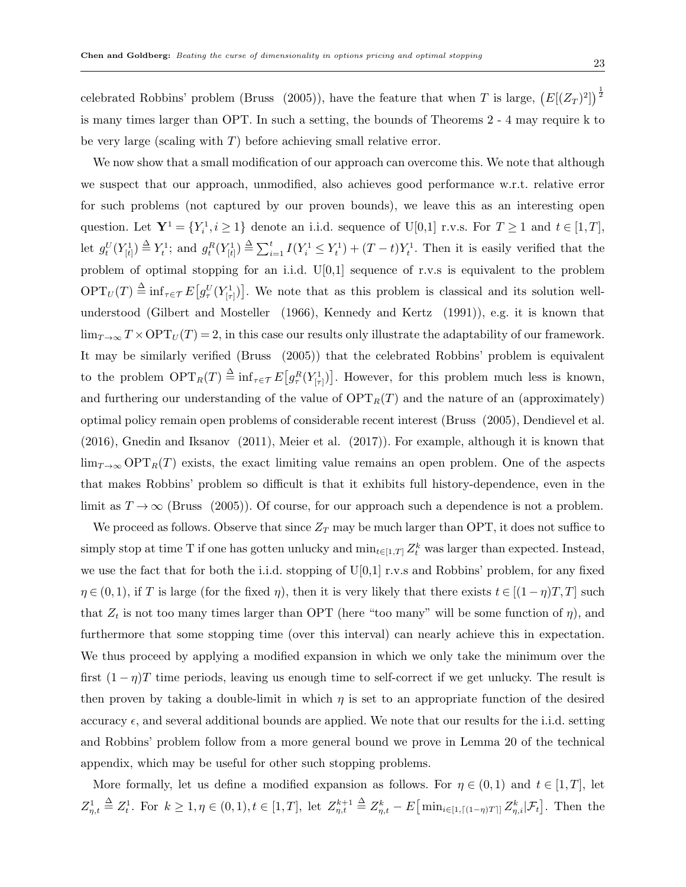celebrated Robbins' problem (Bruss (2005)), have the feature that when T is large,  $(E[(Z_T)^2])^{\frac{1}{2}}$ is many times larger than OPT. In such a setting, the bounds of Theorems 2 - 4 may require k to be very large (scaling with  $T$ ) before achieving small relative error.

We now show that a small modification of our approach can overcome this. We note that although we suspect that our approach, unmodified, also achieves good performance w.r.t. relative error for such problems (not captured by our proven bounds), we leave this as an interesting open question. Let  $\mathbf{Y}^1 = \{Y_i^1, i \geq 1\}$  denote an i.i.d. sequence of U[0,1] r.v.s. For  $T \geq 1$  and  $t \in [1, T]$ , let  $g_t^U(Y_{[t]}^1) \triangleq Y_t^1$ ; and  $g_t^R(Y_{[t]}^1) \triangleq \sum_{i=1}^t I(Y_i^1 \leq Y_t^1) + (T-t)Y_t^1$ . Then it is easily verified that the problem of optimal stopping for an i.i.d. U[0,1] sequence of r.v.s is equivalent to the problem  $\mathrm{OPT}_U(T) \triangleq \inf_{\tau \in \mathcal{T}} E[g_\tau^U(Y_{[\tau]}^1)]$ . We note that as this problem is classical and its solution wellunderstood (Gilbert and Mosteller (1966), Kennedy and Kertz (1991)), e.g. it is known that  $\lim_{T\to\infty}T\times \text{OPT}_U(T)=2$ , in this case our results only illustrate the adaptability of our framework. It may be similarly verified (Bruss (2005)) that the celebrated Robbins' problem is equivalent to the problem  $\text{OPT}_R(T) \stackrel{\Delta}{=} \inf_{\tau \in \mathcal{T}} E[g_\tau^R(Y_{[\tau]}^1)]$ . However, for this problem much less is known, and furthering our understanding of the value of  $\text{OPT}_R(T)$  and the nature of an (approximately) optimal policy remain open problems of considerable recent interest (Bruss (2005), Dendievel et al. (2016), Gnedin and Iksanov (2011), Meier et al. (2017)). For example, although it is known that  $\lim_{T\to\infty} \text{OPT}_R(T)$  exists, the exact limiting value remains an open problem. One of the aspects that makes Robbins' problem so difficult is that it exhibits full history-dependence, even in the limit as  $T \to \infty$  (Bruss (2005)). Of course, for our approach such a dependence is not a problem.

We proceed as follows. Observe that since  $Z_T$  may be much larger than OPT, it does not suffice to simply stop at time T if one has gotten unlucky and  $\min_{t \in [1,T]} Z_t^k$  was larger than expected. Instead, we use the fact that for both the i.i.d. stopping of  $U[0,1]$  r.v.s and Robbins' problem, for any fixed  $\eta \in (0,1)$ , if T is large (for the fixed  $\eta$ ), then it is very likely that there exists  $t \in [(1-\eta)T, T]$  such that  $Z_t$  is not too many times larger than OPT (here "too many" will be some function of  $\eta$ ), and furthermore that some stopping time (over this interval) can nearly achieve this in expectation. We thus proceed by applying a modified expansion in which we only take the minimum over the first  $(1 - \eta)T$  time periods, leaving us enough time to self-correct if we get unlucky. The result is then proven by taking a double-limit in which  $\eta$  is set to an appropriate function of the desired accuracy  $\epsilon$ , and several additional bounds are applied. We note that our results for the i.i.d. setting and Robbins' problem follow from a more general bound we prove in Lemma 20 of the technical appendix, which may be useful for other such stopping problems.

More formally, let us define a modified expansion as follows. For  $\eta \in (0,1)$  and  $t \in [1,T]$ , let  $Z_{\eta,t}^1 \triangleq Z_t^1$ . For  $k \geq 1, \eta \in (0,1), t \in [1,T]$ , let  $Z_{\eta,t}^{k+1} \triangleq Z_{\eta,t}^k - E[\min_{i \in [1,\lceil (1-\eta)T \rceil]} Z_{\eta,i}^k | \mathcal{F}_t].$  Then the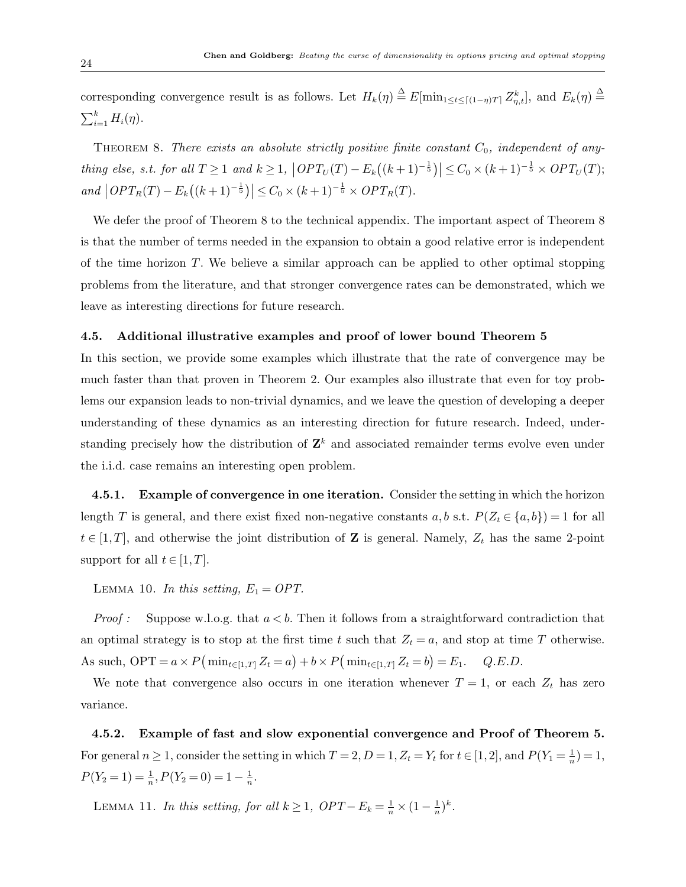corresponding convergence result is as follows. Let  $H_k(\eta) \stackrel{\Delta}{=} E[\min_{1 \le t \le \lceil (1-\eta)T \rceil} Z_{\eta,t}^k]$ , and  $E_k(\eta) \stackrel{\Delta}{=}$  $\sum_{i=1}^k H_i(\eta)$ .

THEOREM 8. There exists an absolute strictly positive finite constant  $C_0$ , independent of anything else, s.t. for all  $T \geq 1$  and  $k \geq 1$ ,  $\left| OPT_U(T) - E_k((k+1)^{-\frac{1}{5}}) \right| \leq C_0 \times (k+1)^{-\frac{1}{5}} \times OPT_U(T)$ ; and  $\left| OPT_R(T) - E_k((k+1)^{-\frac{1}{5}}) \right| \leq C_0 \times (k+1)^{-\frac{1}{5}} \times OPT_R(T)$ .

We defer the proof of Theorem 8 to the technical appendix. The important aspect of Theorem 8 is that the number of terms needed in the expansion to obtain a good relative error is independent of the time horizon T. We believe a similar approach can be applied to other optimal stopping problems from the literature, and that stronger convergence rates can be demonstrated, which we leave as interesting directions for future research.

#### 4.5. Additional illustrative examples and proof of lower bound Theorem 5

In this section, we provide some examples which illustrate that the rate of convergence may be much faster than that proven in Theorem 2. Our examples also illustrate that even for toy problems our expansion leads to non-trivial dynamics, and we leave the question of developing a deeper understanding of these dynamics as an interesting direction for future research. Indeed, understanding precisely how the distribution of  $\mathbf{Z}^k$  and associated remainder terms evolve even under the i.i.d. case remains an interesting open problem.

4.5.1. Example of convergence in one iteration. Consider the setting in which the horizon length T is general, and there exist fixed non-negative constants  $a, b$  s.t.  $P(Z_t \in \{a, b\}) = 1$  for all  $t \in [1, T]$ , and otherwise the joint distribution of **Z** is general. Namely,  $Z_t$  has the same 2-point support for all  $t \in [1, T]$ .

LEMMA 10. In this setting,  $E_1 = OPT$ .

*Proof :* Suppose w.l.o.g. that  $a < b$ . Then it follows from a straightforward contradiction that an optimal strategy is to stop at the first time t such that  $Z_t = a$ , and stop at time T otherwise. As such, OPT =  $a \times P(\min_{t \in [1,T]} Z_t = a) + b \times P(\min_{t \in [1,T]} Z_t = b) = E_1$ . Q.E.D.

We note that convergence also occurs in one iteration whenever  $T = 1$ , or each  $Z_t$  has zero variance.

4.5.2. Example of fast and slow exponential convergence and Proof of Theorem 5. For general  $n \geq 1$ , consider the setting in which  $T = 2$ ,  $D = 1$ ,  $Z_t = Y_t$  for  $t \in [1, 2]$ , and  $P(Y_1 = \frac{1}{n})$  $\frac{1}{n}) = 1,$  $P(Y_2 = 1) = \frac{1}{n}, P(Y_2 = 0) = 1 - \frac{1}{n}$  $\frac{1}{n}$  .

LEMMA 11. In this setting, for all  $k \geq 1$ ,  $OPT - E_k = \frac{1}{n} \times (1 - \frac{1}{n})$  $(\frac{1}{n})^k$ .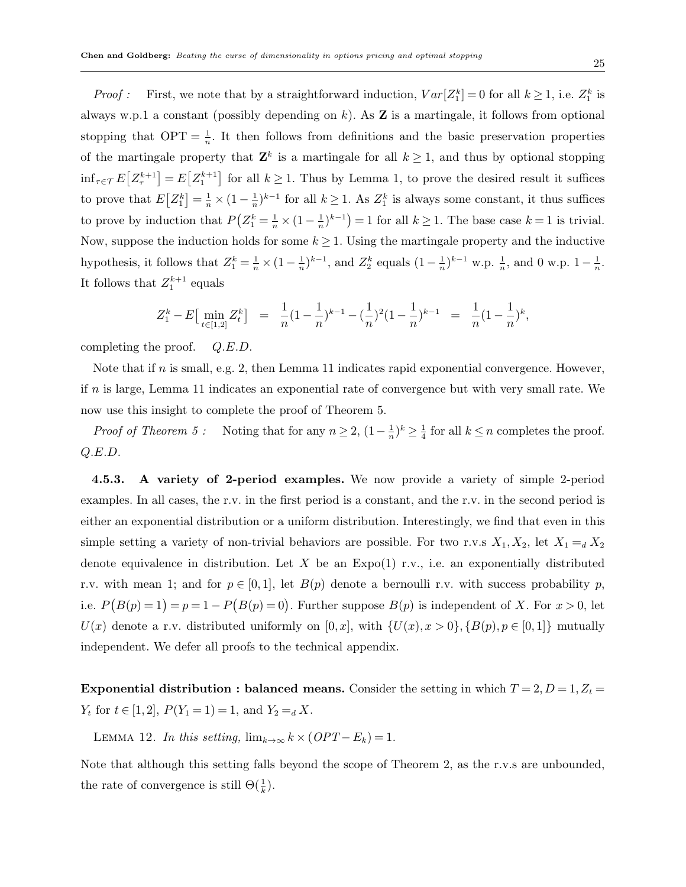*Proof*: First, we note that by a straightforward induction,  $Var[Z_1^k] = 0$  for all  $k \ge 1$ , i.e.  $Z_1^k$  is always w.p.1 a constant (possibly depending on k). As  $Z$  is a martingale, it follows from optional stopping that  $\text{OPT} = \frac{1}{n}$ . It then follows from definitions and the basic preservation properties of the martingale property that  $\mathbf{Z}^k$  is a martingale for all  $k \geq 1$ , and thus by optional stopping  $\inf_{\tau \in \mathcal{T}} E[Z^{k+1}_{\tau}] = E[Z^{k+1}_{1}]$  for all  $k \geq 1$ . Thus by Lemma 1, to prove the desired result it suffices to prove that  $E[Z_1^k] = \frac{1}{n} \times (1 - \frac{1}{n})$  $\frac{1}{n}$ <sup>k-1</sup> for all  $k \ge 1$ . As  $Z_1^k$  is always some constant, it thus suffices to prove by induction that  $P(Z_1^k = \frac{1}{n} \times (1 - \frac{1}{n}))$  $(\frac{1}{n})^{k-1}$  = 1 for all  $k \ge 1$ . The base case  $k = 1$  is trivial. Now, suppose the induction holds for some  $k \geq 1$ . Using the martingale property and the inductive hypothesis, it follows that  $Z_1^k = \frac{1}{n} \times (1 - \frac{1}{n})$  $(\frac{1}{n})^{k-1}$ , and  $Z_2^k$  equals  $(1 - \frac{1}{n})$  $(\frac{1}{n})^{k-1}$  w.p.  $\frac{1}{n}$ , and 0 w.p.  $1 - \frac{1}{n}$  $\frac{1}{n}$ . It follows that  $Z_1^{k+1}$  equals

$$
Z_1^k - E\left[\min_{t \in [1,2]} Z_t^k\right] = \frac{1}{n} (1 - \frac{1}{n})^{k-1} - (\frac{1}{n})^2 (1 - \frac{1}{n})^{k-1} = \frac{1}{n} (1 - \frac{1}{n})^k,
$$

completing the proof. Q.E.D.

Note that if  $n$  is small, e.g. 2, then Lemma 11 indicates rapid exponential convergence. However, if  $n$  is large, Lemma 11 indicates an exponential rate of convergence but with very small rate. We now use this insight to complete the proof of Theorem 5.

*Proof of Theorem 5* : Noting that for any  $n \geq 2$ ,  $(1 - \frac{1}{n})$  $(\frac{1}{n})^k \geq \frac{1}{4}$  $\frac{1}{4}$  for all  $k \leq n$  completes the proof. Q.E.D.

4.5.3. A variety of 2-period examples. We now provide a variety of simple 2-period examples. In all cases, the r.v. in the first period is a constant, and the r.v. in the second period is either an exponential distribution or a uniform distribution. Interestingly, we find that even in this simple setting a variety of non-trivial behaviors are possible. For two r.v.s  $X_1, X_2$ , let  $X_1 =_d X_2$ denote equivalence in distribution. Let X be an  $Expo(1)$  r.v., i.e. an exponentially distributed r.v. with mean 1; and for  $p \in [0,1]$ , let  $B(p)$  denote a bernoulli r.v. with success probability p, i.e.  $P(B(p) = 1) = p = 1 - P(B(p) = 0)$ . Further suppose  $B(p)$  is independent of X. For  $x > 0$ , let  $U(x)$  denote a r.v. distributed uniformly on  $[0, x]$ , with  $\{U(x), x > 0\}, \{B(p), p \in [0, 1]\}$  mutually independent. We defer all proofs to the technical appendix.

**Exponential distribution : balanced means.** Consider the setting in which  $T = 2, D = 1, Z_t =$  $Y_t$  for  $t \in [1,2], P(Y_1 = 1) = 1, \text{ and } Y_2 =_d X$ .

LEMMA 12. In this setting,  $\lim_{k\to\infty} k \times (OPT - E_k) = 1$ .

Note that although this setting falls beyond the scope of Theorem 2, as the r.v.s are unbounded, the rate of convergence is still  $\Theta(\frac{1}{k})$ .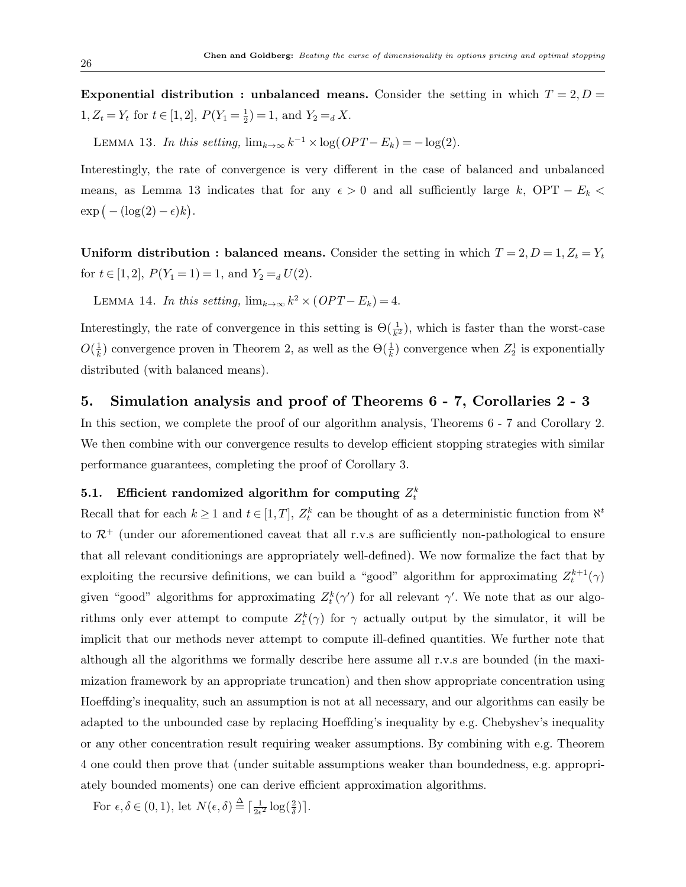Exponential distribution : unbalanced means. Consider the setting in which  $T = 2, D =$  $1, Z_t = Y_t$  for  $t \in [1,2], P(Y_1 = \frac{1}{2})$  $(\frac{1}{2}) = 1$ , and  $Y_2 =_d X$ .

LEMMA 13. In this setting,  $\lim_{k\to\infty} k^{-1} \times \log(OPT - E_k) = -\log(2)$ .

Interestingly, the rate of convergence is very different in the case of balanced and unbalanced means, as Lemma 13 indicates that for any  $\epsilon > 0$  and all sufficiently large k, OPT –  $E_k$  <  $\exp(-(\log(2)-\epsilon)k).$ 

Uniform distribution : balanced means. Consider the setting in which  $T = 2, D = 1, Z_t = Y_t$ for  $t \in [1, 2]$ ,  $P(Y_1 = 1) = 1$ , and  $Y_2 =_d U(2)$ .

LEMMA 14. In this setting,  $\lim_{k\to\infty} k^2 \times (OPT - E_k) = 4$ .

Interestingly, the rate of convergence in this setting is  $\Theta(\frac{1}{k^2})$ , which is faster than the worst-case  $O(\frac{1}{k})$  $\frac{1}{k}$ ) convergence proven in Theorem 2, as well as the  $\Theta(\frac{1}{k})$  convergence when  $Z_2^1$  is exponentially distributed (with balanced means).

# 5. Simulation analysis and proof of Theorems 6 - 7, Corollaries 2 - 3

In this section, we complete the proof of our algorithm analysis, Theorems 6 - 7 and Corollary 2. We then combine with our convergence results to develop efficient stopping strategies with similar performance guarantees, completing the proof of Corollary 3.

# 5.1. Efficient randomized algorithm for computing  $Z_t^k$

Recall that for each  $k \geq 1$  and  $t \in [1, T]$ ,  $Z_t^k$  can be thought of as a deterministic function from  $\aleph^t$ to  $\mathcal{R}^+$  (under our aforementioned caveat that all r.v.s are sufficiently non-pathological to ensure that all relevant conditionings are appropriately well-defined). We now formalize the fact that by exploiting the recursive definitions, we can build a "good" algorithm for approximating  $Z_t^{k+1}(\gamma)$ given "good" algorithms for approximating  $Z_t^k(\gamma')$  for all relevant  $\gamma'$ . We note that as our algorithms only ever attempt to compute  $Z_t^k(\gamma)$  for  $\gamma$  actually output by the simulator, it will be implicit that our methods never attempt to compute ill-defined quantities. We further note that although all the algorithms we formally describe here assume all r.v.s are bounded (in the maximization framework by an appropriate truncation) and then show appropriate concentration using Hoeffding's inequality, such an assumption is not at all necessary, and our algorithms can easily be adapted to the unbounded case by replacing Hoeffding's inequality by e.g. Chebyshev's inequality or any other concentration result requiring weaker assumptions. By combining with e.g. Theorem 4 one could then prove that (under suitable assumptions weaker than boundedness, e.g. appropriately bounded moments) one can derive efficient approximation algorithms.

For  $\epsilon, \delta \in (0,1)$ , let  $N(\epsilon, \delta) \stackrel{\Delta}{=} \lceil \frac{1}{2\epsilon} \rceil$  $\frac{1}{2\epsilon^2} \log(\frac{2}{\delta})$ .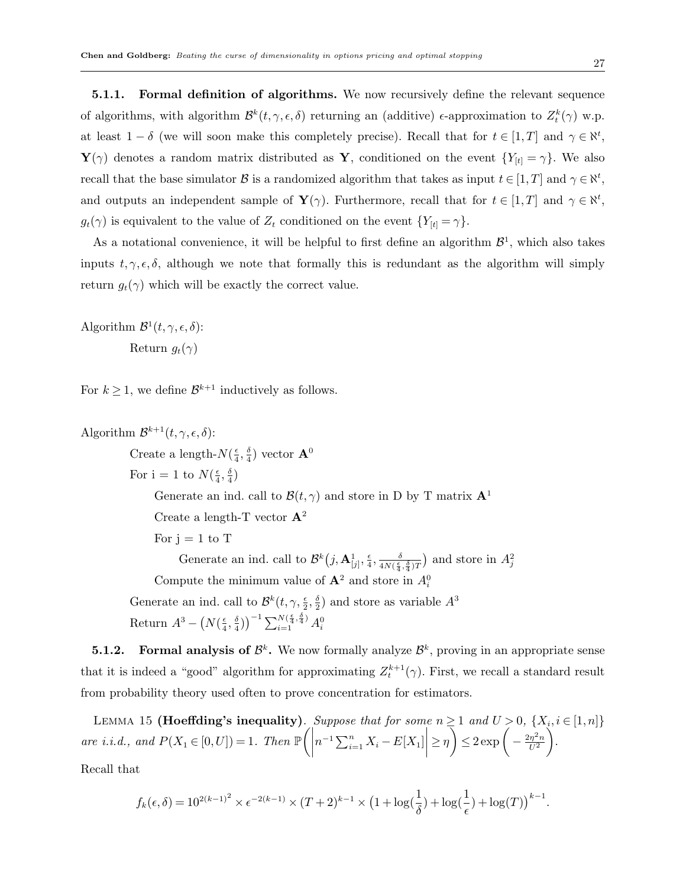**5.1.1.** Formal definition of algorithms. We now recursively define the relevant sequence of algorithms, with algorithm  $\mathcal{B}^k(t, \gamma, \epsilon, \delta)$  returning an (additive)  $\epsilon$ -approximation to  $Z_t^k(\gamma)$  w.p. at least  $1 - \delta$  (we will soon make this completely precise). Recall that for  $t \in [1, T]$  and  $\gamma \in \aleph^t$ ,  $\mathbf{Y}(\gamma)$  denotes a random matrix distributed as  $\mathbf{Y}$ , conditioned on the event  $\{Y_{[t]} = \gamma\}$ . We also recall that the base simulator  $\mathcal B$  is a randomized algorithm that takes as input  $t \in [1, T]$  and  $\gamma \in \aleph^t$ , and outputs an independent sample of  $\mathbf{Y}(\gamma)$ . Furthermore, recall that for  $t \in [1,T]$  and  $\gamma \in \aleph^t$ ,  $g_t(\gamma)$  is equivalent to the value of  $Z_t$  conditioned on the event  $\{Y_{[t]} = \gamma\}.$ 

As a notational convenience, it will be helpful to first define an algorithm  $\mathcal{B}^1$ , which also takes inputs  $t, \gamma, \epsilon, \delta$ , although we note that formally this is redundant as the algorithm will simply return  $g_t(\gamma)$  which will be exactly the correct value.

Algorithm  $\mathcal{B}^1(t, \gamma, \epsilon, \delta)$ : Return  $q_t(\gamma)$ 

For  $k \geq 1$ , we define  $\mathcal{B}^{k+1}$  inductively as follows.

Algorithm  $\mathcal{B}^{k+1}(t, \gamma, \epsilon, \delta)$ : Create a length- $N(\frac{\epsilon}{4})$  $\frac{\epsilon}{4}$ ,  $\frac{\delta}{4}$  $\frac{\delta}{4})$  vector  ${\bf A}^0$ For  $i = 1$  to  $N(\frac{\epsilon}{4})$  $\frac{\epsilon}{4}, \frac{\delta}{4}$  $\frac{\delta}{4})$ Generate an ind. call to  $\mathcal{B}(t,\gamma)$  and store in D by T matrix  $\mathbf{A}^1$ Create a length-T vector  $\mathbf{A}^2$ For  $j = 1$  to T Generate an ind. call to  $\mathcal{B}^k(j, \mathbf{A}^1_{[j]}, \frac{\epsilon}{4})$  $\frac{\epsilon}{4}$ ,  $\frac{\delta}{4N(\frac{\epsilon}{4})}$  $\frac{\delta}{4N(\frac{\epsilon}{4},\frac{\delta}{4})T}$  and store in  $A_j^2$ Compute the minimum value of  $\mathbf{A}^2$  and store in  $A_i^0$ Generate an ind. call to  $\mathcal{B}^k(t, \gamma, \frac{\epsilon}{2}, \frac{\delta}{2})$  $\frac{\delta}{2}$ ) and store as variable  $A^3$ Return  $A^3 - (N(\frac{\epsilon}{4}))$  $\frac{\epsilon}{4}, \frac{\delta}{4}$  $\left(\frac{\delta}{4})\right)^{-1} \sum_{i=1}^{N(\frac{\epsilon}{4}, \frac{\delta}{4})} A_i^0$ 

**5.1.2.** Formal analysis of  $\mathcal{B}^k$ . We now formally analyze  $\mathcal{B}^k$ , proving in an appropriate sense that it is indeed a "good" algorithm for approximating  $Z_t^{k+1}(\gamma)$ . First, we recall a standard result from probability theory used often to prove concentration for estimators.

LEMMA 15 (Hoeffding's inequality). Suppose that for some  $n \geq 1$  and  $U > 0$ ,  $\{X_i, i \in [1, n]\}$ are i.i.d., and  $P(X_1 \in [0, U]) = 1$ . Then  $\mathbb{P}\left(\bigg| \right)$  $n^{-1} \sum_{i=1}^{n} X_i - E[X_1]$  $\geq \eta \leq 2 \exp \left(-\frac{2\eta^2 n}{U^2}\right)$  $\overline{U^2}$  . Recall that

$$
f_k(\epsilon, \delta) = 10^{2(k-1)^2} \times \epsilon^{-2(k-1)} \times (T+2)^{k-1} \times \left(1 + \log(\frac{1}{\delta}) + \log(\frac{1}{\epsilon}) + \log(T)\right)^{k-1}.
$$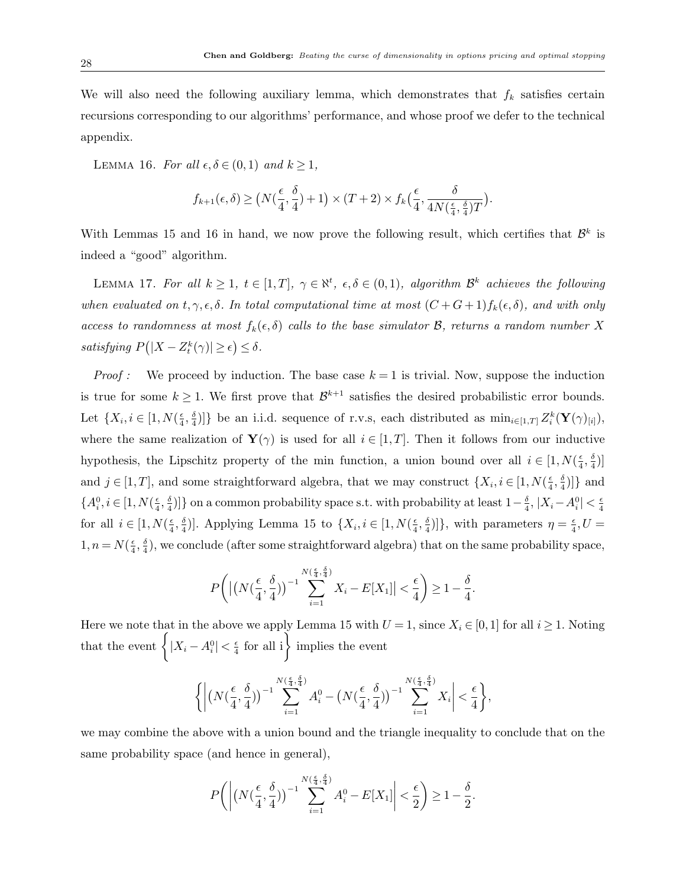We will also need the following auxiliary lemma, which demonstrates that  $f_k$  satisfies certain recursions corresponding to our algorithms' performance, and whose proof we defer to the technical appendix.

LEMMA 16. For all  $\epsilon, \delta \in (0,1)$  and  $k \geq 1$ ,

$$
f_{k+1}(\epsilon,\delta) \ge \left(N(\frac{\epsilon}{4},\frac{\delta}{4})+1\right) \times (T+2) \times f_k\left(\frac{\epsilon}{4},\frac{\delta}{4N(\frac{\epsilon}{4},\frac{\delta}{4})T}\right).
$$

With Lemmas 15 and 16 in hand, we now prove the following result, which certifies that  $\mathcal{B}^k$  is indeed a "good" algorithm.

LEMMA 17. For all  $k \geq 1$ ,  $t \in [1, T]$ ,  $\gamma \in \aleph^t$ ,  $\epsilon, \delta \in (0, 1)$ , algorithm  $\mathcal{B}^k$  achieves the following when evaluated on  $t, \gamma, \epsilon, \delta$ . In total computational time at most  $(C+G+1)f_k(\epsilon, \delta)$ , and with only access to randomness at most  $f_k(\epsilon, \delta)$  calls to the base simulator  $\mathcal{B}$ , returns a random number X satisfying  $P(|X - Z_t^k(\gamma)| \ge \epsilon) \le \delta$ .

*Proof :* We proceed by induction. The base case  $k = 1$  is trivial. Now, suppose the induction is true for some  $k \geq 1$ . We first prove that  $\mathcal{B}^{k+1}$  satisfies the desired probabilistic error bounds. Let  $\{X_i, i \in [1, N(\frac{\epsilon}{4})$  $\frac{\epsilon}{4}, \frac{\delta}{4}$  $\{\frac{\delta}{4})\}\$ be an i.i.d. sequence of r.v.s, each distributed as  $\min_{i\in[1,T]} Z_i^k(\mathbf{Y}(\gamma)_{[i]}),$ where the same realization of  $\mathbf{Y}(\gamma)$  is used for all  $i \in [1,T]$ . Then it follows from our inductive hypothesis, the Lipschitz property of the min function, a union bound over all  $i \in [1, N(\frac{\epsilon}{4})]$  $\frac{\epsilon}{4}, \frac{\delta}{4}$  $\frac{\delta}{4})]$ and  $j \in [1, T]$ , and some straightforward algebra, that we may construct  $\{X_i, i \in [1, N(\frac{\epsilon}{4})\}]$  $\frac{\epsilon}{4}, \frac{\delta}{4}$  $\frac{\delta}{4})$  and  ${A_i^0, i \in [1, N(\frac{\epsilon}{4})]}$  $\frac{\epsilon}{4}, \frac{\delta}{4}$  $\frac{\delta}{4}$ ]} on a common probability space s.t. with probability at least  $1-\frac{\delta}{4}$  $\frac{\delta}{4}$ ,  $|X_i - A_i^0| < \frac{\epsilon}{4}$ 4 for all  $i \in [1, N(\frac{\epsilon}{4})]$  $\frac{\epsilon}{4}, \frac{\delta}{4}$  $\frac{\delta}{4}$ ]. Applying Lemma 15 to  $\{X_i, i \in [1, N(\frac{\epsilon}{4})]$  $\frac{\epsilon}{4}, \frac{\delta}{4}$  $\left[\frac{\delta}{4}\right]$ , with parameters  $\eta = \frac{\epsilon}{4}$  $\frac{\epsilon}{4}, U =$  $1, n = N(\frac{\epsilon}{4})$  $\frac{\epsilon}{4}, \frac{\delta}{4}$  $\frac{\delta}{4}$ , we conclude (after some straightforward algebra) that on the same probability space,

$$
P\bigg(\big|\big(N\big(\frac{\epsilon}{4},\frac{\delta}{4}\big)\big)^{-1}\sum_{i=1}^{N\big(\frac{\epsilon}{4},\frac{\delta}{4}\big)}X_i - E[X_1]\big| < \frac{\epsilon}{4}\bigg) \ge 1 - \frac{\delta}{4}.
$$

Here we note that in the above we apply Lemma 15 with  $U = 1$ , since  $X_i \in [0, 1]$  for all  $i \ge 1$ . Noting that the event  $\Big\{ |X_i - A_i^0| < \frac{\epsilon}{4}$  $\frac{\epsilon}{4}$  for all i implies the event

$$
\bigg\{\bigg|\big(N\big(\frac{\epsilon}{4},\frac{\delta}{4}\big)\bigg)^{-1} \sum_{i=1}^{N\big(\frac{\epsilon}{4},\frac{\delta}{4}\big)} A^0_i - \big(N\big(\frac{\epsilon}{4},\frac{\delta}{4}\big)\bigg)^{-1} \sum_{i=1}^{N\big(\frac{\epsilon}{4},\frac{\delta}{4}\big)} X_i\bigg| < \frac{\epsilon}{4}\bigg\},
$$

we may combine the above with a union bound and the triangle inequality to conclude that on the same probability space (and hence in general),

$$
P\bigg( \bigg| \big(N\big(\frac{\epsilon}{4}, \frac{\delta}{4}\big)\big)^{-1} \sum_{i=1}^{N\big(\frac{\epsilon}{4}, \frac{\delta}{4}\big)} A_i^0 - E[X_1] \bigg| < \frac{\epsilon}{2} \bigg) \ge 1 - \frac{\delta}{2}.
$$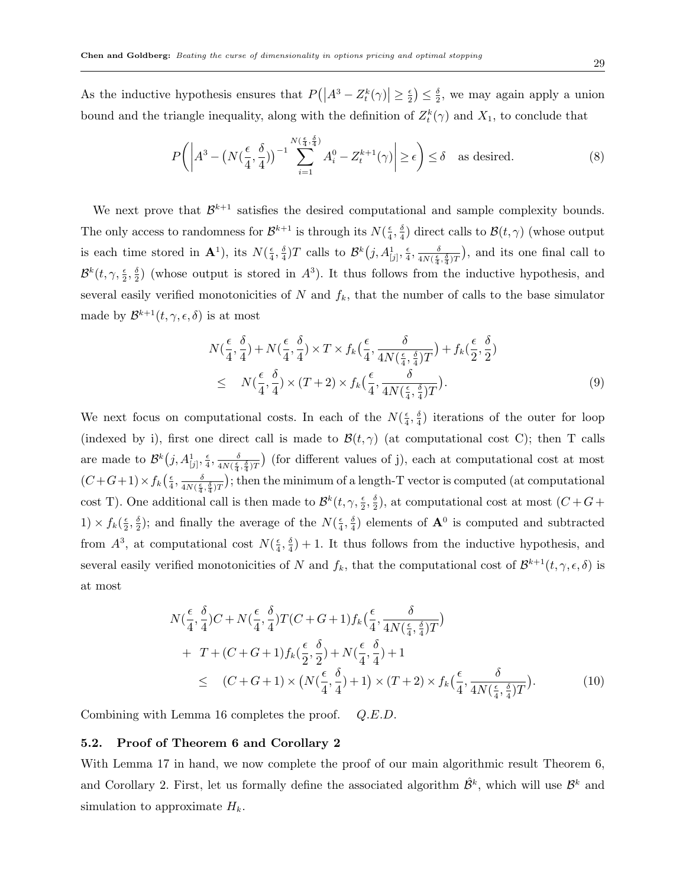As the inductive hypothesis ensures that  $P(|A^3 - Z_t^k(\gamma)| \ge \frac{\epsilon}{2})$  $(\frac{\epsilon}{2}) \leq \frac{\delta}{2}$  $\frac{\delta}{2}$ , we may again apply a union bound and the triangle inequality, along with the definition of  $Z_t^k(\gamma)$  and  $X_1$ , to conclude that

$$
P\left(\left|A^3 - \left(N\left(\frac{\epsilon}{4}, \frac{\delta}{4}\right)\right)^{-1} \sum_{i=1}^{N\left(\frac{\epsilon}{4}, \frac{\delta}{4}\right)} A_i^0 - Z_t^{k+1}(\gamma)\right| \ge \epsilon\right) \le \delta \quad \text{as desired.} \tag{8}
$$

We next prove that  $\mathcal{B}^{k+1}$  satisfies the desired computational and sample complexity bounds. The only access to randomness for  $\mathcal{B}^{k+1}$  is through its  $N(\frac{\epsilon}{4})$  $\frac{\epsilon}{4}, \frac{\delta}{4}$  $\frac{\delta}{4}$ ) direct calls to  $\mathcal{B}(t,\gamma)$  (whose output is each time stored in  $\mathbf{A}^1$ ), its  $N(\frac{\epsilon}{4})$  $\frac{\epsilon}{4}, \frac{\delta}{4}$  $\frac{\delta}{4}$ )T calls to  $\mathcal{B}^k(j, A^1_{[j]}, \frac{\epsilon}{4})$  $\frac{\epsilon}{4}$ ,  $\frac{\delta}{4N(\frac{\epsilon}{4})}$  $\frac{\delta}{4N(\frac{\epsilon}{4},\frac{\delta}{4})T}$ , and its one final call to  $\mathcal{B}^k(t,\gamma,\frac{\epsilon}{2},\frac{\delta}{2}$  $\frac{\delta}{2}$ ) (whose output is stored in  $A^3$ ). It thus follows from the inductive hypothesis, and several easily verified monotonicities of  $N$  and  $f_k$ , that the number of calls to the base simulator made by  $\mathcal{B}^{k+1}(t, \gamma, \epsilon, \delta)$  is at most

$$
N(\frac{\epsilon}{4}, \frac{\delta}{4}) + N(\frac{\epsilon}{4}, \frac{\delta}{4}) \times T \times f_k(\frac{\epsilon}{4}, \frac{\delta}{4N(\frac{\epsilon}{4}, \frac{\delta}{4})T}) + f_k(\frac{\epsilon}{2}, \frac{\delta}{2})
$$
  
\n
$$
\leq N(\frac{\epsilon}{4}, \frac{\delta}{4}) \times (T+2) \times f_k(\frac{\epsilon}{4}, \frac{\delta}{4N(\frac{\epsilon}{4}, \frac{\delta}{4})T}).
$$
\n(9)

We next focus on computational costs. In each of the  $N(\frac{\epsilon}{4})$  $\frac{\epsilon}{4}, \frac{\delta}{4}$  $\frac{\delta}{4}$ ) iterations of the outer for loop (indexed by i), first one direct call is made to  $\mathcal{B}(t,\gamma)$  (at computational cost C); then T calls are made to  $\mathcal{B}^k(j, A^1_{[j]}, \frac{\epsilon}{4})$  $\frac{\epsilon}{4}, \frac{\delta}{4N(\frac{\epsilon}{\pi})}$  $\frac{\delta}{4N(\frac{\epsilon}{4},\frac{\delta}{4})T}$  (for different values of j), each at computational cost at most  $(C+G+1)\times f_k\left(\frac{\epsilon}{4}\right)$  $\frac{\epsilon}{4}, \frac{\delta}{4N(\frac{\epsilon}{4})}$  $\frac{\delta}{4N(\frac{\epsilon}{4},\frac{\delta}{4})T}$ ); then the minimum of a length-T vector is computed (at computational cost T). One additional call is then made to  $\mathcal{B}^k(t, \gamma, \frac{\epsilon}{2}, \frac{\delta}{2})$  $\frac{\delta}{2}$ ), at computational cost at most  $(C+G+$  $1) \times f_k(\frac{\epsilon}{2})$  $\frac{\epsilon}{2}, \frac{\delta}{2}$  $\frac{\delta}{2}$ ); and finally the average of the  $N(\frac{\epsilon}{4})$  $\frac{\epsilon}{4}, \frac{\delta}{4}$  $\frac{\delta}{4}$ ) elements of  $\mathbf{A}^0$  is computed and subtracted from  $A^3$ , at computational cost  $N(\frac{\epsilon}{4})$  $\frac{\epsilon}{4}, \frac{\delta}{4}$  $\frac{\delta}{4}$  + 1. It thus follows from the inductive hypothesis, and several easily verified monotonicities of N and  $f_k$ , that the computational cost of  $\mathcal{B}^{k+1}(t,\gamma,\epsilon,\delta)$  is at most

$$
N\left(\frac{\epsilon}{4}, \frac{\delta}{4}\right)C + N\left(\frac{\epsilon}{4}, \frac{\delta}{4}\right)T(C + G + 1)f_k\left(\frac{\epsilon}{4}, \frac{\delta}{4N\left(\frac{\epsilon}{4}, \frac{\delta}{4}\right)T}\right) + T + (C + G + 1)f_k\left(\frac{\epsilon}{2}, \frac{\delta}{2}\right) + N\left(\frac{\epsilon}{4}, \frac{\delta}{4}\right) + 1 \leq (C + G + 1) \times \left(N\left(\frac{\epsilon}{4}, \frac{\delta}{4}\right) + 1\right) \times (T + 2) \times f_k\left(\frac{\epsilon}{4}, \frac{\delta}{4N\left(\frac{\epsilon}{4}, \frac{\delta}{4}\right)T}\right).
$$
 (10)

Combining with Lemma 16 completes the proof. Q.E.D.

#### 5.2. Proof of Theorem 6 and Corollary 2

With Lemma 17 in hand, we now complete the proof of our main algorithmic result Theorem 6, and Corollary 2. First, let us formally define the associated algorithm  $\hat{\mathcal{B}}^k$ , which will use  $\mathcal{B}^k$  and simulation to approximate  $H_k$ .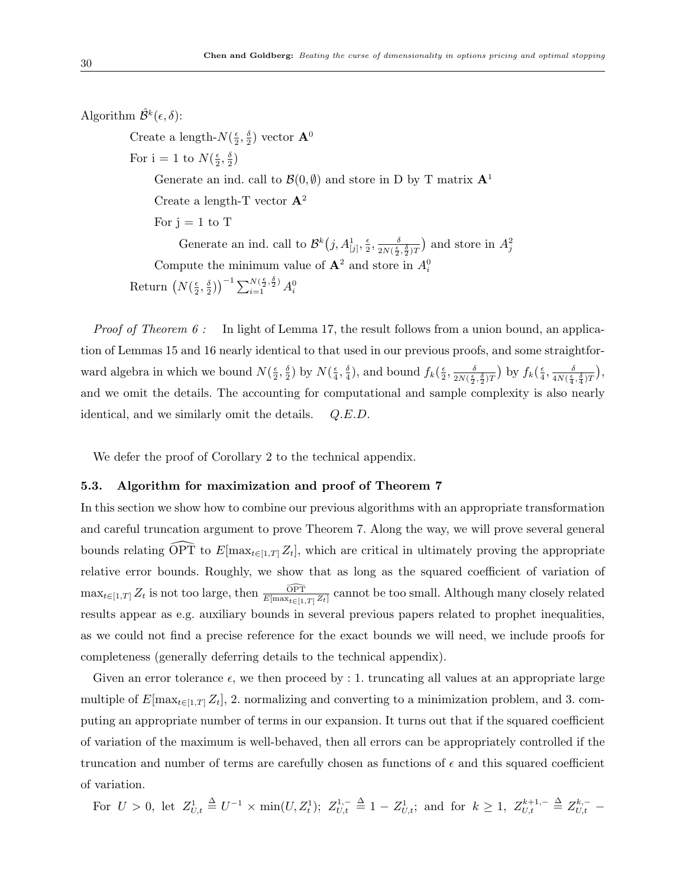Algorithm  $\hat{\mathcal{B}}^k(\epsilon,\delta)$ : Create a length- $N(\frac{e}{2})$  $\frac{\epsilon}{2}, \frac{\delta}{2}$  $\frac{\delta}{2})$  vector  $\mathbf{A}^0$ For  $i = 1$  to  $N(\frac{\epsilon}{2})$  $\frac{\epsilon}{2}, \frac{\delta}{2}$  $\frac{\delta}{2})$ Generate an ind. call to  $\mathcal{B}(0, \emptyset)$  and store in D by T matrix  $\mathbf{A}^1$ Create a length-T vector  $\mathbf{A}^2$ For  $j = 1$  to T Generate an ind. call to  $\mathcal{B}^k(j, A^1_{[j]}, \frac{\epsilon}{2})$  $\frac{\epsilon}{2}, \frac{\delta}{2N(\frac{\epsilon}{2})}$  $\frac{\delta}{2N(\frac{\epsilon}{2},\frac{\delta}{2})T}$  and store in  $A_j^2$ Compute the minimum value of  $\mathbf{A}^2$  and store in  $A_i^0$ Return  $(N(\frac{\epsilon}{2}))$  $\frac{\epsilon}{2}, \frac{\delta}{2}$  $\left(\frac{\delta}{2}\right)\right)^{-1} \sum_{i=1}^{N(\frac{\epsilon}{2},\frac{\delta}{2})} A_i^0$ 

*Proof of Theorem 6 :* In light of Lemma 17, the result follows from a union bound, an application of Lemmas 15 and 16 nearly identical to that used in our previous proofs, and some straightforward algebra in which we bound  $N(\frac{\epsilon}{2})$  $\frac{\epsilon}{2}, \frac{\delta}{2}$  $\frac{\delta}{2}$ ) by  $N(\frac{\epsilon}{4})$  $\frac{\epsilon}{4}, \frac{\delta}{4}$  $\frac{\delta}{4}$ ), and bound  $f_k(\frac{\epsilon}{2})$  $\frac{\epsilon}{2}, \frac{\delta}{2N(\frac{\epsilon}{2})}$  $\frac{\delta}{2 N(\frac{\epsilon}{2},\frac{\delta}{2}) T} \big)$  by  $f_k(\frac{\epsilon}{4})$  $\frac{\epsilon}{4}$ ,  $\frac{\delta}{4N(\frac{\epsilon}{4})}$  $\frac{\delta}{4N(\frac{\epsilon}{4}, \frac{\delta}{4})T}\Big),$ and we omit the details. The accounting for computational and sample complexity is also nearly identical, and we similarly omit the details. Q.E.D.

We defer the proof of Corollary 2 to the technical appendix.

#### 5.3. Algorithm for maximization and proof of Theorem 7

In this section we show how to combine our previous algorithms with an appropriate transformation and careful truncation argument to prove Theorem 7. Along the way, we will prove several general bounds relating  $\widehat{\text{OPT}}$  to  $E[\max_{t \in [1,T]} Z_t]$ , which are critical in ultimately proving the appropriate relative error bounds. Roughly, we show that as long as the squared coefficient of variation of  $\max_{t \in [1,T]} Z_t$  is not too large, then  $\frac{\widehat{\text{OPT}}}{E[\max_{t \in [1,T]} Z_t]}$  cannot be too small. Although many closely related results appear as e.g. auxiliary bounds in several previous papers related to prophet inequalities, as we could not find a precise reference for the exact bounds we will need, we include proofs for completeness (generally deferring details to the technical appendix).

Given an error tolerance  $\epsilon$ , we then proceed by : 1. truncating all values at an appropriate large multiple of  $E[\max_{t \in [1,T]} Z_t]$ , 2. normalizing and converting to a minimization problem, and 3. computing an appropriate number of terms in our expansion. It turns out that if the squared coefficient of variation of the maximum is well-behaved, then all errors can be appropriately controlled if the truncation and number of terms are carefully chosen as functions of  $\epsilon$  and this squared coefficient of variation.

 $\text{For } U > 0, \text{ let } Z_{U,t}^1 \triangleq U^{-1} \times \min(U, Z_t^1); \ Z_{U,t}^{1,-} \triangleq 1 - Z_{U,t}^1; \text{ and for } k \geq 1, \ Z_{U,t}^{k+1,-} \triangleq Z_{U,t}^{k,-}$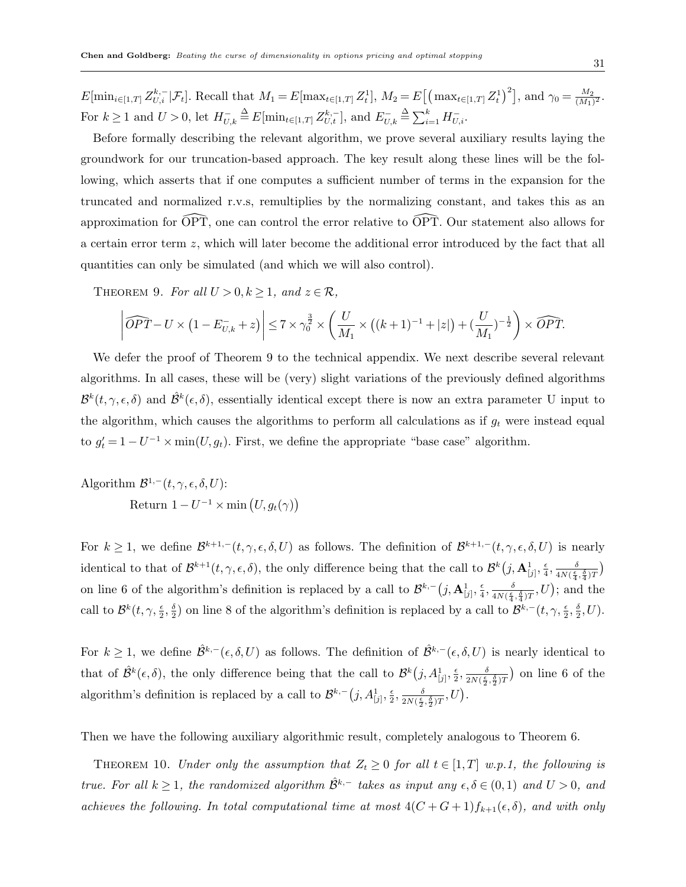$E[\min_{i \in [1,T]} Z^{k,-}_{U,i} | \mathcal{F}_t].$  Recall that  $M_1 = E[\max_{t \in [1,T]} Z_t^1], M_2 = E[(\max_{t \in [1,T]} Z_t^1)^2],$  and  $\gamma_0 = \frac{M_2}{(M_1)}$  $\frac{M_2}{(M_1)^2}$ . For  $k \ge 1$  and  $U > 0$ , let  $H_{U,k}^{-} \triangleq E[\min_{t \in [1,T]} Z_{U,t}^{k,-}]$ , and  $E_{U,k}^{-} \triangleq \sum_{i=1}^{k} H_{U,i}^{-}$ .

Before formally describing the relevant algorithm, we prove several auxiliary results laying the groundwork for our truncation-based approach. The key result along these lines will be the following, which asserts that if one computes a sufficient number of terms in the expansion for the truncated and normalized r.v.s, remultiplies by the normalizing constant, and takes this as an approximation for  $\widehat{OPT}$ , one can control the error relative to  $\widehat{OPT}$ . Our statement also allows for a certain error term z, which will later become the additional error introduced by the fact that all quantities can only be simulated (and which we will also control).

THEOREM 9. For all  $U > 0, k > 1$ , and  $z \in \mathcal{R}$ ,

$$
\left|\widehat{OPT} - U \times \left(1 - E_{U,k}^- + z\right)\right| \leq 7 \times \gamma_0^{\frac{3}{2}} \times \left(\frac{U}{M_1} \times \left((k+1)^{-1} + |z|\right) + (\frac{U}{M_1})^{-\frac{1}{2}}\right) \times \widehat{OPT}.
$$

We defer the proof of Theorem 9 to the technical appendix. We next describe several relevant algorithms. In all cases, these will be (very) slight variations of the previously defined algorithms  $\mathcal{B}^k(t,\gamma,\epsilon,\delta)$  and  $\hat{\mathcal{B}}^k(\epsilon,\delta)$ , essentially identical except there is now an extra parameter U input to the algorithm, which causes the algorithms to perform all calculations as if  $g_t$  were instead equal to  $g_t' = 1 - U^{-1} \times \min(U, g_t)$ . First, we define the appropriate "base case" algorithm.

Algorithm  $\mathcal{B}^{1,-}(t,\gamma,\epsilon,\delta,U)$ : Return  $1 - U^{-1} \times \min(U, g_t(\gamma))$ 

For  $k \geq 1$ , we define  $\mathcal{B}^{k+1,-}(t,\gamma,\epsilon,\delta,U)$  as follows. The definition of  $\mathcal{B}^{k+1,-}(t,\gamma,\epsilon,\delta,U)$  is nearly identical to that of  $\mathcal{B}^{k+1}(t,\gamma,\epsilon,\delta)$ , the only difference being that the call to  $\mathcal{B}^k(j,\mathbf{A}^1_{[j]},\frac{\epsilon}{4})$  $\frac{\epsilon}{4}, \frac{\delta}{4N(\frac{\epsilon}{4})}$  $\frac{\delta}{4N(\frac{\epsilon}{4},\frac{\delta}{4})T}$ on line 6 of the algorithm's definition is replaced by a call to  $\mathcal{B}^{k,-}(j,\mathbf{A}_{[j]}^1, \frac{\epsilon}{4})$  $\frac{\epsilon}{4}, \frac{\delta}{4N(\frac{\epsilon}{4})}$  $\frac{\delta}{4N(\frac{\epsilon}{4},\frac{\delta}{4})T}, U$ ; and the call to  $\mathcal{B}^k(t,\gamma,\frac{\epsilon}{2},\frac{\delta}{2})$  $\frac{\delta}{2}$ ) on line 8 of the algorithm's definition is replaced by a call to  $\mathcal{B}^{k,-}(t,\gamma,\frac{\epsilon}{2},\frac{\delta}{2})$  $\frac{\delta}{2}, U$ ).

For  $k \geq 1$ , we define  $\hat{\mathcal{B}}^{k,-}(\epsilon,\delta,U)$  as follows. The definition of  $\hat{\mathcal{B}}^{k,-}(\epsilon,\delta,U)$  is nearly identical to that of  $\hat{\mathcal{B}}^k(\epsilon,\delta)$ , the only difference being that the call to  $\mathcal{B}^k(j,A^1_{[j]},\frac{\epsilon}{2})$  $\frac{\epsilon}{2}, \frac{\delta}{2N(\frac{\epsilon}{2})}$  $\frac{\delta}{2N(\frac{\epsilon}{2},\frac{\delta}{2})T}$  on line 6 of the algorithm's definition is replaced by a call to  $\mathcal{B}^{k,-}(j, A^1_{[j]}, \frac{\epsilon}{2})$  $\frac{\epsilon}{2}, \frac{\delta}{2N(\frac{\epsilon}{2})}$  $\frac{\delta}{2N(\frac{\epsilon}{2},\frac{\delta}{2})T}, U$ ).

Then we have the following auxiliary algorithmic result, completely analogous to Theorem 6.

THEOREM 10. Under only the assumption that  $Z_t \geq 0$  for all  $t \in [1, T]$  w.p.1, the following is true. For all  $k \ge 1$ , the randomized algorithm  $\hat{\mathcal{B}}^{k,-}$  takes as input any  $\epsilon, \delta \in (0,1)$  and  $U > 0$ , and achieves the following. In total computational time at most  $4(C+G+1)f_{k+1}(\epsilon,\delta)$ , and with only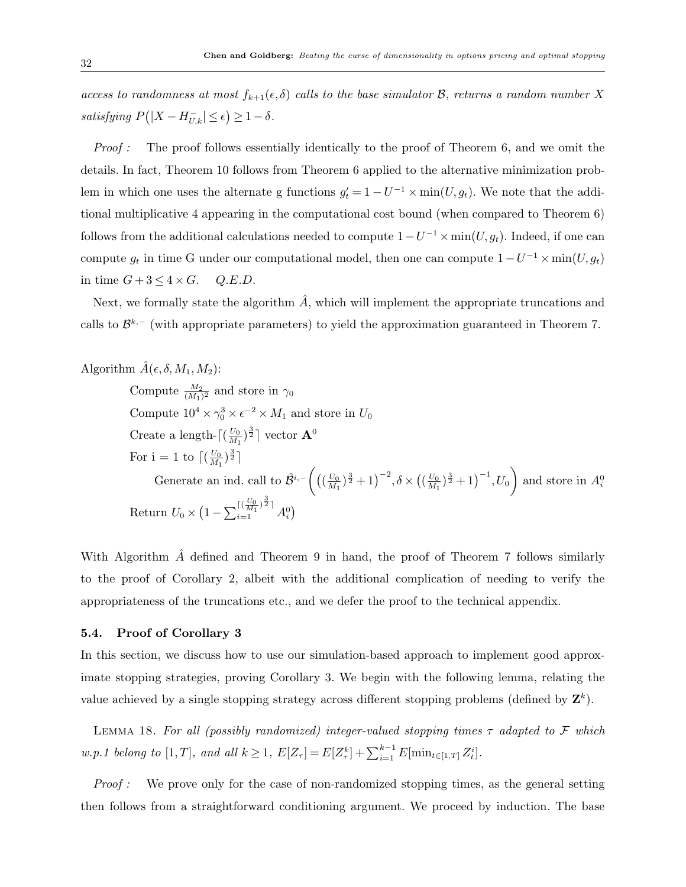access to randomness at most  $f_{k+1}(\epsilon, \delta)$  calls to the base simulator  $\mathcal{B}$ , returns a random number X satisfying  $P(|X - H_{U,k}^-| \leq \epsilon) \geq 1 - \delta$ .

Proof : The proof follows essentially identically to the proof of Theorem 6, and we omit the details. In fact, Theorem 10 follows from Theorem 6 applied to the alternative minimization problem in which one uses the alternate g functions  $g_t' = 1 - U^{-1} \times min(U, g_t)$ . We note that the additional multiplicative 4 appearing in the computational cost bound (when compared to Theorem 6) follows from the additional calculations needed to compute  $1-U^{-1} \times min(U, g_t)$ . Indeed, if one can compute  $g_t$  in time G under our computational model, then one can compute  $1-U^{-1} \times min(U, g_t)$ in time  $G + 3 \leq 4 \times G$ . Q.E.D.

Next, we formally state the algorithm  $\hat{A}$ , which will implement the appropriate truncations and calls to  $\mathcal{B}^{k,-}$  (with appropriate parameters) to yield the approximation guaranteed in Theorem 7.

Algorithm 
$$
\hat{A}(\epsilon, \delta, M_1, M_2)
$$
:

Compute  $\frac{M_2}{(M_1)^2}$  and store in  $\gamma_0$ Compute  $10^4 \times \gamma_0^3 \times \epsilon^{-2} \times M_1$  and store in  $U_0$ Create a length- $\lceil \left(\frac{U_0}{M_1}\right)$  $\frac{U_0}{M_1}$ ) $^{\frac{3}{2}}$ ] vector  ${\bf A}^0$ For  $i = 1$  to  $\int_{M_1}^{U_0}$  $\frac{U_0}{M_1}$  $\frac{3}{2}$ ] Generate an ind. call to  $\hat{\mathcal{B}}^{i,-}\left(\left(\frac{U_0}{M_1}\right)\right)$  $\frac{U_0}{M_1}$ )<sup>3</sup> + 1)<sup>-2</sup>,  $\delta \times ((\frac{U_0}{M_1})$  $\frac{U_0}{M_1}\Big)^{\frac{3}{2}}+1\Big)^{-1}, U_0$  and store in  $A_i^0$ Return  $U_0 \times \left(1 - \sum_{i=1}^{\lceil (\frac{U_0}{M_1})^{\frac{3}{2}} \rceil} A_i^0 \right)$ 

With Algorithm  $A$  defined and Theorem 9 in hand, the proof of Theorem 7 follows similarly to the proof of Corollary 2, albeit with the additional complication of needing to verify the appropriateness of the truncations etc., and we defer the proof to the technical appendix.

#### 5.4. Proof of Corollary 3

In this section, we discuss how to use our simulation-based approach to implement good approximate stopping strategies, proving Corollary 3. We begin with the following lemma, relating the value achieved by a single stopping strategy across different stopping problems (defined by  $\mathbf{Z}^k$ ).

LEMMA 18. For all (possibly randomized) integer-valued stopping times  $\tau$  adapted to  $\mathcal F$  which *w.p.1 belong to* [1,*T*], and all  $k \ge 1$ ,  $E[Z_{\tau}] = E[Z_{\tau}^k] + \sum_{i=1}^{k-1} E[\min_{t \in [1,T]} Z_t^i]$ .

Proof : We prove only for the case of non-randomized stopping times, as the general setting then follows from a straightforward conditioning argument. We proceed by induction. The base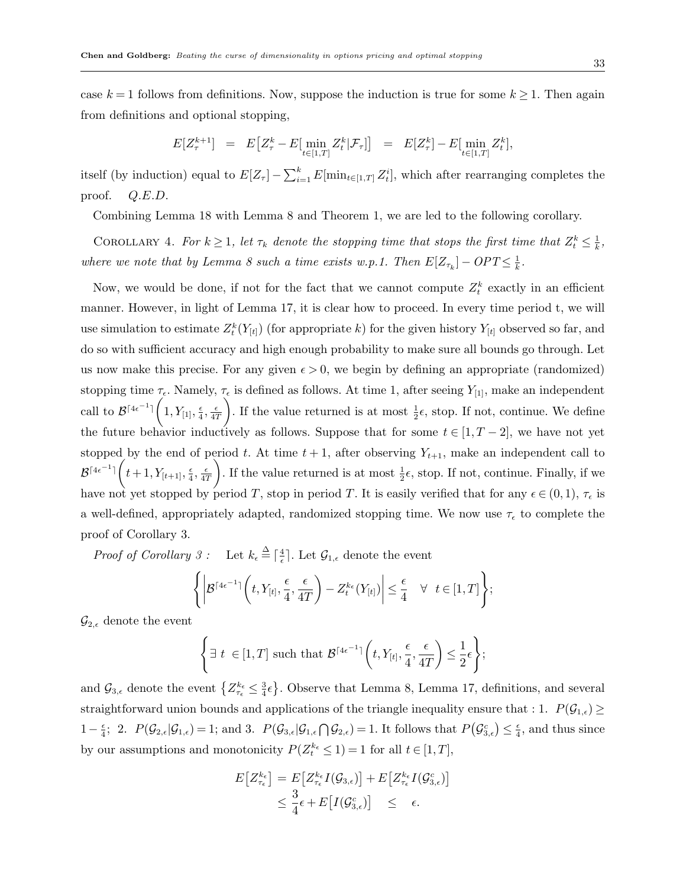case  $k = 1$  follows from definitions. Now, suppose the induction is true for some  $k \geq 1$ . Then again from definitions and optional stopping,

$$
E[Z_{\tau}^{k+1}] = E[Z_{\tau}^k - E[\min_{t \in [1,T]} Z_t^k | \mathcal{F}_{\tau}]] = E[Z_{\tau}^k] - E[\min_{t \in [1,T]} Z_t^k],
$$

itself (by induction) equal to  $E[Z_{\tau}] - \sum_{i=1}^{k} E[\min_{t \in [1,T]} Z_t^i]$ , which after rearranging completes the proof. Q.E.D.

Combining Lemma 18 with Lemma 8 and Theorem 1, we are led to the following corollary.

COROLLARY 4. For  $k \geq 1$ , let  $\tau_k$  denote the stopping time that stops the first time that  $Z_t^k \leq \frac{1}{k}$  $\frac{1}{k}$ , where we note that by Lemma 8 such a time exists w.p.1. Then  $E[Z_{\tau_k}] - OPT \leq \frac{1}{k}$  $\frac{1}{k}$ .

Now, we would be done, if not for the fact that we cannot compute  $Z_t^k$  exactly in an efficient manner. However, in light of Lemma 17, it is clear how to proceed. In every time period t, we will use simulation to estimate  $Z_t^k(Y_{[t]})$  (for appropriate k) for the given history  $Y_{[t]}$  observed so far, and do so with sufficient accuracy and high enough probability to make sure all bounds go through. Let us now make this precise. For any given  $\epsilon > 0$ , we begin by defining an appropriate (randomized) stopping time  $\tau_{\epsilon}$ . Namely,  $\tau_{\epsilon}$  is defined as follows. At time 1, after seeing  $Y_{[1]}$ , make an independent call to  $\mathcal{B}^{\lceil 4\epsilon^{-1} \rceil} \Big( 1, Y_{[1]}, \frac{\epsilon}{4} \Big)$  $\frac{\epsilon}{4}$ ,  $\frac{\epsilon}{47}$  $4T$ ). If the value returned is at most  $\frac{1}{2}\epsilon$ , stop. If not, continue. We define the future behavior inductively as follows. Suppose that for some  $t \in [1, T-2]$ , we have not yet stopped by the end of period t. At time  $t + 1$ , after observing  $Y_{t+1}$ , make an independent call to  $\mathcal{B}^{\lceil 4\epsilon^{-1} \rceil} \Big( t+1, Y_{[t+1]}, \frac{\epsilon}{4}$  $\frac{\epsilon}{4}$ ,  $\frac{\epsilon}{41}$  $4T$ ). If the value returned is at most  $\frac{1}{2}\epsilon$ , stop. If not, continue. Finally, if we have not yet stopped by period T, stop in period T. It is easily verified that for any  $\epsilon \in (0,1)$ ,  $\tau_{\epsilon}$  is a well-defined, appropriately adapted, randomized stopping time. We now use  $\tau_{\epsilon}$  to complete the proof of Corollary 3.

*Proof of Corollary 3* : Let  $k_{\epsilon} \stackrel{\Delta}{=} \lceil \frac{4}{\epsilon} \rceil$  $\frac{4}{\epsilon}$ . Let  $\mathcal{G}_{1,\epsilon}$  denote the event

$$
\left\{ \left| \mathcal{B}^{\lceil 4\epsilon^{-1} \rceil} \left( t, Y_{[t]}, \frac{\epsilon}{4}, \frac{\epsilon}{4T} \right) - Z_t^{k_{\epsilon}}(Y_{[t]}) \right| \leq \frac{\epsilon}{4} \quad \forall \quad t \in [1, T] \right\};
$$

 $\mathcal{G}_{2,\epsilon}$  denote the event

$$
\left\{\exists t \in [1,T] \text{ such that } \mathcal{B}^{\lceil 4\epsilon^{-1} \rceil}\bigg(t, Y_{[t]}, \frac{\epsilon}{4}, \frac{\epsilon}{4T}\bigg) \leq \frac{1}{2}\epsilon\right\};
$$

and  $\mathcal{G}_{3,\epsilon}$  denote the event  $\left\{Z_{\tau_{\epsilon}}^{k_{\epsilon}} \leq \frac{3}{4}\right\}$  $\frac{3}{4}\epsilon$ . Observe that Lemma 8, Lemma 17, definitions, and several straightforward union bounds and applications of the triangle inequality ensure that : 1.  $P(\mathcal{G}_{1,\epsilon}) \geq$  $1-\frac{\epsilon}{4}$  $\frac{\epsilon}{4}$ ; 2.  $P(\mathcal{G}_{2,\epsilon}|\mathcal{G}_{1,\epsilon})=1$ ; and 3.  $P(\mathcal{G}_{3,\epsilon}|\mathcal{G}_{1,\epsilon}\cap\mathcal{G}_{2,\epsilon})=1$ . It follows that  $P(\mathcal{G}_{3,\epsilon}^c)\leq\frac{\epsilon}{4}$  $\frac{\epsilon}{4}$ , and thus since by our assumptions and monotonicity  $P(Z_t^{k_{\epsilon}} \leq 1) = 1$  for all  $t \in [1, T]$ ,

$$
E[Z_{\tau_{\epsilon}}^{k_{\epsilon}}] = E[Z_{\tau_{\epsilon}}^{k_{\epsilon}}I(\mathcal{G}_{3,\epsilon})] + E[Z_{\tau_{\epsilon}}^{k_{\epsilon}}I(\mathcal{G}_{3,\epsilon})]
$$
  

$$
\leq \frac{3}{4}\epsilon + E[I(\mathcal{G}_{3,\epsilon})] \leq \epsilon.
$$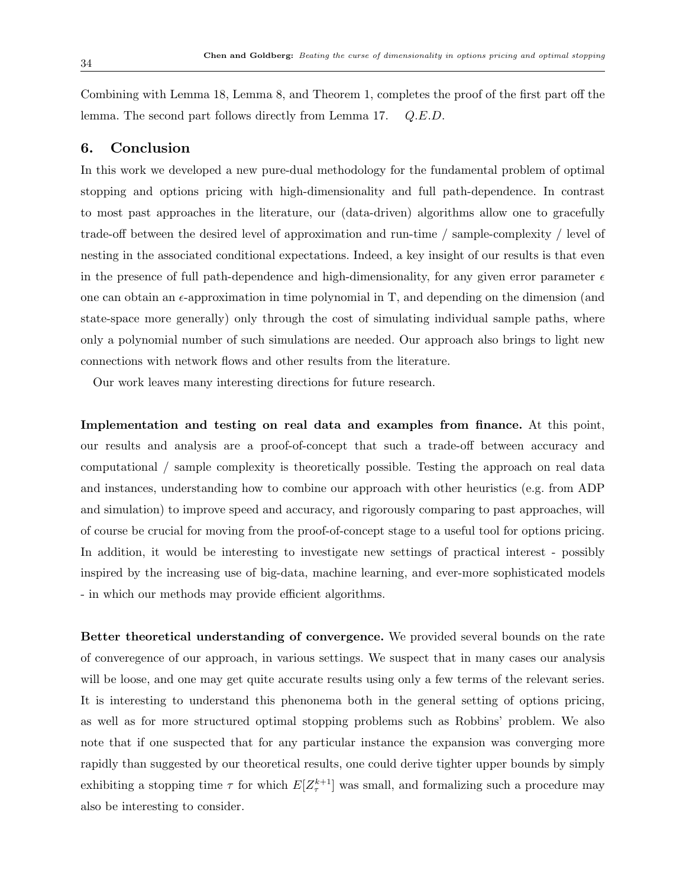Combining with Lemma 18, Lemma 8, and Theorem 1, completes the proof of the first part off the lemma. The second part follows directly from Lemma 17. Q.E.D.

# 6. Conclusion

In this work we developed a new pure-dual methodology for the fundamental problem of optimal stopping and options pricing with high-dimensionality and full path-dependence. In contrast to most past approaches in the literature, our (data-driven) algorithms allow one to gracefully trade-off between the desired level of approximation and run-time / sample-complexity / level of nesting in the associated conditional expectations. Indeed, a key insight of our results is that even in the presence of full path-dependence and high-dimensionality, for any given error parameter  $\epsilon$ one can obtain an  $\epsilon$ -approximation in time polynomial in T, and depending on the dimension (and state-space more generally) only through the cost of simulating individual sample paths, where only a polynomial number of such simulations are needed. Our approach also brings to light new connections with network flows and other results from the literature.

Our work leaves many interesting directions for future research.

Implementation and testing on real data and examples from finance. At this point, our results and analysis are a proof-of-concept that such a trade-off between accuracy and computational / sample complexity is theoretically possible. Testing the approach on real data and instances, understanding how to combine our approach with other heuristics (e.g. from ADP and simulation) to improve speed and accuracy, and rigorously comparing to past approaches, will of course be crucial for moving from the proof-of-concept stage to a useful tool for options pricing. In addition, it would be interesting to investigate new settings of practical interest - possibly inspired by the increasing use of big-data, machine learning, and ever-more sophisticated models - in which our methods may provide efficient algorithms.

Better theoretical understanding of convergence. We provided several bounds on the rate of converegence of our approach, in various settings. We suspect that in many cases our analysis will be loose, and one may get quite accurate results using only a few terms of the relevant series. It is interesting to understand this phenonema both in the general setting of options pricing, as well as for more structured optimal stopping problems such as Robbins' problem. We also note that if one suspected that for any particular instance the expansion was converging more rapidly than suggested by our theoretical results, one could derive tighter upper bounds by simply exhibiting a stopping time  $\tau$  for which  $E[Z_{\tau}^{k+1}]$  was small, and formalizing such a procedure may also be interesting to consider.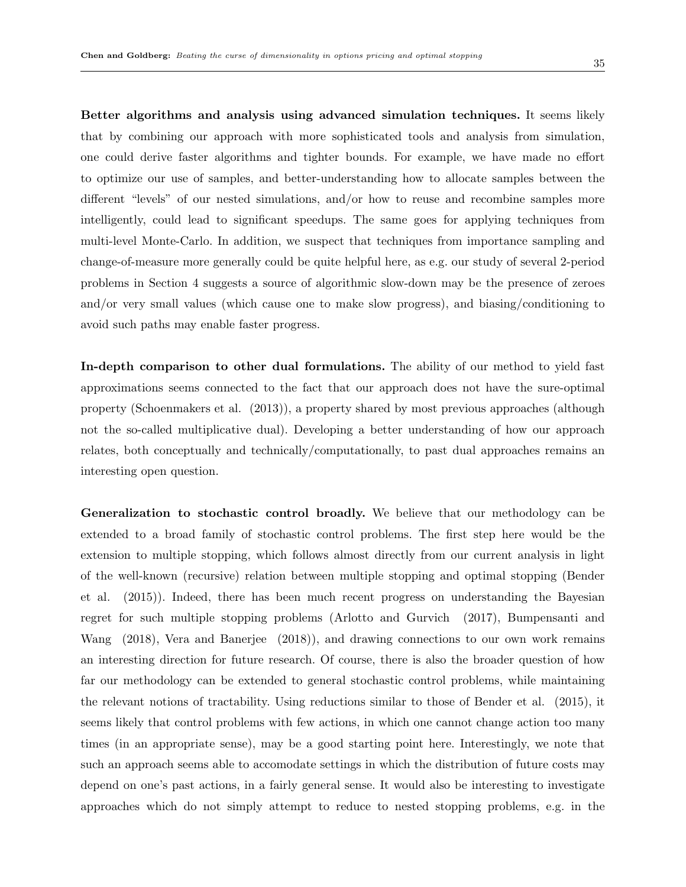Better algorithms and analysis using advanced simulation techniques. It seems likely that by combining our approach with more sophisticated tools and analysis from simulation, one could derive faster algorithms and tighter bounds. For example, we have made no effort to optimize our use of samples, and better-understanding how to allocate samples between the different "levels" of our nested simulations, and/or how to reuse and recombine samples more intelligently, could lead to significant speedups. The same goes for applying techniques from multi-level Monte-Carlo. In addition, we suspect that techniques from importance sampling and change-of-measure more generally could be quite helpful here, as e.g. our study of several 2-period problems in Section 4 suggests a source of algorithmic slow-down may be the presence of zeroes and/or very small values (which cause one to make slow progress), and biasing/conditioning to avoid such paths may enable faster progress.

In-depth comparison to other dual formulations. The ability of our method to yield fast approximations seems connected to the fact that our approach does not have the sure-optimal property (Schoenmakers et al. (2013)), a property shared by most previous approaches (although not the so-called multiplicative dual). Developing a better understanding of how our approach relates, both conceptually and technically/computationally, to past dual approaches remains an interesting open question.

Generalization to stochastic control broadly. We believe that our methodology can be extended to a broad family of stochastic control problems. The first step here would be the extension to multiple stopping, which follows almost directly from our current analysis in light of the well-known (recursive) relation between multiple stopping and optimal stopping (Bender et al. (2015)). Indeed, there has been much recent progress on understanding the Bayesian regret for such multiple stopping problems (Arlotto and Gurvich (2017), Bumpensanti and Wang (2018), Vera and Banerjee (2018)), and drawing connections to our own work remains an interesting direction for future research. Of course, there is also the broader question of how far our methodology can be extended to general stochastic control problems, while maintaining the relevant notions of tractability. Using reductions similar to those of Bender et al. (2015), it seems likely that control problems with few actions, in which one cannot change action too many times (in an appropriate sense), may be a good starting point here. Interestingly, we note that such an approach seems able to accomodate settings in which the distribution of future costs may depend on one's past actions, in a fairly general sense. It would also be interesting to investigate approaches which do not simply attempt to reduce to nested stopping problems, e.g. in the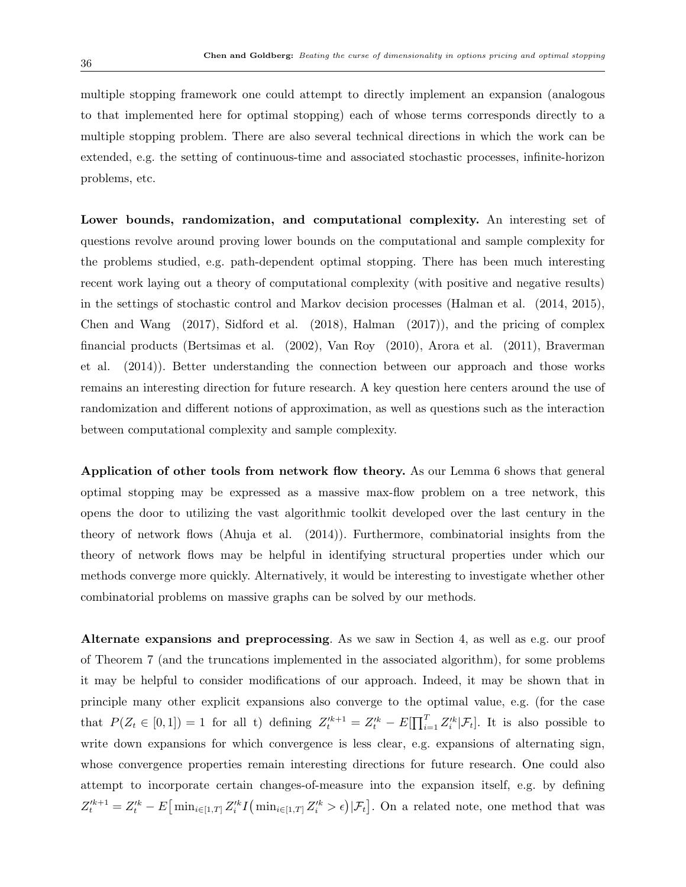multiple stopping framework one could attempt to directly implement an expansion (analogous to that implemented here for optimal stopping) each of whose terms corresponds directly to a multiple stopping problem. There are also several technical directions in which the work can be extended, e.g. the setting of continuous-time and associated stochastic processes, infinite-horizon problems, etc.

Lower bounds, randomization, and computational complexity. An interesting set of questions revolve around proving lower bounds on the computational and sample complexity for the problems studied, e.g. path-dependent optimal stopping. There has been much interesting recent work laying out a theory of computational complexity (with positive and negative results) in the settings of stochastic control and Markov decision processes (Halman et al. (2014, 2015), Chen and Wang (2017), Sidford et al. (2018), Halman (2017)), and the pricing of complex financial products (Bertsimas et al. (2002), Van Roy (2010), Arora et al. (2011), Braverman et al. (2014)). Better understanding the connection between our approach and those works remains an interesting direction for future research. A key question here centers around the use of randomization and different notions of approximation, as well as questions such as the interaction between computational complexity and sample complexity.

Application of other tools from network flow theory. As our Lemma 6 shows that general optimal stopping may be expressed as a massive max-flow problem on a tree network, this opens the door to utilizing the vast algorithmic toolkit developed over the last century in the theory of network flows (Ahuja et al. (2014)). Furthermore, combinatorial insights from the theory of network flows may be helpful in identifying structural properties under which our methods converge more quickly. Alternatively, it would be interesting to investigate whether other combinatorial problems on massive graphs can be solved by our methods.

Alternate expansions and preprocessing. As we saw in Section 4, as well as e.g. our proof of Theorem 7 (and the truncations implemented in the associated algorithm), for some problems it may be helpful to consider modifications of our approach. Indeed, it may be shown that in principle many other explicit expansions also converge to the optimal value, e.g. (for the case that  $P(Z_t \in [0,1]) = 1$  for all t) defining  $Z_t'^{k+1} = Z_t'^{k} - E[\prod_{i=1}^T Z_i'^{k} | \mathcal{F}_t].$  It is also possible to write down expansions for which convergence is less clear, e.g. expansions of alternating sign, whose convergence properties remain interesting directions for future research. One could also attempt to incorporate certain changes-of-measure into the expansion itself, e.g. by defining  $Z_t^{\prime k+1} = Z_t^{\prime k} - E\left[\min_{i \in [1,T]} Z_i^{\prime k} I(\min_{i \in [1,T]} Z_i^{\prime k} > \epsilon) | \mathcal{F}_t\right]$ . On a related note, one method that was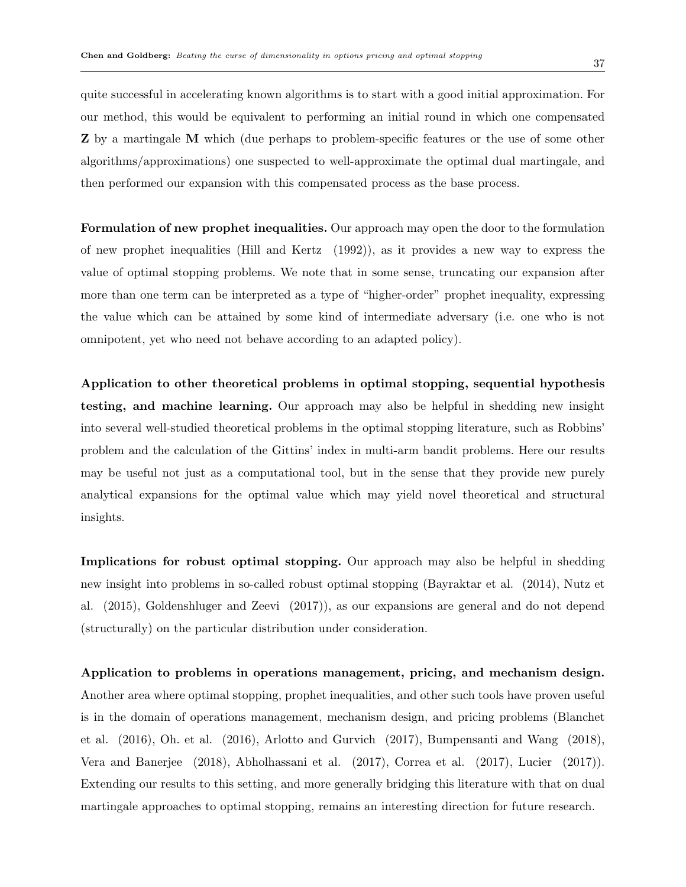quite successful in accelerating known algorithms is to start with a good initial approximation. For our method, this would be equivalent to performing an initial round in which one compensated Z by a martingale M which (due perhaps to problem-specific features or the use of some other algorithms/approximations) one suspected to well-approximate the optimal dual martingale, and then performed our expansion with this compensated process as the base process.

Formulation of new prophet inequalities. Our approach may open the door to the formulation of new prophet inequalities (Hill and Kertz (1992)), as it provides a new way to express the value of optimal stopping problems. We note that in some sense, truncating our expansion after more than one term can be interpreted as a type of "higher-order" prophet inequality, expressing the value which can be attained by some kind of intermediate adversary (i.e. one who is not omnipotent, yet who need not behave according to an adapted policy).

Application to other theoretical problems in optimal stopping, sequential hypothesis testing, and machine learning. Our approach may also be helpful in shedding new insight into several well-studied theoretical problems in the optimal stopping literature, such as Robbins' problem and the calculation of the Gittins' index in multi-arm bandit problems. Here our results may be useful not just as a computational tool, but in the sense that they provide new purely analytical expansions for the optimal value which may yield novel theoretical and structural insights.

Implications for robust optimal stopping. Our approach may also be helpful in shedding new insight into problems in so-called robust optimal stopping (Bayraktar et al. (2014), Nutz et al. (2015), Goldenshluger and Zeevi (2017)), as our expansions are general and do not depend (structurally) on the particular distribution under consideration.

Application to problems in operations management, pricing, and mechanism design. Another area where optimal stopping, prophet inequalities, and other such tools have proven useful is in the domain of operations management, mechanism design, and pricing problems (Blanchet et al. (2016), Oh. et al. (2016), Arlotto and Gurvich (2017), Bumpensanti and Wang (2018), Vera and Banerjee (2018), Abholhassani et al. (2017), Correa et al. (2017), Lucier (2017)). Extending our results to this setting, and more generally bridging this literature with that on dual martingale approaches to optimal stopping, remains an interesting direction for future research.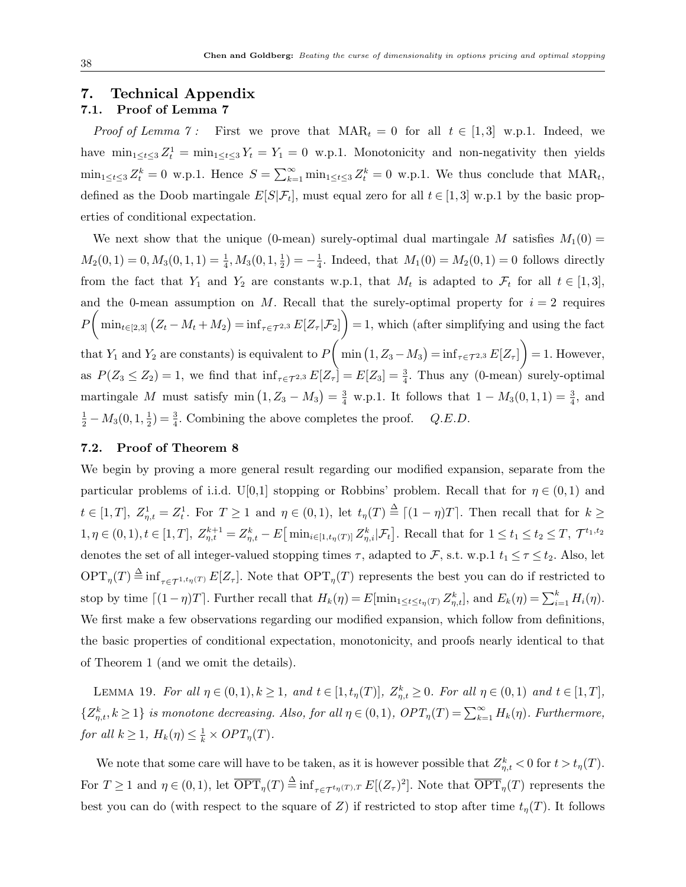# 7. Technical Appendix

# 7.1. Proof of Lemma 7

*Proof of Lemma 7*: First we prove that  $\text{MAR}_t = 0$  for all  $t \in [1,3]$  w.p.1. Indeed, we have  $\min_{1 \leq t \leq 3} Z_t^1 = \min_{1 \leq t \leq 3} Y_t = Y_1 = 0$  w.p.1. Monotonicity and non-negativity then yields  $\min_{1 \leq t \leq 3} Z_t^k = 0$  w.p.1. Hence  $S = \sum_{k=1}^{\infty} \min_{1 \leq t \leq 3} Z_t^k = 0$  w.p.1. We thus conclude that  $\text{MAR}_t$ , defined as the Doob martingale  $E[S|\mathcal{F}_t]$ , must equal zero for all  $t \in [1,3]$  w.p.1 by the basic properties of conditional expectation.

We next show that the unique (0-mean) surely-optimal dual martingale M satisfies  $M_1(0)$  =  $M_2(0,1) = 0, M_3(0,1,1) = \frac{1}{4}, M_3(0,1,\frac{1}{2})$  $(\frac{1}{2}) = -\frac{1}{4}$  $\frac{1}{4}$ . Indeed, that  $M_1(0) = M_2(0, 1) = 0$  follows directly from the fact that  $Y_1$  and  $Y_2$  are constants w.p.1, that  $M_t$  is adapted to  $\mathcal{F}_t$  for all  $t \in [1,3]$ , and the 0-mean assumption on M. Recall that the surely-optimal property for  $i = 2$  requires  $P\left(\min_{t\in[2,3]} (Z_t-M_t+M_2)=\inf_{\tau\in\mathcal{T}^{2,3}} E[Z_{\tau}|\mathcal{F}_2]\right)=1$ , which (after simplifying and using the fact that  $Y_1$  and  $Y_2$  are constants) is equivalent to  $P\left(\min\left(1, Z_3 - M_3\right) = \inf_{\tau \in \mathcal{T}^{2,3}} E[Z_\tau]\right) = 1$ . However, as  $P(Z_3 \le Z_2) = 1$ , we find that  $\inf_{\tau \in \mathcal{T}^{2,3}} E[Z_\tau] = E[Z_3] = \frac{3}{4}$ . Thus any (0-mean) surely-optimal martingale M must satisfy  $\min(1, Z_3 - M_3) = \frac{3}{4}$  w.p.1. It follows that  $1 - M_3(0, 1, 1) = \frac{3}{4}$ , and  $\frac{1}{2} - M_3(0, 1, \frac{1}{2})$  $\frac{1}{2}$ ) =  $\frac{3}{4}$ . Combining the above completes the proof. *Q.E.D.* 

#### 7.2. Proof of Theorem 8

We begin by proving a more general result regarding our modified expansion, separate from the particular problems of i.i.d. U[0,1] stopping or Robbins' problem. Recall that for  $\eta \in (0,1)$  and  $t \in [1,T], Z_{\eta,t}^1 = Z_t^1$ . For  $T \ge 1$  and  $\eta \in (0,1)$ , let  $t_{\eta}(T) \stackrel{\Delta}{=} \lceil (1-\eta)T \rceil$ . Then recall that for  $k \ge 1$  $1, \eta \in (0,1), t \in [1,T], Z_{\eta,t}^{k+1} = Z_{\eta,t}^k - E \big[\min_{i \in [1,t_\eta(T)]} Z_{\eta,i}^k | \mathcal{F}_t \big]$ . Recall that for  $1 \le t_1 \le t_2 \le T, \mathcal{T}^{t_1,t_2}$ denotes the set of all integer-valued stopping times  $\tau$ , adapted to  $\mathcal{F}$ , s.t. w.p.1  $t_1 \leq \tau \leq t_2$ . Also, let  $\mathrm{OPT}_\eta(T) \stackrel{\Delta}{=} \inf_{\tau \in \mathcal{T}^{1,t_\eta(T)}} E[Z_\tau].$  Note that  $\mathrm{OPT}_\eta(T)$  represents the best you can do if restricted to stop by time  $\lceil (1 - \eta)T \rceil$ . Further recall that  $H_k(\eta) = E[\min_{1 \le t \le t_\eta(T)} Z_{\eta,t}^k]$ , and  $E_k(\eta) = \sum_{i=1}^k H_i(\eta)$ . We first make a few observations regarding our modified expansion, which follow from definitions, the basic properties of conditional expectation, monotonicity, and proofs nearly identical to that of Theorem 1 (and we omit the details).

LEMMA 19. For all  $\eta \in (0,1), k \ge 1$ , and  $t \in [1, t_{\eta}(T)], Z_{\eta,t}^k \ge 0$ . For all  $\eta \in (0,1)$  and  $t \in [1, T],$  $\{Z_{\eta,t}^k, k\geq 1\}$  is monotone decreasing. Also, for all  $\eta\in(0,1)$ ,  $OPT_{\eta}(T) = \sum_{k=1}^{\infty} H_k(\eta)$ . Furthermore, for all  $k \geq 1$ ,  $H_k(\eta) \leq \frac{1}{k} \times OPT_{\eta}(T)$ .

We note that some care will have to be taken, as it is however possible that  $Z_{\eta,t}^k < 0$  for  $t > t_{\eta}(T)$ . For  $T \geq 1$  and  $\eta \in (0,1)$ , let  $\overline{\text{OPT}}_{\eta}(T) \triangleq \inf_{\tau \in \mathcal{T}^{t_{\eta}(T),T}} E[(Z_{\tau})^2]$ . Note that  $\overline{\text{OPT}}_{\eta}(T)$  represents the best you can do (with respect to the square of Z) if restricted to stop after time  $t<sub>\eta</sub>(T)$ . It follows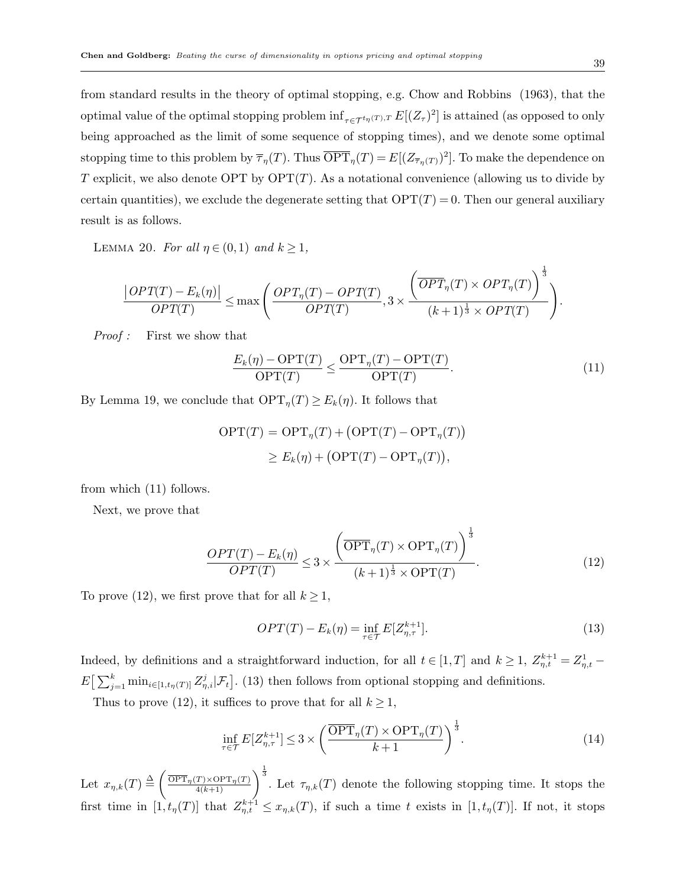from standard results in the theory of optimal stopping, e.g. Chow and Robbins (1963), that the optimal value of the optimal stopping problem  $\inf_{\tau \in \mathcal{T}^{t_{\eta}(T),T}} E[(Z_{\tau})^2]$  is attained (as opposed to only being approached as the limit of some sequence of stopping times), and we denote some optimal stopping time to this problem by  $\overline{\tau}_{\eta}(T)$ . Thus  $\overline{\text{OPT}}_{\eta}(T) = E[(Z_{\overline{\tau}_{\eta}(T)})^2]$ . To make the dependence on T explicit, we also denote OPT by  $\text{OPT}(T)$ . As a notational convenience (allowing us to divide by certain quantities), we exclude the degenerate setting that  $\text{OPT}(T) = 0$ . Then our general auxiliary result is as follows.

LEMMA 20. For all  $\eta \in (0,1)$  and  $k \geq 1$ ,

$$
\frac{|OPT(T) - E_k(\eta)|}{OPT(T)} \le \max\left(\frac{OPT_\eta(T) - OPT(T)}{OPT(T)}, 3 \times \frac{\left(\overline{OPT}_\eta(T) \times OPT_\eta(T)\right)^{\frac{1}{3}}}{(k+1)^{\frac{1}{3}} \times OPT(T)}\right).
$$

Proof : First we show that

$$
\frac{E_k(\eta) - \text{OPT}(T)}{\text{OPT}(T)} \le \frac{\text{OPT}_{\eta}(T) - \text{OPT}(T)}{\text{OPT}(T)}.\tag{11}
$$

By Lemma 19, we conclude that  $\text{OPT}_\eta(T) \geq E_k(\eta)$ . It follows that

$$
OPT(T) = OPT_{\eta}(T) + (OPT(T) - OPT_{\eta}(T))
$$
  
\n
$$
\geq E_k(\eta) + (OPT(T) - OPT_{\eta}(T)),
$$

from which (11) follows.

Next, we prove that

$$
\frac{OPT(T) - E_k(\eta)}{OPT(T)} \le 3 \times \frac{\left(\overline{\text{OPT}}_{\eta}(T) \times \text{OPT}_{\eta}(T)\right)^{\frac{1}{3}}}{(k+1)^{\frac{1}{3}} \times \text{OPT}(T)}.
$$
\n(12)

To prove (12), we first prove that for all  $k \geq 1$ ,

$$
OPT(T) - E_k(\eta) = \inf_{\tau \in \mathcal{T}} E[Z_{\eta, \tau}^{k+1}]. \tag{13}
$$

Indeed, by definitions and a straightforward induction, for all  $t \in [1,T]$  and  $k \geq 1$ ,  $Z_{\eta,t}^{k+1} = Z_{\eta,t}^1 E\left[\sum_{j=1}^k \min_{i\in[1,t_\eta(T)]} Z_{\eta,i}^j|\mathcal{F}_t\right]$ . (13) then follows from optional stopping and definitions.

Thus to prove (12), it suffices to prove that for all  $k \geq 1$ ,

$$
\inf_{\tau \in \mathcal{T}} E[Z_{\eta,\tau}^{k+1}] \le 3 \times \left(\frac{\overline{\text{OPT}}_{\eta}(T) \times \text{OPT}_{\eta}(T)}{k+1}\right)^{\frac{1}{3}}.
$$
\n(14)

Let  $x_{\eta,k}(T) \triangleq \left(\frac{\overline{\text{OPT}}_{\eta}(T) \times \text{OPT}_{\eta}(T)}{\frac{4(k+1)}{2}}\right)$  $\frac{T\times \text{OPT}_{\eta}(T)}{4(k+1)}\right)^{\frac{1}{3}}$ . Let  $\tau_{\eta,k}(T)$  denote the following stopping time. It stops the first time in  $[1,t_\eta(T)]$  that  $Z_{\eta,t}^{k+1} \leq x_{\eta,k}(T)$ , if such a time t exists in  $[1,t_\eta(T)]$ . If not, it stops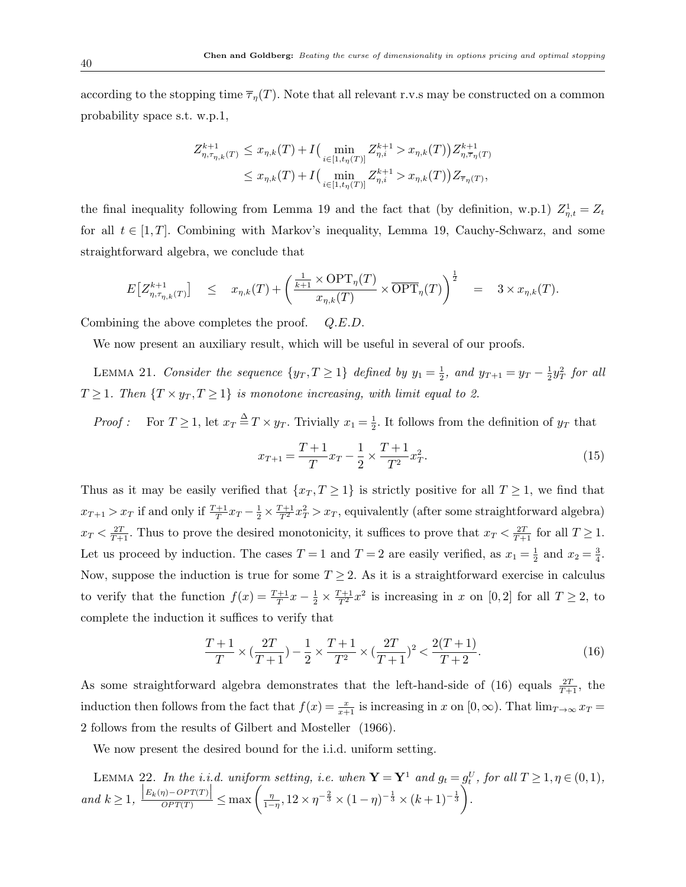according to the stopping time  $\overline{\tau}_{\eta}(T)$ . Note that all relevant r.v.s may be constructed on a common probability space s.t. w.p.1,

$$
Z_{\eta,\tau_{\eta,k}(T)}^{k+1} \leq x_{\eta,k}(T) + I\Big(\min_{i \in [1,t_{\eta}(T)]} Z_{\eta,i}^{k+1} > x_{\eta,k}(T) \Big) Z_{\eta,\overline{\tau}_{\eta}(T)}^{k+1}
$$
\n
$$
\leq x_{\eta,k}(T) + I\Big(\min_{i \in [1,t_{\eta}(T)]} Z_{\eta,i}^{k+1} > x_{\eta,k}(T) \Big) Z_{\overline{\tau}_{\eta}(T)},
$$

the final inequality following from Lemma 19 and the fact that (by definition, w.p.1)  $Z_{\eta,t}^1 = Z_t$ for all  $t \in [1, T]$ . Combining with Markov's inequality, Lemma 19, Cauchy-Schwarz, and some straightforward algebra, we conclude that

$$
E\left[Z^{k+1}_{\eta,\tau_{\eta,k}(T)}\right] \leq x_{\eta,k}(T) + \left(\frac{\frac{1}{k+1} \times \text{OPT}_{\eta}(T)}{x_{\eta,k}(T)} \times \overline{\text{OPT}}_{\eta}(T)\right)^{\frac{1}{2}} = 3 \times x_{\eta,k}(T).
$$

Combining the above completes the proof.  $Q.E.D.$ 

We now present an auxiliary result, which will be useful in several of our proofs.

LEMMA 21. Consider the sequence  $\{y_T, T \geq 1\}$  defined by  $y_1 = \frac{1}{2}$  $\frac{1}{2}$ , and  $y_{T+1} = y_T - \frac{1}{2}$  $\frac{1}{2}y_T^2$  for all  $T \geq 1$ . Then  $\{T \times y_T, T \geq 1\}$  is monotone increasing, with limit equal to 2.

*Proof*: For  $T \geq 1$ , let  $x_T \stackrel{\Delta}{=} T \times y_T$ . Trivially  $x_1 = \frac{1}{2}$  $\frac{1}{2}$ . It follows from the definition of  $y_T$  that

$$
x_{T+1} = \frac{T+1}{T}x_T - \frac{1}{2} \times \frac{T+1}{T^2}x_T^2.
$$
\n(15)

Thus as it may be easily verified that  $\{x_T, T \geq 1\}$  is strictly positive for all  $T \geq 1$ , we find that  $x_{T+1} > x_T$  if and only if  $\frac{T+1}{T} x_T - \frac{1}{2} \times \frac{T+1}{T^2} x_T^2 > x_T$ , equivalently (after some straightforward algebra)  $x_T < \frac{2T}{T+1}$ . Thus to prove the desired monotonicity, it suffices to prove that  $x_T < \frac{2T}{T+1}$  for all  $T \ge 1$ . Let us proceed by induction. The cases  $T = 1$  and  $T = 2$  are easily verified, as  $x_1 = \frac{1}{2}$  $rac{1}{2}$  and  $x_2 = \frac{3}{4}$  $\frac{3}{4}$ . Now, suppose the induction is true for some  $T \geq 2$ . As it is a straightforward exercise in calculus to verify that the function  $f(x) = \frac{T+1}{T}x - \frac{1}{2} \times \frac{T+1}{T^2}x^2$  is increasing in x on [0, 2] for all  $T \ge 2$ , to complete the induction it suffices to verify that

$$
\frac{T+1}{T} \times \left(\frac{2T}{T+1}\right) - \frac{1}{2} \times \frac{T+1}{T^2} \times \left(\frac{2T}{T+1}\right)^2 < \frac{2(T+1)}{T+2}.\tag{16}
$$

As some straightforward algebra demonstrates that the left-hand-side of (16) equals  $\frac{2T}{T+1}$ , the induction then follows from the fact that  $f(x) = \frac{x}{x+1}$  is increasing in x on  $[0, \infty)$ . That  $\lim_{T \to \infty} x_T =$ 2 follows from the results of Gilbert and Mosteller (1966).

We now present the desired bound for the i.i.d. uniform setting.

LEMMA 22. In the i.i.d. uniform setting, i.e. when  $\mathbf{Y} = \mathbf{Y}^1$  and  $g_t = g_t^U$ , for all  $T \ge 1, \eta \in (0,1)$ , and  $k \geq 1$ ,  $\frac{|E_k(\eta) - OPT(T)|}{OPT(T)} \leq \max\left(\frac{\eta}{1-\eta}\right)$  $\frac{\eta}{1-\eta}, 12 \times \eta^{-\frac{2}{3}} \times (1-\eta)^{-\frac{1}{3}} \times (k+1)^{-\frac{1}{3}}.$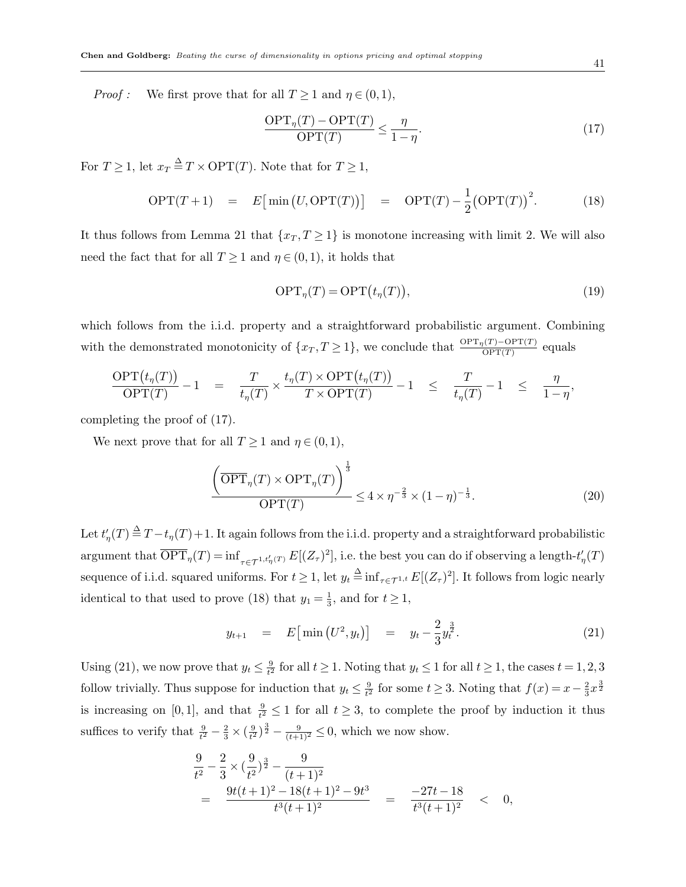*Proof*: We first prove that for all  $T \ge 1$  and  $\eta \in (0, 1)$ ,

$$
\frac{\text{OPT}_{\eta}(T) - \text{OPT}(T)}{\text{OPT}(T)} \le \frac{\eta}{1 - \eta}.\tag{17}
$$

For  $T \geq 1$ , let  $x_T \stackrel{\Delta}{=} T \times \text{OPT}(T)$ . Note that for  $T \geq 1$ ,

$$
\text{OPT}(T+1) = E\big[\min\big(U,\text{OPT}(T)\big)\big] = \text{OPT}(T) - \frac{1}{2}\big(\text{OPT}(T)\big)^2. \tag{18}
$$

It thus follows from Lemma 21 that  $\{x_T, T \geq 1\}$  is monotone increasing with limit 2. We will also need the fact that for all  $T \geq 1$  and  $\eta \in (0, 1)$ , it holds that

$$
\text{OPT}_{\eta}(T) = \text{OPT}\big(t_{\eta}(T)\big),\tag{19}
$$

which follows from the i.i.d. property and a straightforward probabilistic argument. Combining with the demonstrated monotonicity of  $\{x_T, T \geq 1\}$ , we conclude that  $\frac{\text{OPT}_\eta(T) - \text{OPT}(T)}{\text{OPT}(T)}$  equals

$$
\frac{\text{OPT}(t_\eta(T))}{\text{OPT}(T)} - 1 = \frac{T}{t_\eta(T)} \times \frac{t_\eta(T) \times \text{OPT}(t_\eta(T))}{T \times \text{OPT}(T)} - 1 \leq \frac{T}{t_\eta(T)} - 1 \leq \frac{\eta}{1 - \eta},
$$

completing the proof of (17).

We next prove that for all  $T \geq 1$  and  $\eta \in (0, 1)$ ,

$$
\frac{\left(\overline{\text{OPT}}_{\eta}(T) \times \text{OPT}_{\eta}(T)\right)^{\frac{1}{3}}}{\text{OPT}(T)} \le 4 \times \eta^{-\frac{2}{3}} \times (1-\eta)^{-\frac{1}{3}}.
$$
\n(20)

Let  $t'_{\eta}(T) \stackrel{\Delta}{=} T - t_{\eta}(T) + 1$ . It again follows from the i.i.d. property and a straightforward probabilistic argument that  $\overline{\text{OPT}}_{\eta}(T) = \inf_{\tau \in \mathcal{T}^{1,t'_\eta(T)}} E[(Z_\tau)^2]$ , i.e. the best you can do if observing a length- $t'_\eta(T)$ sequence of i.i.d. squared uniforms. For  $t \geq 1$ , let  $y_t \stackrel{\Delta}{=} \inf_{\tau \in \mathcal{T}^{1,t}} E[(Z_\tau)^2]$ . It follows from logic nearly identical to that used to prove (18) that  $y_1 = \frac{1}{3}$  $\frac{1}{3}$ , and for  $t \geq 1$ ,

$$
y_{t+1} = E\big[\min\left(U^2, y_t\right)\big] = y_t - \frac{2}{3}y_t^{\frac{3}{2}}.\tag{21}
$$

Using (21), we now prove that  $y_t \n\t\leq \frac{9}{t^2}$  $\frac{9}{t^2}$  for all  $t \ge 1$ . Noting that  $y_t \le 1$  for all  $t \ge 1$ , the cases  $t = 1, 2, 3$ follow trivially. Thus suppose for induction that  $y_t \leq \frac{9}{t^2}$  $\frac{9}{t^2}$  for some  $t \geq 3$ . Noting that  $f(x) = x - \frac{2}{3}$  $\frac{2}{3}x^{\frac{3}{2}}$ is increasing on [0,1], and that  $\frac{9}{t^2} \leq 1$  for all  $t \geq 3$ , to complete the proof by induction it thus suffices to verify that  $\frac{9}{t^2} - \frac{2}{3} \times (\frac{9}{t^2})$  $\frac{(9)(3)^{\frac{3}{2}}}{(t+1)^2} \leq 0$ , which we now show.

$$
\frac{9}{t^2} - \frac{2}{3} \times \left(\frac{9}{t^2}\right)^{\frac{3}{2}} - \frac{9}{(t+1)^2} \n= \frac{9t(t+1)^2 - 18(t+1)^2 - 9t^3}{t^3(t+1)^2} = \frac{-27t - 18}{t^3(t+1)^2} < 0,
$$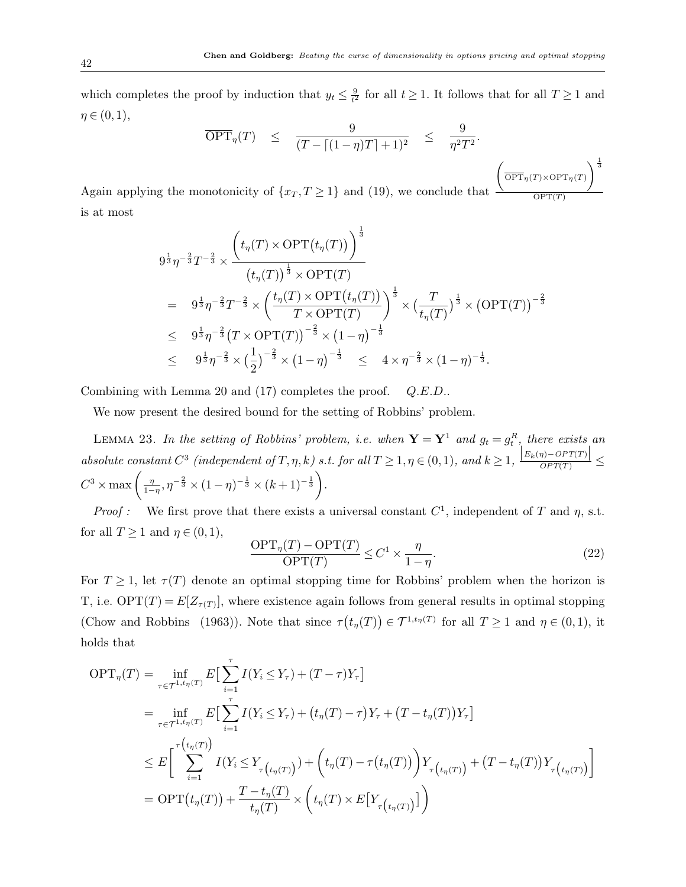which completes the proof by induction that  $y_t \leq \frac{9}{t^2}$  $\frac{9}{t^2}$  for all  $t \geq 1$ . It follows that for all  $T \geq 1$  and  $\eta \in (0,1),$ 

$$
\overline{\text{OPT}}_{\eta}(T) \leq \frac{9}{(T - \lceil (1 - \eta)T \rceil + 1)^2} \leq \frac{9}{\eta^2 T^2}.
$$

Again applying the monotonicity of  $\{x_T, T \geq 1\}$  and (19), we conclude that  $\left(\frac{\overline{\text{OPT}}_{\eta}(T) \times \text{OPT}_{\eta}(T)}{\text{OPT}_{\eta}(T)}\right)^{\frac{1}{3}}$  $OPT(T)$ is at most

$$
9^{\frac{1}{3}}\eta^{-\frac{2}{3}}T^{-\frac{2}{3}} \times \frac{\left(t_{\eta}(T) \times \text{OPT}(t_{\eta}(T))\right)^{\frac{1}{3}}}{\left(t_{\eta}(T)\right)^{\frac{1}{3}} \times \text{OPT}(T)}
$$
\n
$$
= 9^{\frac{1}{3}}\eta^{-\frac{2}{3}}T^{-\frac{2}{3}} \times \left(\frac{t_{\eta}(T) \times \text{OPT}(t_{\eta}(T))}{T \times \text{OPT}(T)}\right)^{\frac{1}{3}} \times \left(\frac{T}{t_{\eta}(T)}\right)^{\frac{1}{3}} \times \left(\text{OPT}(T)\right)^{-\frac{2}{3}}
$$
\n
$$
\leq 9^{\frac{1}{3}}\eta^{-\frac{2}{3}}\left(T \times \text{OPT}(T)\right)^{-\frac{2}{3}} \times \left(1-\eta\right)^{-\frac{1}{3}}
$$
\n
$$
\leq 9^{\frac{1}{3}}\eta^{-\frac{2}{3}} \times \left(\frac{1}{2}\right)^{-\frac{2}{3}} \times \left(1-\eta\right)^{-\frac{1}{3}} \leq 4 \times \eta^{-\frac{2}{3}} \times \left(1-\eta\right)^{-\frac{1}{3}}.
$$

Combining with Lemma 20 and (17) completes the proof. Q.E.D..

We now present the desired bound for the setting of Robbins' problem.

LEMMA 23. In the setting of Robbins' problem, i.e. when  $\mathbf{Y} = \mathbf{Y}^1$  and  $g_t = g_t^R$ , there exists an absolute constant  $C^3$  (independent of  $T, \eta, k$ ) s.t. for all  $T \geq 1, \eta \in (0,1)$ , and  $k \geq 1$ ,  $\frac{|E_k(\eta) - OPT(T)|}{OPT(T)} \leq$  $C^3 \times \max\left(\frac{\eta}{1-\eta}\right)$  $\frac{\eta}{1-\eta}, \eta^{-\frac{2}{3}} \times (1-\eta)^{-\frac{1}{3}} \times (k+1)^{-\frac{1}{3}}.$ 

*Proof*: We first prove that there exists a universal constant  $C^1$ , independent of T and  $\eta$ , s.t. for all  $T \geq 1$  and  $\eta \in (0,1)$ ,

$$
\frac{\text{OPT}_{\eta}(T) - \text{OPT}(T)}{\text{OPT}(T)} \le C^1 \times \frac{\eta}{1 - \eta}.\tag{22}
$$

For  $T \geq 1$ , let  $\tau(T)$  denote an optimal stopping time for Robbins' problem when the horizon is T, i.e.  $\text{OPT}(T) = E[Z_{\tau(T)}],$  where existence again follows from general results in optimal stopping (Chow and Robbins (1963)). Note that since  $\tau(t_n(T)) \in \mathcal{T}^{1,t_n(T)}$  for all  $T \ge 1$  and  $\eta \in (0,1)$ , it holds that

$$
OPT_{\eta}(T) = \inf_{\tau \in \mathcal{T}^{1,t_{\eta}(T)}} E\left[\sum_{i=1}^{\tau} I(Y_i \le Y_{\tau}) + (T - \tau)Y_{\tau}\right]
$$
  
\n
$$
= \inf_{\tau \in \mathcal{T}^{1,t_{\eta}(T)}} E\left[\sum_{i=1}^{\tau} I(Y_i \le Y_{\tau}) + (t_{\eta}(T) - \tau)Y_{\tau} + (T - t_{\eta}(T))Y_{\tau}\right]
$$
  
\n
$$
\le E\left[\sum_{i=1}^{\tau(t_{\eta}(T))} I(Y_i \le Y_{\tau(t_{\eta}(T))}) + (t_{\eta}(T) - \tau(t_{\eta}(T)))Y_{\tau(t_{\eta}(T))} + (T - t_{\eta}(T))Y_{\tau(t_{\eta}(T))}\right]
$$
  
\n
$$
= OPT(t_{\eta}(T)) + \frac{T - t_{\eta}(T)}{t_{\eta}(T)} \times (t_{\eta}(T) \times E[Y_{\tau(t_{\eta}(T))})])
$$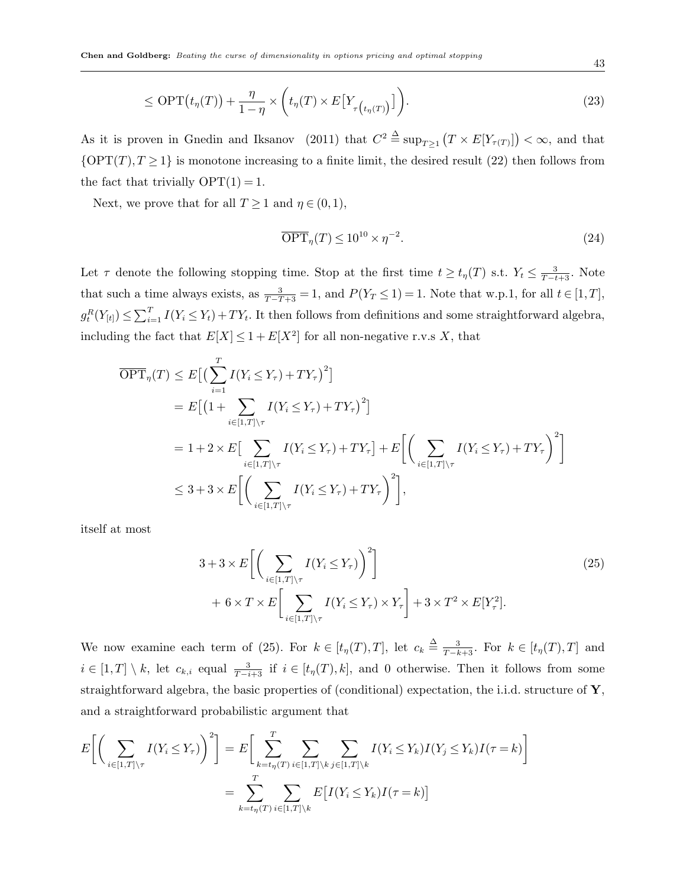$$
\leq \text{OPT}\big(t_{\eta}(T)\big) + \frac{\eta}{1-\eta} \times \bigg(t_{\eta}(T) \times E\big[Y_{\tau\big(t_{\eta}(T)\big)}\big]\bigg). \tag{23}
$$

As it is proven in Gnedin and Iksanov (2011) that  $C^2 \triangleq \sup_{T \geq 1} (T \times E[Y_{\tau(T)}]) < \infty$ , and that  ${OPT(T), T \geq 1}$  is monotone increasing to a finite limit, the desired result (22) then follows from the fact that trivially  $OPT(1) = 1$ .

Next, we prove that for all  $T \geq 1$  and  $\eta \in (0,1)$ ,

$$
\overline{\text{OPT}}_{\eta}(T) \le 10^{10} \times \eta^{-2}.
$$
\n<sup>(24)</sup>

Let  $\tau$  denote the following stopping time. Stop at the first time  $t \geq t_{\eta}(T)$  s.t.  $Y_t \leq \frac{3}{T-t+3}$ . Note that such a time always exists, as  $\frac{3}{T-T+3} = 1$ , and  $P(Y_T \le 1) = 1$ . Note that w.p.1, for all  $t \in [1, T]$ ,  $g_t^R(Y_{[t]}) \leq \sum_{i=1}^T I(Y_i \leq Y_t) + TY_t$ . It then follows from definitions and some straightforward algebra, including the fact that  $E[X] \leq 1 + E[X^2]$  for all non-negative r.v.s X, that

$$
\overline{OPT}_{\eta}(T) \leq E\Big[\Big(\sum_{i=1}^{T} I(Y_i \leq Y_{\tau}) + TY_{\tau}\Big)^2\Big] \n= E\Big[\Big(1 + \sum_{i \in [1,T] \setminus \tau} I(Y_i \leq Y_{\tau}) + TY_{\tau}\Big)^2\Big] \n= 1 + 2 \times E\Big[\sum_{i \in [1,T] \setminus \tau} I(Y_i \leq Y_{\tau}) + TY_{\tau}\Big] + E\Big[\Big(\sum_{i \in [1,T] \setminus \tau} I(Y_i \leq Y_{\tau}) + TY_{\tau}\Big)^2\Big] \n\leq 3 + 3 \times E\Big[\Big(\sum_{i \in [1,T] \setminus \tau} I(Y_i \leq Y_{\tau}) + TY_{\tau}\Big)^2\Big],
$$

itself at most

$$
3 + 3 \times E\left[\left(\sum_{i \in [1,T] \setminus \tau} I(Y_i \le Y_\tau)\right)^2\right]
$$
  
+  $6 \times T \times E\left[\sum_{i \in [1,T] \setminus \tau} I(Y_i \le Y_\tau) \times Y_\tau\right] + 3 \times T^2 \times E[Y_\tau^2].$  (25)

We now examine each term of (25). For  $k \in [t_\eta(T), T]$ , let  $c_k \triangleq \frac{3}{T-k+3}$ . For  $k \in [t_\eta(T), T]$  and  $i \in [1,T] \setminus k$ , let  $c_{k,i}$  equal  $\frac{3}{T-i+3}$  if  $i \in [t_n(T),k]$ , and 0 otherwise. Then it follows from some straightforward algebra, the basic properties of (conditional) expectation, the i.i.d. structure of  $\mathbf{Y}$ , and a straightforward probabilistic argument that

$$
E\left[\left(\sum_{i\in[1,T]\setminus\tau}I(Y_i\leq Y_{\tau})\right)^2\right] = E\left[\sum_{k=t_{\eta}(T)}^{T}\sum_{i\in[1,T]\setminus k}\sum_{j\in[1,T]\setminus k}I(Y_i\leq Y_k)I(Y_j\leq Y_k)I(\tau=k)\right]
$$

$$
= \sum_{k=t_{\eta}(T)}^{T}\sum_{i\in[1,T]\setminus k}E\left[I(Y_i\leq Y_k)I(\tau=k)\right]
$$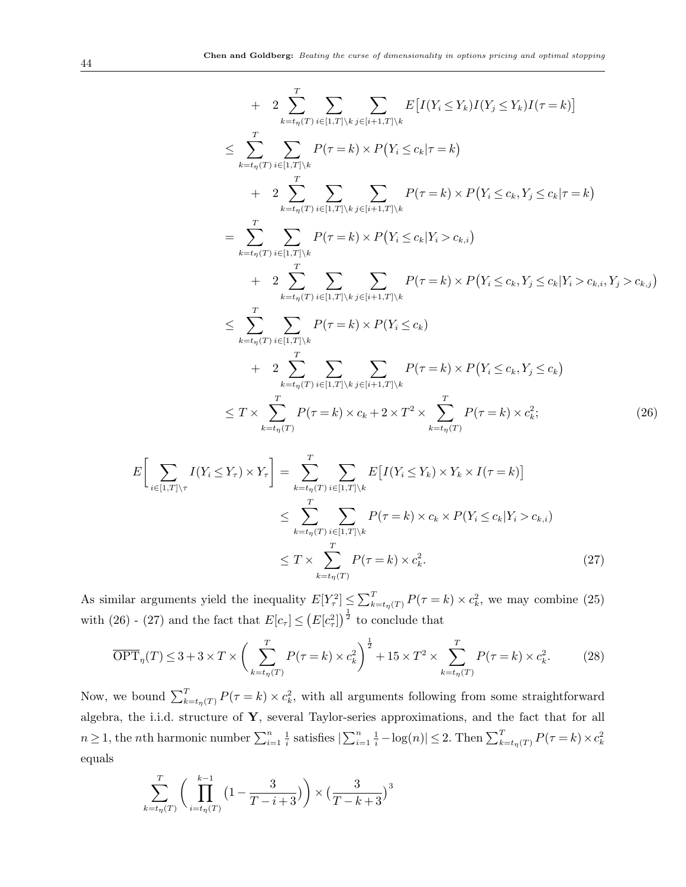+ 
$$
2 \sum_{k=t_{\eta}(T)}^{T} \sum_{i \in [1,T] \setminus k} \sum_{j \in [i+1,T] \setminus k} E[I(Y_i \le Y_k)I(Y_j \le Y_k)I(\tau = k)]
$$
  
\n $\le \sum_{k=t_{\eta}(T)}^{T} \sum_{i \in [1,T] \setminus k} P(\tau = k) \times P(Y_i \le c_k | \tau = k)$   
\n+  $2 \sum_{k=t_{\eta}(T)}^{T} \sum_{i \in [1,T] \setminus k} \sum_{j \in [i+1,T] \setminus k} P(\tau = k) \times P(Y_i \le c_k, Y_j \le c_k | \tau = k)$   
\n $= \sum_{k=t_{\eta}(T)}^{T} \sum_{i \in [1,T] \setminus k} P(\tau = k) \times P(Y_i \le c_k | Y_i > c_{k,i})$   
\n+  $2 \sum_{k=t_{\eta}(T)}^{T} \sum_{i \in [1,T] \setminus k} \sum_{j \in [i+1,T] \setminus k} P(\tau = k) \times P(Y_i \le c_k, Y_j \le c_k | Y_i > c_{k,i}, Y_j > c_{k,j})$   
\n $\le \sum_{k=t_{\eta}(T)}^{T} \sum_{i \in [1,T] \setminus k} P(\tau = k) \times P(Y_i \le c_k)$   
\n+  $2 \sum_{k=t_{\eta}(T)}^{T} \sum_{i \in [1,T] \setminus k} \sum_{j \in [i+1,T] \setminus k} P(\tau = k) \times P(Y_i \le c_k, Y_j \le c_k)$   
\n $\le T \times \sum_{k=t_{\eta}(T)}^{T} P(\tau = k) \times c_k + 2 \times T^2 \times \sum_{k=t_{\eta}(T)}^{T} P(\tau = k) \times c_k^2;$  (26)

$$
E\left[\sum_{i\in[1,T]\setminus\tau} I(Y_i \le Y_\tau) \times Y_\tau\right] = \sum_{k=t_\eta(T)}^{T} \sum_{i\in[1,T]\setminus k} E\left[I(Y_i \le Y_k) \times Y_k \times I(\tau = k)\right]
$$
  

$$
\le \sum_{k=t_\eta(T)}^{T} \sum_{i\in[1,T]\setminus k} P(\tau = k) \times c_k \times P(Y_i \le c_k | Y_i > c_{k,i})
$$
  

$$
\le T \times \sum_{k=t_\eta(T)}^{T} P(\tau = k) \times c_k^2.
$$
 (27)

As similar arguments yield the inequality  $E[Y_{\tau}^2] \leq \sum_{k=t_{\eta}(T)}^T P(\tau = k) \times c_k^2$ , we may combine (25) with (26) - (27) and the fact that  $E[c_{\tau}] \leq (E[c_{\tau}^2])^{\frac{1}{2}}$  to conclude that

$$
\overline{\text{OPT}}_{\eta}(T) \leq 3 + 3 \times T \times \left(\sum_{k=t_{\eta}(T)}^{T} P(\tau = k) \times c_k^2\right)^{\frac{1}{2}} + 15 \times T^2 \times \sum_{k=t_{\eta}(T)}^{T} P(\tau = k) \times c_k^2. \tag{28}
$$

Now, we bound  $\sum_{k=t_{\eta}(T)}^{T} P(\tau = k) \times c_k^2$ , with all arguments following from some straightforward algebra, the i.i.d. structure of Y, several Taylor-series approximations, and the fact that for all  $n \geq 1$ , the *n*th harmonic number  $\sum_{i=1}^{n} \frac{1}{i}$ <sup>1</sup>/<sub>i</sub> satisfies  $|\sum_{i=1}^n \frac{1}{i} - \log(n)| \leq 2$ . Then  $\sum_{k=t_{\eta}(T)}^T P(\tau = k) \times c_k^2$ equals

$$
\sum_{k=t_{\eta}(T)}^{T} \left( \prod_{i=t_{\eta}(T)}^{k-1} \left( 1 - \frac{3}{T-i+3} \right) \right) \times \left( \frac{3}{T-k+3} \right)^3
$$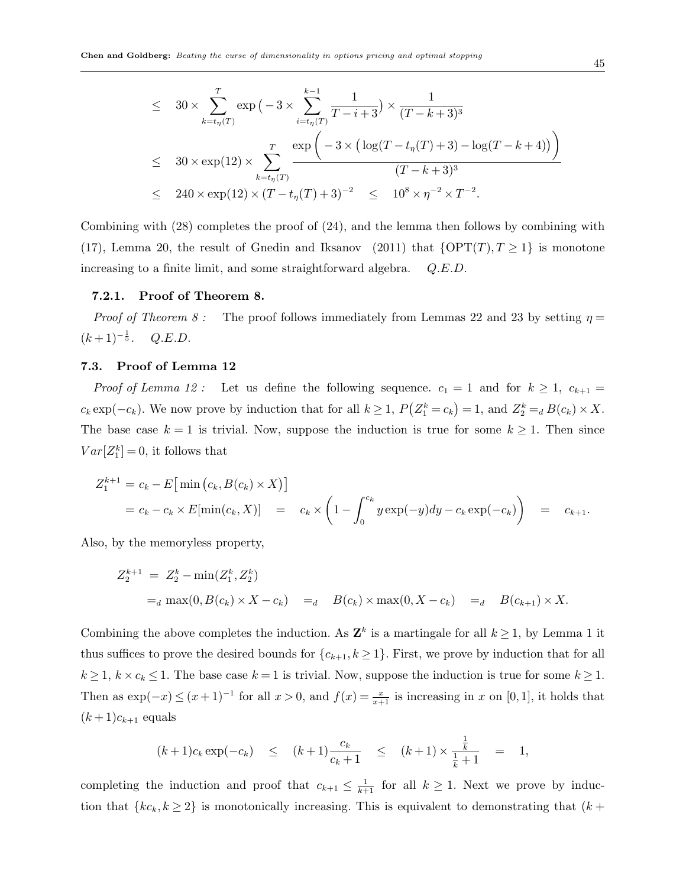$$
\leq 30 \times \sum_{k=t_{\eta}(T)}^{T} \exp(-3 \times \sum_{i=t_{\eta}(T)}^{k-1} \frac{1}{T-i+3}) \times \frac{1}{(T-k+3)^3}
$$
  

$$
\leq 30 \times \exp(12) \times \sum_{k=t_{\eta}(T)}^{T} \frac{\exp(-3 \times (\log(T-t_{\eta}(T)+3) - \log(T-k+4)))}{(T-k+3)^3}
$$
  

$$
\leq 240 \times \exp(12) \times (T-t_{\eta}(T)+3)^{-2} \leq 10^8 \times \eta^{-2} \times T^{-2}.
$$

Combining with (28) completes the proof of (24), and the lemma then follows by combining with (17), Lemma 20, the result of Gnedin and Iksanov (2011) that  $\{OPT(T), T \geq 1\}$  is monotone increasing to a finite limit, and some straightforward algebra.  $Q.E.D.$ 

#### 7.2.1. Proof of Theorem 8.

*Proof of Theorem 8 :* The proof follows immediately from Lemmas 22 and 23 by setting  $\eta =$  $(k+1)^{-\frac{1}{5}}$ .  $Q.E.D.$ 

#### 7.3. Proof of Lemma 12

*Proof of Lemma 12 :* Let us define the following sequence.  $c_1 = 1$  and for  $k \ge 1$ ,  $c_{k+1} =$  $c_k \exp(-c_k)$ . We now prove by induction that for all  $k \ge 1$ ,  $P(Z_1^k = c_k) = 1$ , and  $Z_2^k =_d B(c_k) \times X$ . The base case  $k = 1$  is trivial. Now, suppose the induction is true for some  $k \geq 1$ . Then since  $Var[Z_1^k] = 0$ , it follows that

$$
Z_1^{k+1} = c_k - E \big[ \min (c_k, B(c_k) \times X) \big] = c_k - c_k \times E[\min(c_k, X)] = c_k \times \bigg( 1 - \int_0^{c_k} y \exp(-y) dy - c_k \exp(-c_k) \bigg) = c_{k+1}.
$$

Also, by the memoryless property,

$$
Z_2^{k+1} = Z_2^k - \min(Z_1^k, Z_2^k)
$$
  
=<sub>d</sub> max(0, B(c<sub>k</sub>) × X - c<sub>k</sub>) =<sub>d</sub> B(c<sub>k</sub>) × max(0, X - c<sub>k</sub>) =<sub>d</sub> B(c<sub>k+1</sub>) × X.

Combining the above completes the induction. As  $\mathbf{Z}^k$  is a martingale for all  $k \geq 1$ , by Lemma 1 it thus suffices to prove the desired bounds for  $\{c_{k+1}, k \geq 1\}$ . First, we prove by induction that for all  $k \geq 1$ ,  $k \times c_k \leq 1$ . The base case  $k = 1$  is trivial. Now, suppose the induction is true for some  $k \geq 1$ . Then as  $\exp(-x) \le (x+1)^{-1}$  for all  $x > 0$ , and  $f(x) = \frac{x}{x+1}$  is increasing in x on [0, 1], it holds that  $(k+1)c_{k+1}$  equals

$$
(k+1)c_k \exp(-c_k) \le (k+1)\frac{c_k}{c_k+1} \le (k+1) \times \frac{\frac{1}{k}}{\frac{1}{k}+1} = 1,
$$

completing the induction and proof that  $c_{k+1} \leq \frac{1}{k+1}$  for all  $k \geq 1$ . Next we prove by induction that  $\{kc_k, k \geq 2\}$  is monotonically increasing. This is equivalent to demonstrating that  $(k +$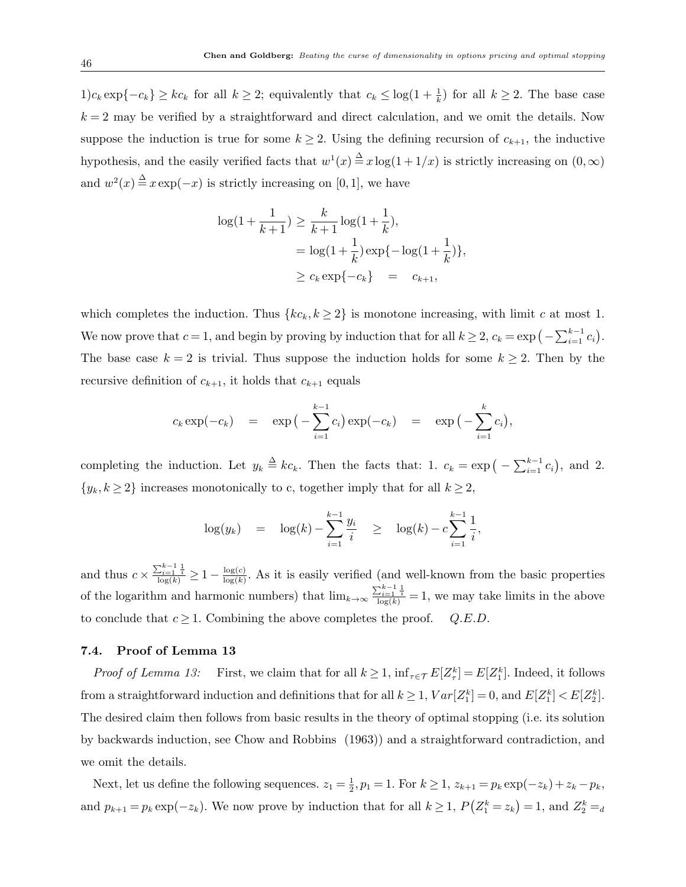1)c<sub>k</sub> exp{ $-c_k$ } ≥ kc<sub>k</sub> for all  $k \ge 2$ ; equivalently that  $c_k \le \log(1+\frac{1}{k})$  for all  $k \ge 2$ . The base case  $k = 2$  may be verified by a straightforward and direct calculation, and we omit the details. Now suppose the induction is true for some  $k \geq 2$ . Using the defining recursion of  $c_{k+1}$ , the inductive hypothesis, and the easily verified facts that  $w^1(x) \stackrel{\Delta}{=} x \log(1 + 1/x)$  is strictly increasing on  $(0, \infty)$ and  $w^2(x) \stackrel{\Delta}{=} x \exp(-x)$  is strictly increasing on [0, 1], we have

$$
\log(1 + \frac{1}{k+1}) \ge \frac{k}{k+1} \log(1 + \frac{1}{k}),
$$
  
=  $\log(1 + \frac{1}{k}) \exp\{-\log(1 + \frac{1}{k})\},$   
 $\ge c_k \exp\{-c_k\} = c_{k+1},$ 

which completes the induction. Thus  $\{kc_k, k \geq 2\}$  is monotone increasing, with limit c at most 1. We now prove that  $c = 1$ , and begin by proving by induction that for all  $k \ge 2$ ,  $c_k = \exp\left(-\sum_{i=1}^{k-1} c_i\right)$ . The base case  $k = 2$  is trivial. Thus suppose the induction holds for some  $k \geq 2$ . Then by the recursive definition of  $c_{k+1}$ , it holds that  $c_{k+1}$  equals

$$
c_k \exp(-c_k) = \exp\left(-\sum_{i=1}^{k-1} c_i\right) \exp(-c_k) = \exp\left(-\sum_{i=1}^k c_i\right),
$$

completing the induction. Let  $y_k \triangleq kc_k$ . Then the facts that: 1.  $c_k = \exp\left(-\sum_{i=1}^{k-1} c_i\right)$ , and 2.  $\{y_k, k \geq 2\}$  increases monotonically to c, together imply that for all  $k \geq 2$ ,

$$
\log(y_k) = \log(k) - \sum_{i=1}^{k-1} \frac{y_i}{i} \ge \log(k) - c \sum_{i=1}^{k-1} \frac{1}{i},
$$

and thus  $c \times \frac{\sum_{i=1}^{k-1} \frac{1}{i}}{\log(k)} \geq 1 - \frac{\log(c)}{\log(k)}$  $\frac{\log(c)}{\log(k)}$ . As it is easily verified (and well-known from the basic properties of the logarithm and harmonic numbers) that  $\lim_{k\to\infty} \frac{\sum_{i=1}^{k-1} \frac{1}{i}}{\log(k)} = 1$ , we may take limits in the above to conclude that  $c \geq 1$ . Combining the above completes the proof.  $Q.E.D.$ 

#### 7.4. Proof of Lemma 13

*Proof of Lemma 13:* First, we claim that for all  $k \geq 1$ ,  $\inf_{\tau \in \mathcal{T}} E[Z_{\tau}^k] = E[Z_1^k]$ . Indeed, it follows from a straightforward induction and definitions that for all  $k \geq 1$ ,  $Var[Z_1^k] = 0$ , and  $E[Z_1^k] < E[Z_2^k]$ . The desired claim then follows from basic results in the theory of optimal stopping (i.e. its solution by backwards induction, see Chow and Robbins (1963)) and a straightforward contradiction, and we omit the details.

Next, let us define the following sequences.  $z_1 = \frac{1}{2}$  $\frac{1}{2}, p_1 = 1.$  For  $k \ge 1$ ,  $z_{k+1} = p_k \exp(-z_k) + z_k - p_k$ , and  $p_{k+1} = p_k \exp(-z_k)$ . We now prove by induction that for all  $k \ge 1$ ,  $P(Z_1^k = z_k) = 1$ , and  $Z_2^k = d$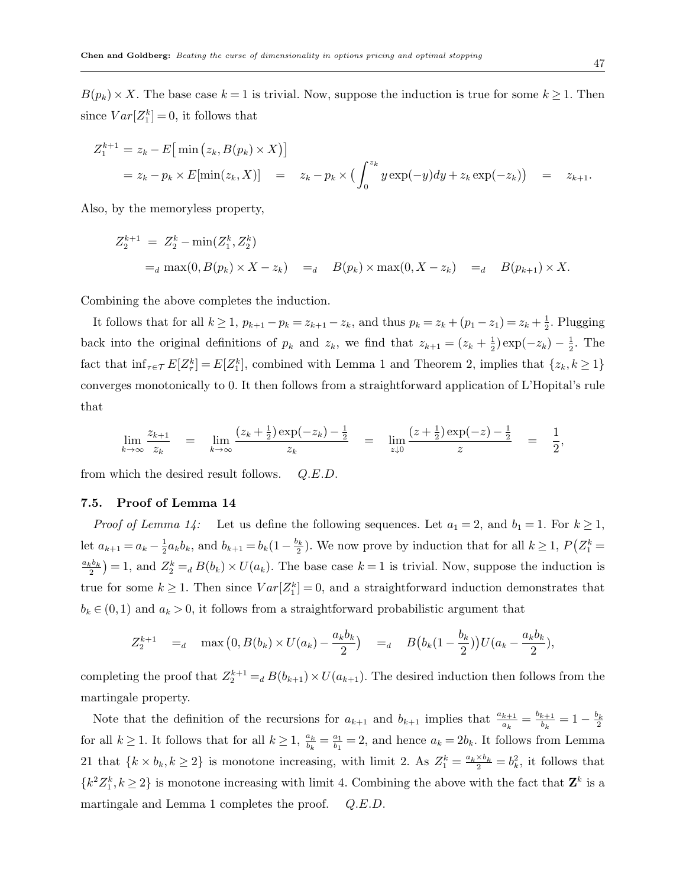$B(p_k) \times X$ . The base case  $k = 1$  is trivial. Now, suppose the induction is true for some  $k \ge 1$ . Then since  $Var[Z_1^k] = 0$ , it follows that

$$
Z_1^{k+1} = z_k - E \big[ \min (z_k, B(p_k) \times X) \big] = z_k - p_k \times E[\min(z_k, X)] = z_k - p_k \times \big( \int_0^{z_k} y \exp(-y) dy + z_k \exp(-z_k) \big) = z_{k+1}.
$$

Also, by the memoryless property,

$$
Z_2^{k+1} = Z_2^k - \min(Z_1^k, Z_2^k)
$$
  
= $a \max(0, B(p_k) \times X - z_k) =_d B(p_k) \times \max(0, X - z_k) =_d B(p_{k+1}) \times X.$ 

Combining the above completes the induction.

It follows that for all  $k \geq 1$ ,  $p_{k+1} - p_k = z_{k+1} - z_k$ , and thus  $p_k = z_k + (p_1 - z_1) = z_k + \frac{1}{2}$  $\frac{1}{2}$ . Plugging back into the original definitions of  $p_k$  and  $z_k$ , we find that  $z_{k+1} = (z_k + \frac{1}{2})$  $(\frac{1}{2}) \exp(-z_k) - \frac{1}{2}$  $\frac{1}{2}$ . The fact that  $\inf_{\tau \in \mathcal{T}} E[Z_{\tau}^k] = E[Z_1^k]$ , combined with Lemma 1 and Theorem 2, implies that  $\{z_k, k \geq 1\}$ converges monotonically to 0. It then follows from a straightforward application of L'Hopital's rule that

$$
\lim_{k \to \infty} \frac{z_{k+1}}{z_k} = \lim_{k \to \infty} \frac{(z_k + \frac{1}{2}) \exp(-z_k) - \frac{1}{2}}{z_k} = \lim_{z \downarrow 0} \frac{(z + \frac{1}{2}) \exp(-z) - \frac{1}{2}}{z} = \frac{1}{2},
$$

from which the desired result follows.  $Q.E.D.$ 

#### 7.5. Proof of Lemma 14

*Proof of Lemma 14:* Let us define the following sequences. Let  $a_1 = 2$ , and  $b_1 = 1$ . For  $k \ge 1$ , let  $a_{k+1} = a_k - \frac{1}{2}$  $\frac{1}{2}a_kb_k$ , and  $b_{k+1}=b_k(1-\frac{b_k}{2})$ . We now prove by induction that for all  $k\geq 1$ ,  $P(Z_1^k=$  $\frac{a_kb_k}{2}$  = 1, and  $Z_2^k =_d B(b_k) \times U(a_k)$ . The base case  $k = 1$  is trivial. Now, suppose the induction is true for some  $k \geq 1$ . Then since  $Var[Z_1^k] = 0$ , and a straightforward induction demonstrates that  $b_k \in (0,1)$  and  $a_k > 0$ , it follows from a straightforward probabilistic argument that

$$
Z_2^{k+1} =_d \max(0, B(b_k) \times U(a_k) - \frac{a_k b_k}{2}) =_d B(b_k(1 - \frac{b_k}{2}))U(a_k - \frac{a_k b_k}{2}),
$$

completing the proof that  $Z_2^{k+1} =_d B(b_{k+1}) \times U(a_{k+1})$ . The desired induction then follows from the martingale property.

Note that the definition of the recursions for  $a_{k+1}$  and  $b_{k+1}$  implies that  $\frac{a_{k+1}}{a_k} = \frac{b_{k+1}}{b_k}$  $\frac{k+1}{b_k} = 1 - \frac{b_k}{2}$ for all  $k \geq 1$ . It follows that for all  $k \geq 1$ ,  $\frac{a_k}{b_k} = \frac{a_1}{b_1}$  $\frac{a_1}{b_1} = 2$ , and hence  $a_k = 2b_k$ . It follows from Lemma 21 that  $\{k \times b_k, k \ge 2\}$  is monotone increasing, with limit 2. As  $Z_1^k = \frac{a_k \times b_k}{2} = b_k^2$ , it follows that  ${k^2Z_1^k, k \geq 2}$  is monotone increasing with limit 4. Combining the above with the fact that  $\mathbf{Z}^k$  is a martingale and Lemma 1 completes the proof. Q.E.D.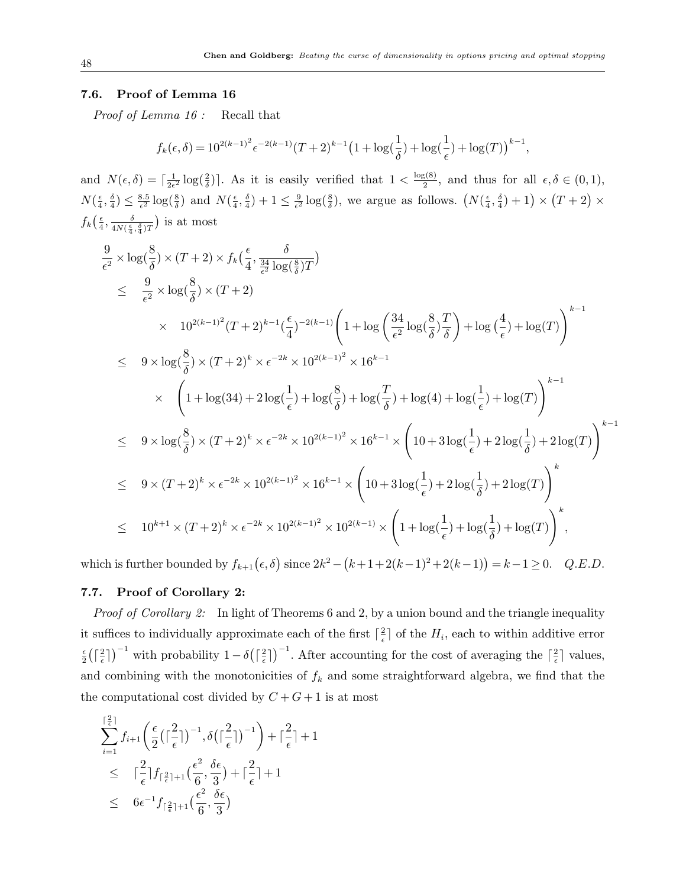#### 7.6. Proof of Lemma 16

Proof of Lemma 16 : Recall that

$$
f_k(\epsilon,\delta) = 10^{2(k-1)^2} \epsilon^{-2(k-1)} (T+2)^{k-1} \left(1 + \log(\frac{1}{\delta}) + \log(\frac{1}{\epsilon}) + \log(T)\right)^{k-1},
$$

and  $N(\epsilon, \delta) = \lceil \frac{1}{2\epsilon} \rceil$  $\frac{1}{2\epsilon^2} \log(\frac{2}{\delta})$ . As it is easily verified that  $1 < \frac{\log(8)}{2}$  $\frac{\xi(8)}{2}$ , and thus for all  $\epsilon, \delta \in (0,1)$ ,  $N(\frac{\epsilon}{4})$  $\frac{\epsilon}{4}, \frac{\delta}{4}$  $\frac{\delta}{4}) \leq \frac{8.5}{\epsilon^2}$  $\frac{8.5}{\epsilon^2} \log(\frac{8}{\delta})$  and  $N(\frac{\epsilon}{4})$  $\frac{\epsilon}{4}, \frac{\delta}{4}$  $\frac{\delta}{4})+1 \leq \frac{9}{\epsilon^2}$  $\frac{9}{\epsilon^2} \log(\frac{8}{\delta})$ , we argue as follows.  $(N(\frac{\epsilon}{4}))$  $\frac{\epsilon}{4}, \frac{\delta}{4}$  $\frac{\delta}{4})+1\times(T+2)\times$  $f_k\left(\frac{\epsilon}{4}\right)$  $\frac{\epsilon}{4}, \frac{\delta}{4N(\frac{\epsilon}{4})}$  $\frac{\delta}{4N(\frac{\epsilon}{4},\frac{\delta}{4})T}$ ) is at most

$$
\frac{9}{\epsilon^2} \times \log(\frac{8}{\delta}) \times (T+2) \times f_k\left(\frac{\epsilon}{4}, \frac{\delta}{\frac{34}{\epsilon^2} \log(\frac{8}{\delta})T}\right)
$$
\n
$$
\leq \frac{9}{\epsilon^2} \times \log(\frac{8}{\delta}) \times (T+2)
$$
\n
$$
\times 10^{2(k-1)^2} (T+2)^{k-1} (\frac{\epsilon}{4})^{-2(k-1)} \left(1 + \log\left(\frac{34}{\epsilon^2} \log(\frac{8}{\delta})\frac{T}{\delta}\right) + \log\left(\frac{4}{\epsilon}\right) + \log(T)\right)^{k-1}
$$
\n
$$
\leq 9 \times \log(\frac{8}{\delta}) \times (T+2)^k \times \epsilon^{-2k} \times 10^{2(k-1)^2} \times 16^{k-1}
$$
\n
$$
\times \left(1 + \log(34) + 2\log(\frac{1}{\epsilon}) + \log(\frac{8}{\delta}) + \log(\frac{T}{\delta}) + \log(4) + \log(\frac{1}{\epsilon}) + \log(T)\right)^{k-1}
$$
\n
$$
\leq 9 \times \log(\frac{8}{\delta}) \times (T+2)^k \times \epsilon^{-2k} \times 10^{2(k-1)^2} \times 16^{k-1} \times \left(10 + 3\log(\frac{1}{\epsilon}) + 2\log(\frac{1}{\delta}) + 2\log(T)\right)^{k-1}
$$
\n
$$
\leq 9 \times (T+2)^k \times \epsilon^{-2k} \times 10^{2(k-1)^2} \times 16^{k-1} \times \left(10 + 3\log(\frac{1}{\epsilon}) + 2\log(\frac{1}{\delta}) + 2\log(T)\right)^k
$$
\n
$$
\leq 10^{k+1} \times (T+2)^k \times \epsilon^{-2k} \times 10^{2(k-1)^2} \times 10^{2(k-1)} \times \left(1 + \log(\frac{1}{\epsilon}) + \log(\frac{1}{\delta}) + \log(T)\right)^k,
$$

which is further bounded by  $f_{k+1}(\epsilon, \delta)$  since  $2k^2 - (k+1+2(k-1)^2+2(k-1)) = k-1 \ge 0$ . Q.E.D.

# 7.7. Proof of Corollary 2:

*Proof of Corollary 2:* In light of Theorems 6 and 2, by a union bound and the triangle inequality it suffices to individually approximate each of the first  $\lceil \frac{2}{5} \rceil$  $\frac{2}{\epsilon}$  of the  $H_i$ , each to within additive error  $\epsilon$  $\frac{\epsilon}{2}$   $\Big(\big\lceil \frac{2}{\epsilon} \Big\rceil$  $\left(\frac{2}{\epsilon}\right)^{-1}$  with probability  $1-\delta\left(\left\lceil \frac{2}{\epsilon}\right\rceil\right)$  $\left(\frac{2}{\epsilon}\right)^{-1}$ . After accounting for the cost of averaging the  $\left[\frac{2}{\epsilon}\right]$  $\frac{2}{\epsilon}$  values, and combining with the monotonicities of  $f_k$  and some straightforward algebra, we find that the the computational cost divided by  $C + G + 1$  is at most

$$
\sum_{i=1}^{\lceil \frac{2}{\epsilon} \rceil} f_{i+1} \left( \frac{\epsilon}{2} \left( \lceil \frac{2}{\epsilon} \rceil \right)^{-1}, \delta \left( \lceil \frac{2}{\epsilon} \rceil \right)^{-1} \right) + \lceil \frac{2}{\epsilon} \rceil + 1
$$
  
\n
$$
\leq \quad \lceil \frac{2}{\epsilon} \rceil f_{\lceil \frac{2}{\epsilon} \rceil + 1} \left( \frac{\epsilon^2}{6}, \frac{\delta \epsilon}{3} \right) + \lceil \frac{2}{\epsilon} \rceil + 1
$$
  
\n
$$
\leq \quad 6\epsilon^{-1} f_{\lceil \frac{2}{\epsilon} \rceil + 1} \left( \frac{\epsilon^2}{6}, \frac{\delta \epsilon}{3} \right)
$$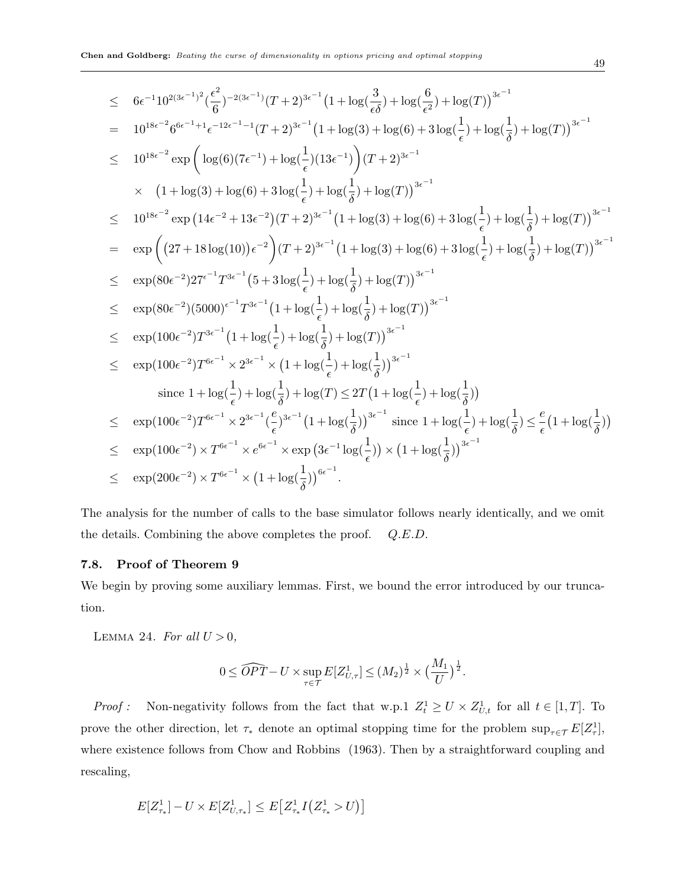$$
\leq 6\epsilon^{-1}10^{2(3\epsilon^{-1})^2}(\frac{\epsilon^2}{6})^{-2(3\epsilon^{-1})}(T+2)^{3\epsilon^{-1}}(1+\log(\frac{3}{\epsilon\delta})+\log(\frac{6}{\epsilon^2})+\log(T))^{3\epsilon^{-1}}\n= 10^{18\epsilon^{-2}}6^{6\epsilon^{-1}+1}\epsilon^{-12\epsilon^{-1}-1}(T+2)^{3\epsilon^{-1}}(1+\log(3)+\log(\epsilon)+3\log(\frac{1}{\epsilon})+\log(\frac{1}{\delta})+\log(T))^{3\epsilon^{-1}}\n\leq 10^{18\epsilon^{-2}}\exp\left(\log(6)(7\epsilon^{-1})+\log(\frac{1}{\epsilon})(13\epsilon^{-1})\right)(T+2)^{3\epsilon^{-1}}\n\times (1+\log(3)+\log(6)+3\log(\frac{1}{\epsilon})+\log(\frac{1}{\delta})+\log(T))^{3\epsilon^{-1}}\n\leq 10^{18\epsilon^{-2}}\exp\left(14\epsilon^{-2}+13\epsilon^{-2})(T+2)^{3\epsilon^{-1}}(1+\log(3)+\log(6)+3\log(\frac{1}{\epsilon})+\log(\frac{1}{\delta})+\log(T)\right)^{3\epsilon^{-1}}\n= \exp\left((27+18\log(10))\epsilon^{-2}\right)(T+2)^{3\epsilon^{-1}}(1+\log(3)+\log(6)+3\log(\frac{1}{\epsilon})+\log(\frac{1}{\delta})+\log(T))^{3\epsilon^{-1}}\n\leq \exp(80\epsilon^{-2})27^{\epsilon^{-1}}T^{3\epsilon^{-1}}(5+3\log(\frac{1}{\epsilon})+\log(\frac{1}{\delta})+\log(T))^{3\epsilon^{-1}}\n\leq \exp(80\epsilon^{-2})(5000)^{\epsilon^{-1}}T^{3\epsilon^{-1}}(1+\log(\frac{1}{\epsilon})+\log(\frac{1}{\delta})+\log(T))^{3\epsilon^{-1}}\n\leq \exp(100\epsilon^{-2})T^{3\epsilon^{-1}}(1+\log(\frac{1}{\epsilon})+\log(\frac{1}{\delta})+\log(T))^{3\epsilon^{-1}}\n\leq \exp(100\epsilon^{-2})T^{6\epsilon^{-1}}\times 2^{3\epsilon^{-1}}\times (1+\log(\frac{1}{\epsilon})+\log(\frac{1}{\delta}))^{3\epsilon^{-1}}\n\text{ since } 1+\log(\frac{1}{\epsilon})
$$

The analysis for the number of calls to the base simulator follows nearly identically, and we omit the details. Combining the above completes the proof. Q.E.D.

# 7.8. Proof of Theorem 9

We begin by proving some auxiliary lemmas. First, we bound the error introduced by our truncation.

LEMMA 24. For all  $U > 0$ ,

$$
0 \leq \widehat{OPT} - U \times \sup_{\tau \in \mathcal{T}} E[Z_{U,\tau}^1] \leq (M_2)^{\frac{1}{2}} \times \left(\frac{M_1}{U}\right)^{\frac{1}{2}}.
$$

*Proof*: Non-negativity follows from the fact that w.p.1  $Z_t^1 \ge U \times Z_{U,t}^1$  for all  $t \in [1,T]$ . To prove the other direction, let  $\tau_*$  denote an optimal stopping time for the problem  $\sup_{\tau \in \mathcal{T}} E[Z^1_{\tau}],$ where existence follows from Chow and Robbins (1963). Then by a straightforward coupling and rescaling,

$$
E[Z^1_{\tau_*}] - U \times E[Z^1_{U,\tau_*}] \leq E\big[Z^1_{\tau_*} I\big(Z^1_{\tau_*} > U\big)\big]
$$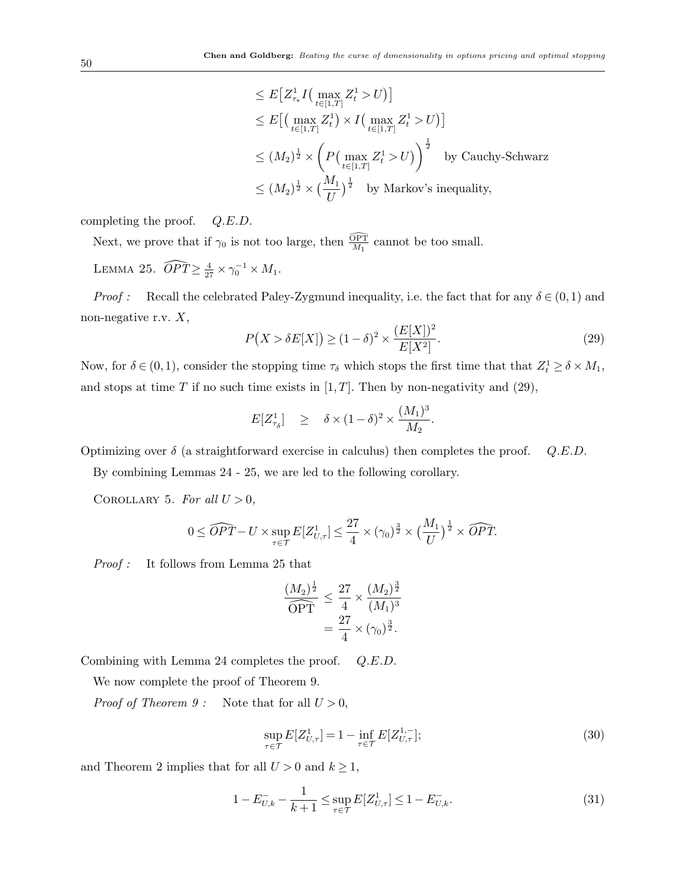$$
\leq E\big[Z_{\tau*}^1 I\big(\max_{t\in[1,T]} Z_t^1 > U\big)\big]
$$
  
\n
$$
\leq E\big[\big(\max_{t\in[1,T]} Z_t^1\big) \times I\big(\max_{t\in[1,T]} Z_t^1 > U\big)\big]
$$
  
\n
$$
\leq (M_2)^{\frac{1}{2}} \times \left(P\big(\max_{t\in[1,T]} Z_t^1 > U\big)\right)^{\frac{1}{2}} \text{ by Cauchy-Schwarz}
$$
  
\n
$$
\leq (M_2)^{\frac{1}{2}} \times \big(\frac{M_1}{U}\big)^{\frac{1}{2}} \text{ by Markov's inequality,}
$$

completing the proof. Q.E.D.

Next, we prove that if  $\gamma_0$  is not too large, then  $\frac{\widehat{\text{OPT}}}{M_1}$  cannot be too small. LEMMA 25.  $\widehat{OPT} \geq \frac{4}{27} \times \gamma_0^{-1} \times M_1$ .

*Proof :* Recall the celebrated Paley-Zygmund inequality, i.e. the fact that for any  $\delta \in (0,1)$  and non-negative r.v.  $X$ ,

$$
P(X > \delta E[X]) \ge (1 - \delta)^2 \times \frac{(E[X])^2}{E[X^2]}.\tag{29}
$$

Now, for  $\delta \in (0,1)$ , consider the stopping time  $\tau_{\delta}$  which stops the first time that that  $Z_t^1 \ge \delta \times M_1$ , and stops at time T if no such time exists in  $[1, T]$ . Then by non-negativity and  $(29)$ ,

$$
E[Z_{\tau_{\delta}}^1] \geq \delta \times (1-\delta)^2 \times \frac{(M_1)^3}{M_2}.
$$

Optimizing over  $\delta$  (a straightforward exercise in calculus) then completes the proof.  $Q.E.D.$ 

By combining Lemmas 24 - 25, we are led to the following corollary.

COROLLARY 5. For all  $U > 0$ ,

$$
0 \leq \widehat{OPT} - U \times \sup_{\tau \in \mathcal{T}} E[Z_{U,\tau}^1] \leq \frac{27}{4} \times (\gamma_0)^{\frac{3}{2}} \times \left(\frac{M_1}{U}\right)^{\frac{1}{2}} \times \widehat{OPT}.
$$

Proof : It follows from Lemma 25 that

$$
\frac{(M_2)^{\frac{1}{2}}}{\widehat{\text{OPT}}} \le \frac{27}{4} \times \frac{(M_2)^{\frac{3}{2}}}{(M_1)^3} \n= \frac{27}{4} \times (\gamma_0)^{\frac{3}{2}}.
$$

Combining with Lemma 24 completes the proof. Q.E.D.

We now complete the proof of Theorem 9.

*Proof of Theorem 9* : Note that for all  $U > 0$ ,

$$
\sup_{\tau \in \mathcal{T}} E[Z_{U,\tau}^1] = 1 - \inf_{\tau \in \mathcal{T}} E[Z_{U,\tau}^{1,-}];\tag{30}
$$

and Theorem 2 implies that for all  $U > 0$  and  $k \ge 1$ ,

$$
1 - E_{U,k}^- - \frac{1}{k+1} \le \sup_{\tau \in \mathcal{T}} E[Z_{U,\tau}^1] \le 1 - E_{U,k}^-.
$$
\n(31)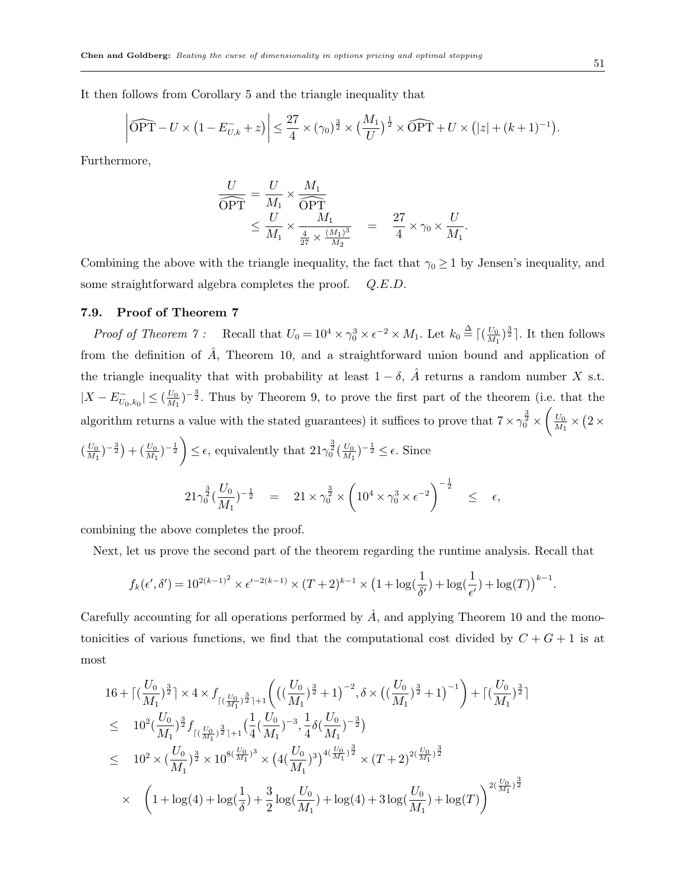It then follows from Corollary 5 and the triangle inequality that

$$
\left|\widehat{\text{OPT}} - U \times \left(1 - E_{U,k}^- + z\right)\right| \leq \frac{27}{4} \times (\gamma_0)^{\frac{3}{2}} \times \left(\frac{M_1}{U}\right)^{\frac{1}{2}} \times \widehat{\text{OPT}} + U \times \left(|z| + (k+1)^{-1}\right).
$$

Furthermore,

$$
\frac{U}{\widehat{\text{OPT}}} = \frac{U}{M_1} \times \frac{M_1}{\widehat{\text{OPT}}}
$$
\n
$$
\leq \frac{U}{M_1} \times \frac{M_1}{\frac{4}{27} \times \frac{(M_1)^3}{M_2}} = \frac{27}{4} \times \gamma_0 \times \frac{U}{M_1}
$$

.

Combining the above with the triangle inequality, the fact that  $\gamma_0 \ge 1$  by Jensen's inequality, and some straightforward algebra completes the proof.  $Q.E.D.$ 

#### 7.9. Proof of Theorem 7

Proof of Theorem 7: Recall that  $U_0 = 10^4 \times \gamma_0^3 \times \epsilon^{-2} \times M_1$ . Let  $k_0 \stackrel{\Delta}{=} \big[ \big( \frac{U_0}{M_1} \big)$  $\frac{U_0}{M_1}$  $\rangle$  $\frac{3}{2}$ ]. It then follows from the definition of  $\hat{A}$ , Theorem 10, and a straightforward union bound and application of the triangle inequality that with probability at least  $1 - \delta$ ,  $\hat{A}$  returns a random number X s.t.  $|X - E_{U_0, k_0}^-| \leq (\frac{U_0}{M_1})$  $\frac{U_0}{M_1}$ )<sup>-3</sup>. Thus by Theorem 9, to prove the first part of the theorem (i.e. that the algorithm returns a value with the stated guarantees) it suffices to prove that  $7 \times \gamma_0^{\frac{3}{2}} \times \left(\frac{U_0}{M_1}\right)$  $\frac{U_0}{M_1}\times (2\times$ 

$$
\left(\frac{U_0}{M_1}\right)^{-\frac{3}{2}} + \left(\frac{U_0}{M_1}\right)^{-\frac{1}{2}} \le \epsilon
$$
, equivalently that  $21\gamma_0^{\frac{3}{2}}\left(\frac{U_0}{M_1}\right)^{-\frac{1}{2}} \le \epsilon$ . Since

$$
21\gamma_0^{\frac{3}{2}}\left(\frac{U_0}{M_1}\right)^{-\frac{1}{2}} = 21 \times \gamma_0^{\frac{3}{2}} \times \left(10^4 \times \gamma_0^3 \times \epsilon^{-2}\right)^{-\frac{1}{2}} \leq \epsilon,
$$

combining the above completes the proof.

Next, let us prove the second part of the theorem regarding the runtime analysis. Recall that

$$
f_k(\epsilon',\delta') = 10^{2(k-1)^2} \times \epsilon'^{-2(k-1)} \times (T+2)^{k-1} \times \left(1 + \log(\frac{1}{\delta'}) + \log(\frac{1}{\epsilon'}) + \log(T)\right)^{k-1}.
$$

Carefully accounting for all operations performed by  $\hat{A}$ , and applying Theorem 10 and the monotonicities of various functions, we find that the computational cost divided by  $C + G + 1$  is at most

$$
16 + \left[ (\frac{U_0}{M_1})^{\frac{3}{2}} \right] \times 4 \times f_{\lceil (\frac{U_0}{M_1})^{\frac{3}{2}} \rceil + 1} \left( \left( (\frac{U_0}{M_1})^{\frac{3}{2}} + 1 \right)^{-2}, \delta \times \left( (\frac{U_0}{M_1})^{\frac{3}{2}} + 1 \right)^{-1} \right) + \left[ (\frac{U_0}{M_1})^{\frac{3}{2}} \right] \n\leq 10^2 (\frac{U_0}{M_1})^{\frac{3}{2}} f_{\lceil (\frac{U_0}{M_1})^{\frac{3}{2}} \rceil + 1} (\frac{1}{4} (\frac{U_0}{M_1})^{-3}, \frac{1}{4} \delta (\frac{U_0}{M_1})^{-\frac{3}{2}}) \n\leq 10^2 \times (\frac{U_0}{M_1})^{\frac{3}{2}} \times 10^{8(\frac{U_0}{M_1})^3} \times \left( 4 (\frac{U_0}{M_1})^3 \right)^{4(\frac{U_0}{M_1})^{\frac{3}{2}}} \times (T + 2)^{2(\frac{U_0}{M_1})^{\frac{3}{2}} \n\times \left( 1 + \log(4) + \log(\frac{1}{\delta}) + \frac{3}{2} \log(\frac{U_0}{M_1}) + \log(4) + 3 \log(\frac{U_0}{M_1}) + \log(T) \right)^{2(\frac{U_0}{M_1})^{\frac{3}{2}}}
$$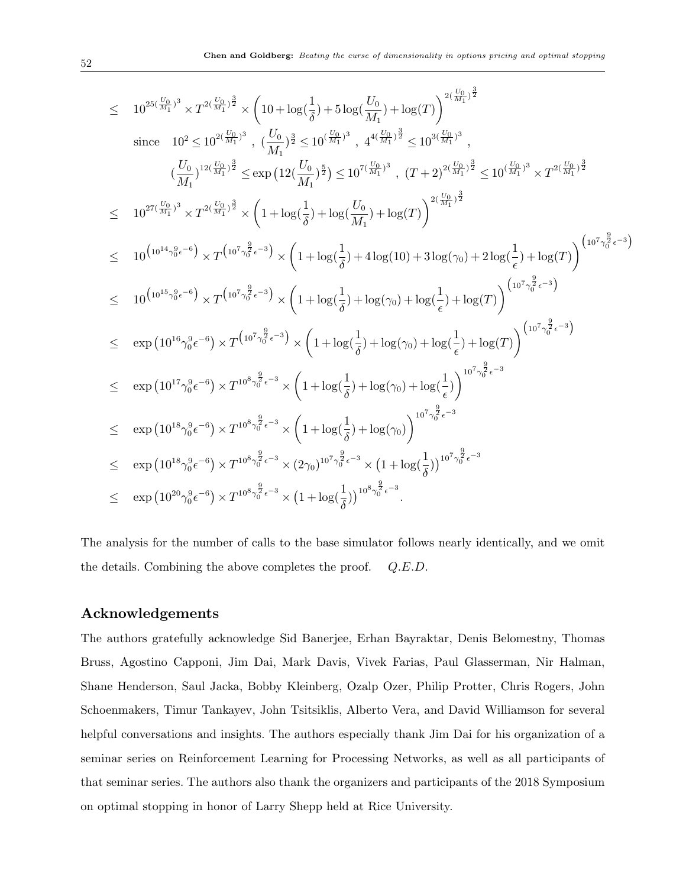$$
\leq 10^{25(\frac{U_0}{M_1})^3} \times T^{2(\frac{U_0}{M_1})^{\frac{3}{2}}} \times \left(10 + \log(\frac{1}{\delta}) + 5\log(\frac{U_0}{M_1}) + \log(T)\right)^{2(\frac{U_0}{M_1})^{\frac{3}{2}}}
$$
\nsince  $10^2 \leq 10^{2(\frac{U_0}{M_1})^3}$ ,  $(\frac{U_0}{M_1})^{\frac{3}{2}} \leq 10^{(\frac{U_0}{M_1})^3}$ ,  $4^{4(\frac{U_0}{M_1})^{\frac{3}{2}}} \leq 10^{3(\frac{U_0}{M_1})^3}$ ,  $(T+2)^{2(\frac{U_0}{M_1})^{\frac{3}{2}}} \leq 10^{(\frac{U_0}{M_1})^3} \times T^{2(\frac{U_0}{M_1})^{\frac{3}{2}}}$   
\n $\leq 10^{27(\frac{U_0}{M_1})^3} \times T^{2(\frac{U_0}{M_1})^{\frac{3}{2}}} \times \left(1 + \log(\frac{1}{\delta}) + \log(\frac{U_0}{M_1}) + \log(T)\right)^{2(\frac{U_0}{M_1})^{\frac{3}{2}}} \times T^{2(\frac{U_0}{M_1})^{\frac{3}{2}}}$   
\n $\leq 10^{(10^{14} \gamma_0^2 \epsilon^{-6})} \times T^{(10^7 \gamma_0^{\frac{3}{2}} \epsilon^{-3})} \times \left(1 + \log(\frac{1}{\delta}) + 4 \log(10) + 3 \log(\gamma_0) + 2 \log(\frac{1}{\epsilon}) + \log(T)\right)^{(10^7 \gamma_0^{\frac{3}{2}} \epsilon^{-3})}$   
\n $\leq 10^{(10^{14} \gamma_0^0 \epsilon^{-6})} \times T^{(10^7 \gamma_0^{\frac{3}{2}} \epsilon^{-3})} \times \left(1 + \log(\frac{1}{\delta}) + \log(\gamma_0) + \log(\frac{1}{\epsilon}) + \log(T)\right)^{(10^7 \gamma_0^{\frac{3}{2}} \epsilon^{-3})}$   
\n $\leq \exp(10^{16} \gamma_0^0 \epsilon^{-6}) \times T^{(10^7 \gamma_0^$ 

The analysis for the number of calls to the base simulator follows nearly identically, and we omit the details. Combining the above completes the proof. Q.E.D.

#### Acknowledgements

The authors gratefully acknowledge Sid Banerjee, Erhan Bayraktar, Denis Belomestny, Thomas Bruss, Agostino Capponi, Jim Dai, Mark Davis, Vivek Farias, Paul Glasserman, Nir Halman, Shane Henderson, Saul Jacka, Bobby Kleinberg, Ozalp Ozer, Philip Protter, Chris Rogers, John Schoenmakers, Timur Tankayev, John Tsitsiklis, Alberto Vera, and David Williamson for several helpful conversations and insights. The authors especially thank Jim Dai for his organization of a seminar series on Reinforcement Learning for Processing Networks, as well as all participants of that seminar series. The authors also thank the organizers and participants of the 2018 Symposium on optimal stopping in honor of Larry Shepp held at Rice University.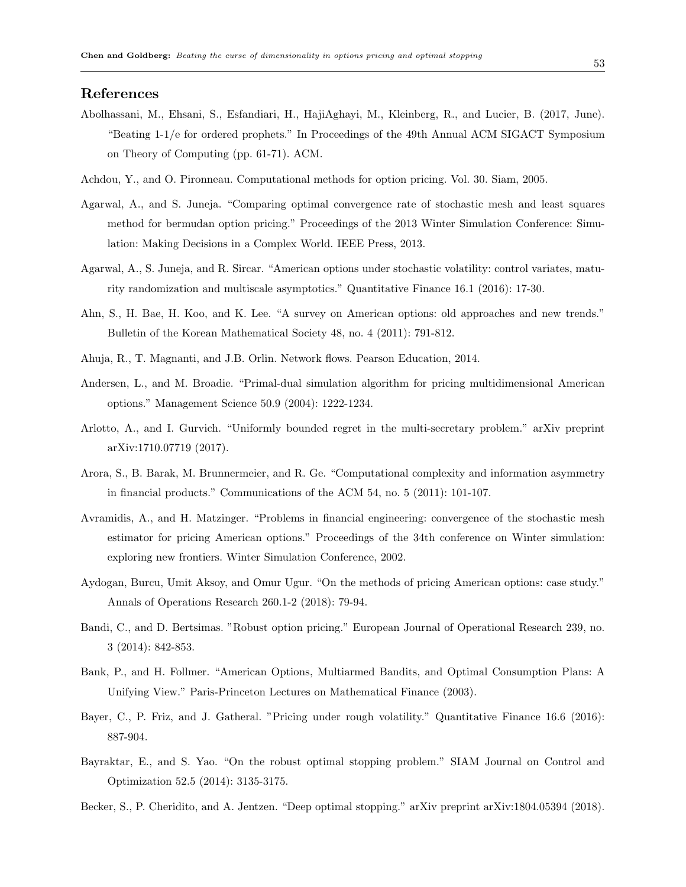# References

- Abolhassani, M., Ehsani, S., Esfandiari, H., HajiAghayi, M., Kleinberg, R., and Lucier, B. (2017, June). "Beating 1-1/e for ordered prophets." In Proceedings of the 49th Annual ACM SIGACT Symposium on Theory of Computing (pp. 61-71). ACM.
- Achdou, Y., and O. Pironneau. Computational methods for option pricing. Vol. 30. Siam, 2005.
- Agarwal, A., and S. Juneja. "Comparing optimal convergence rate of stochastic mesh and least squares method for bermudan option pricing." Proceedings of the 2013 Winter Simulation Conference: Simulation: Making Decisions in a Complex World. IEEE Press, 2013.
- Agarwal, A., S. Juneja, and R. Sircar. "American options under stochastic volatility: control variates, maturity randomization and multiscale asymptotics." Quantitative Finance 16.1 (2016): 17-30.
- Ahn, S., H. Bae, H. Koo, and K. Lee. "A survey on American options: old approaches and new trends." Bulletin of the Korean Mathematical Society 48, no. 4 (2011): 791-812.
- Ahuja, R., T. Magnanti, and J.B. Orlin. Network flows. Pearson Education, 2014.
- Andersen, L., and M. Broadie. "Primal-dual simulation algorithm for pricing multidimensional American options." Management Science 50.9 (2004): 1222-1234.
- Arlotto, A., and I. Gurvich. "Uniformly bounded regret in the multi-secretary problem." arXiv preprint arXiv:1710.07719 (2017).
- Arora, S., B. Barak, M. Brunnermeier, and R. Ge. "Computational complexity and information asymmetry in financial products." Communications of the ACM 54, no. 5 (2011): 101-107.
- Avramidis, A., and H. Matzinger. "Problems in financial engineering: convergence of the stochastic mesh estimator for pricing American options." Proceedings of the 34th conference on Winter simulation: exploring new frontiers. Winter Simulation Conference, 2002.
- Aydogan, Burcu, Umit Aksoy, and Omur Ugur. "On the methods of pricing American options: case study." Annals of Operations Research 260.1-2 (2018): 79-94.
- Bandi, C., and D. Bertsimas. "Robust option pricing." European Journal of Operational Research 239, no. 3 (2014): 842-853.
- Bank, P., and H. Follmer. "American Options, Multiarmed Bandits, and Optimal Consumption Plans: A Unifying View." Paris-Princeton Lectures on Mathematical Finance (2003).
- Bayer, C., P. Friz, and J. Gatheral. "Pricing under rough volatility." Quantitative Finance 16.6 (2016): 887-904.
- Bayraktar, E., and S. Yao. "On the robust optimal stopping problem." SIAM Journal on Control and Optimization 52.5 (2014): 3135-3175.
- Becker, S., P. Cheridito, and A. Jentzen. "Deep optimal stopping." arXiv preprint arXiv:1804.05394 (2018).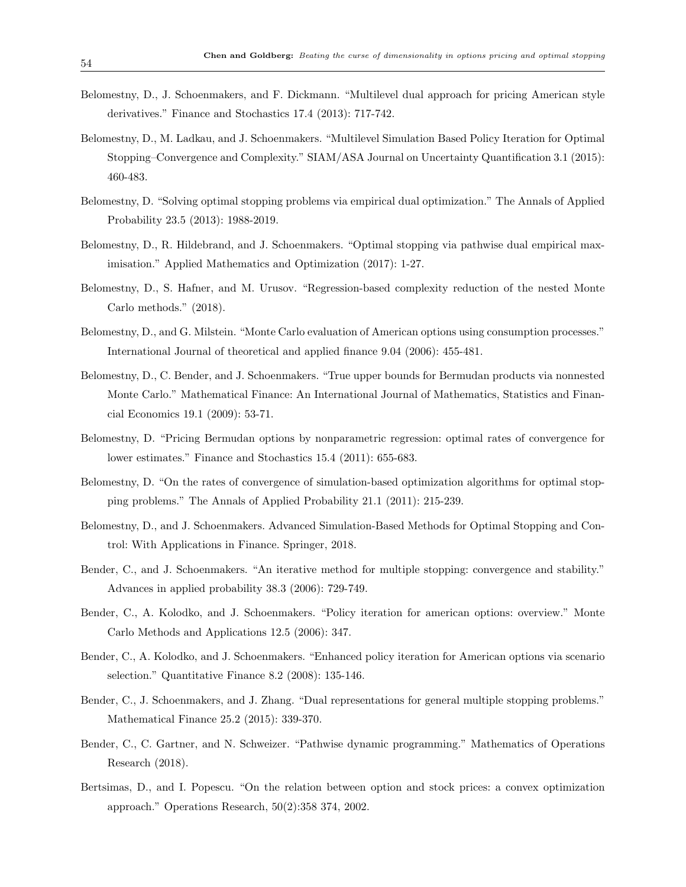- Belomestny, D., J. Schoenmakers, and F. Dickmann. "Multilevel dual approach for pricing American style derivatives." Finance and Stochastics 17.4 (2013): 717-742.
- Belomestny, D., M. Ladkau, and J. Schoenmakers. "Multilevel Simulation Based Policy Iteration for Optimal Stopping–Convergence and Complexity." SIAM/ASA Journal on Uncertainty Quantification 3.1 (2015): 460-483.
- Belomestny, D. "Solving optimal stopping problems via empirical dual optimization." The Annals of Applied Probability 23.5 (2013): 1988-2019.
- Belomestny, D., R. Hildebrand, and J. Schoenmakers. "Optimal stopping via pathwise dual empirical maximisation." Applied Mathematics and Optimization (2017): 1-27.
- Belomestny, D., S. Hafner, and M. Urusov. "Regression-based complexity reduction of the nested Monte Carlo methods." (2018).
- Belomestny, D., and G. Milstein. "Monte Carlo evaluation of American options using consumption processes." International Journal of theoretical and applied finance 9.04 (2006): 455-481.
- Belomestny, D., C. Bender, and J. Schoenmakers. "True upper bounds for Bermudan products via nonnested Monte Carlo." Mathematical Finance: An International Journal of Mathematics, Statistics and Financial Economics 19.1 (2009): 53-71.
- Belomestny, D. "Pricing Bermudan options by nonparametric regression: optimal rates of convergence for lower estimates." Finance and Stochastics 15.4 (2011): 655-683.
- Belomestny, D. "On the rates of convergence of simulation-based optimization algorithms for optimal stopping problems." The Annals of Applied Probability 21.1 (2011): 215-239.
- Belomestny, D., and J. Schoenmakers. Advanced Simulation-Based Methods for Optimal Stopping and Control: With Applications in Finance. Springer, 2018.
- Bender, C., and J. Schoenmakers. "An iterative method for multiple stopping: convergence and stability." Advances in applied probability 38.3 (2006): 729-749.
- Bender, C., A. Kolodko, and J. Schoenmakers. "Policy iteration for american options: overview." Monte Carlo Methods and Applications 12.5 (2006): 347.
- Bender, C., A. Kolodko, and J. Schoenmakers. "Enhanced policy iteration for American options via scenario selection." Quantitative Finance 8.2 (2008): 135-146.
- Bender, C., J. Schoenmakers, and J. Zhang. "Dual representations for general multiple stopping problems." Mathematical Finance 25.2 (2015): 339-370.
- Bender, C., C. Gartner, and N. Schweizer. "Pathwise dynamic programming." Mathematics of Operations Research (2018).
- Bertsimas, D., and I. Popescu. "On the relation between option and stock prices: a convex optimization approach." Operations Research, 50(2):358 374, 2002.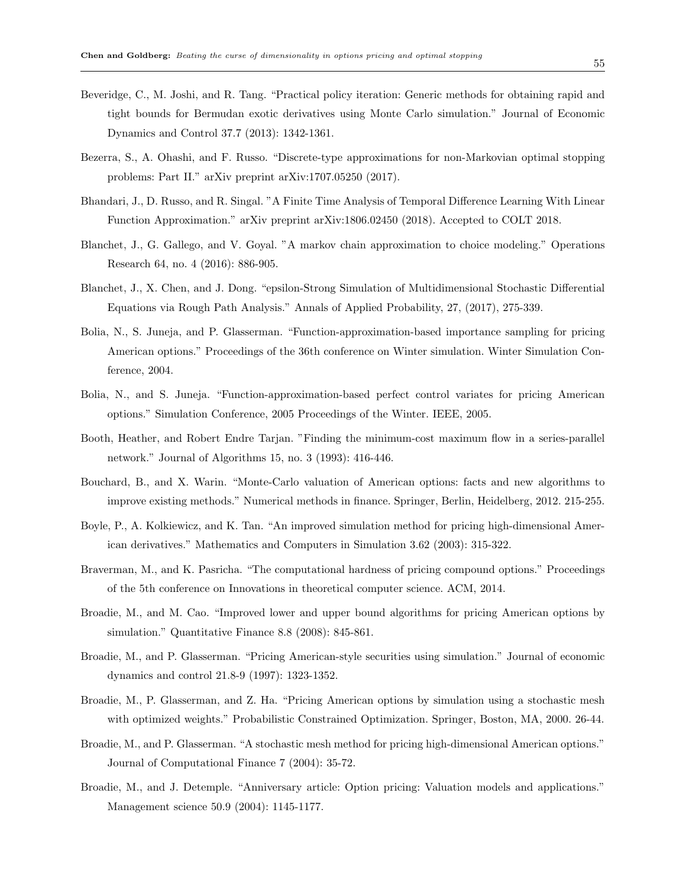- Beveridge, C., M. Joshi, and R. Tang. "Practical policy iteration: Generic methods for obtaining rapid and tight bounds for Bermudan exotic derivatives using Monte Carlo simulation." Journal of Economic Dynamics and Control 37.7 (2013): 1342-1361.
- Bezerra, S., A. Ohashi, and F. Russo. "Discrete-type approximations for non-Markovian optimal stopping problems: Part II." arXiv preprint arXiv:1707.05250 (2017).
- Bhandari, J., D. Russo, and R. Singal. "A Finite Time Analysis of Temporal Difference Learning With Linear Function Approximation." arXiv preprint arXiv:1806.02450 (2018). Accepted to COLT 2018.
- Blanchet, J., G. Gallego, and V. Goyal. "A markov chain approximation to choice modeling." Operations Research 64, no. 4 (2016): 886-905.
- Blanchet, J., X. Chen, and J. Dong. "epsilon-Strong Simulation of Multidimensional Stochastic Differential Equations via Rough Path Analysis." Annals of Applied Probability, 27, (2017), 275-339.
- Bolia, N., S. Juneja, and P. Glasserman. "Function-approximation-based importance sampling for pricing American options." Proceedings of the 36th conference on Winter simulation. Winter Simulation Conference, 2004.
- Bolia, N., and S. Juneja. "Function-approximation-based perfect control variates for pricing American options." Simulation Conference, 2005 Proceedings of the Winter. IEEE, 2005.
- Booth, Heather, and Robert Endre Tarjan. "Finding the minimum-cost maximum flow in a series-parallel network." Journal of Algorithms 15, no. 3 (1993): 416-446.
- Bouchard, B., and X. Warin. "Monte-Carlo valuation of American options: facts and new algorithms to improve existing methods." Numerical methods in finance. Springer, Berlin, Heidelberg, 2012. 215-255.
- Boyle, P., A. Kolkiewicz, and K. Tan. "An improved simulation method for pricing high-dimensional American derivatives." Mathematics and Computers in Simulation 3.62 (2003): 315-322.
- Braverman, M., and K. Pasricha. "The computational hardness of pricing compound options." Proceedings of the 5th conference on Innovations in theoretical computer science. ACM, 2014.
- Broadie, M., and M. Cao. "Improved lower and upper bound algorithms for pricing American options by simulation." Quantitative Finance 8.8 (2008): 845-861.
- Broadie, M., and P. Glasserman. "Pricing American-style securities using simulation." Journal of economic dynamics and control 21.8-9 (1997): 1323-1352.
- Broadie, M., P. Glasserman, and Z. Ha. "Pricing American options by simulation using a stochastic mesh with optimized weights." Probabilistic Constrained Optimization. Springer, Boston, MA, 2000. 26-44.
- Broadie, M., and P. Glasserman. "A stochastic mesh method for pricing high-dimensional American options." Journal of Computational Finance 7 (2004): 35-72.
- Broadie, M., and J. Detemple. "Anniversary article: Option pricing: Valuation models and applications." Management science 50.9 (2004): 1145-1177.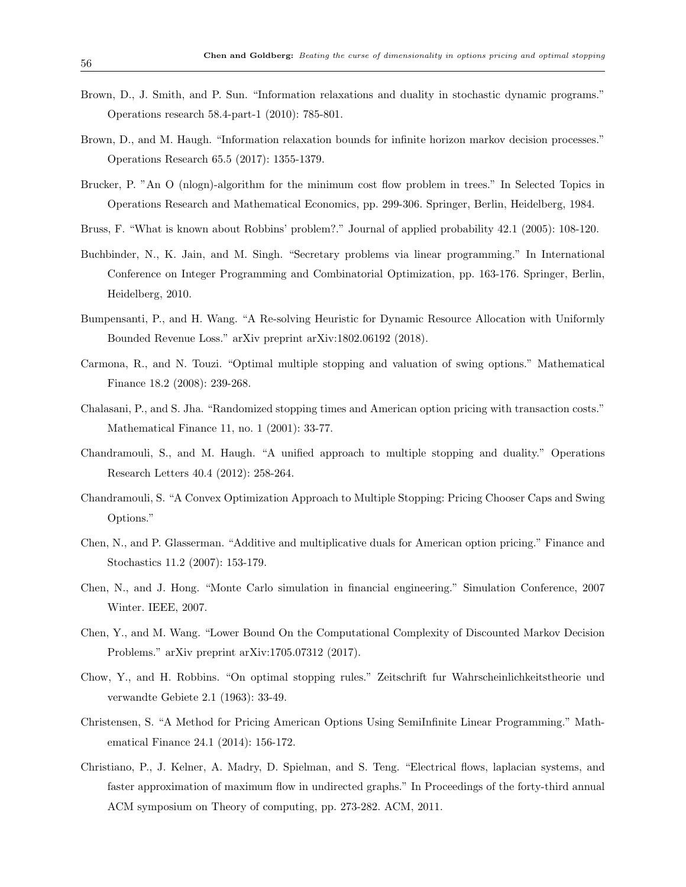- Brown, D., J. Smith, and P. Sun. "Information relaxations and duality in stochastic dynamic programs." Operations research 58.4-part-1 (2010): 785-801.
- Brown, D., and M. Haugh. "Information relaxation bounds for infinite horizon markov decision processes." Operations Research 65.5 (2017): 1355-1379.
- Brucker, P. "An O (nlogn)-algorithm for the minimum cost flow problem in trees." In Selected Topics in Operations Research and Mathematical Economics, pp. 299-306. Springer, Berlin, Heidelberg, 1984.
- Bruss, F. "What is known about Robbins' problem?." Journal of applied probability 42.1 (2005): 108-120.
- Buchbinder, N., K. Jain, and M. Singh. "Secretary problems via linear programming." In International Conference on Integer Programming and Combinatorial Optimization, pp. 163-176. Springer, Berlin, Heidelberg, 2010.
- Bumpensanti, P., and H. Wang. "A Re-solving Heuristic for Dynamic Resource Allocation with Uniformly Bounded Revenue Loss." arXiv preprint arXiv:1802.06192 (2018).
- Carmona, R., and N. Touzi. "Optimal multiple stopping and valuation of swing options." Mathematical Finance 18.2 (2008): 239-268.
- Chalasani, P., and S. Jha. "Randomized stopping times and American option pricing with transaction costs." Mathematical Finance 11, no. 1 (2001): 33-77.
- Chandramouli, S., and M. Haugh. "A unified approach to multiple stopping and duality." Operations Research Letters 40.4 (2012): 258-264.
- Chandramouli, S. "A Convex Optimization Approach to Multiple Stopping: Pricing Chooser Caps and Swing Options."
- Chen, N., and P. Glasserman. "Additive and multiplicative duals for American option pricing." Finance and Stochastics 11.2 (2007): 153-179.
- Chen, N., and J. Hong. "Monte Carlo simulation in financial engineering." Simulation Conference, 2007 Winter. IEEE, 2007.
- Chen, Y., and M. Wang. "Lower Bound On the Computational Complexity of Discounted Markov Decision Problems." arXiv preprint arXiv:1705.07312 (2017).
- Chow, Y., and H. Robbins. "On optimal stopping rules." Zeitschrift fur Wahrscheinlichkeitstheorie und verwandte Gebiete 2.1 (1963): 33-49.
- Christensen, S. "A Method for Pricing American Options Using SemiInfinite Linear Programming." Mathematical Finance 24.1 (2014): 156-172.
- Christiano, P., J. Kelner, A. Madry, D. Spielman, and S. Teng. "Electrical flows, laplacian systems, and faster approximation of maximum flow in undirected graphs." In Proceedings of the forty-third annual ACM symposium on Theory of computing, pp. 273-282. ACM, 2011.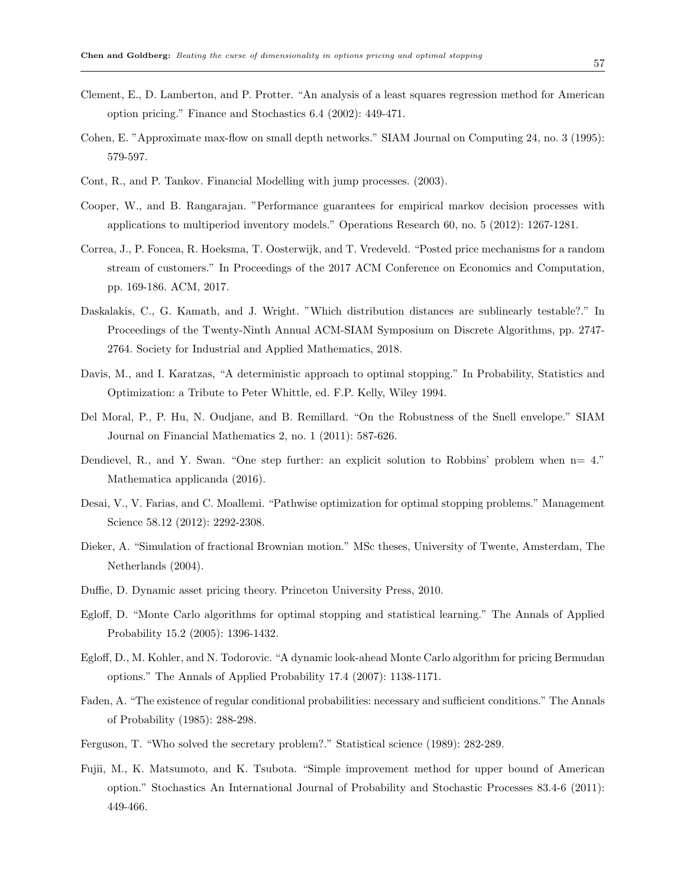- Clement, E., D. Lamberton, and P. Protter. "An analysis of a least squares regression method for American option pricing." Finance and Stochastics 6.4 (2002): 449-471.
- Cohen, E. "Approximate max-flow on small depth networks." SIAM Journal on Computing 24, no. 3 (1995): 579-597.
- Cont, R., and P. Tankov. Financial Modelling with jump processes. (2003).
- Cooper, W., and B. Rangarajan. "Performance guarantees for empirical markov decision processes with applications to multiperiod inventory models." Operations Research 60, no. 5 (2012): 1267-1281.
- Correa, J., P. Foncea, R. Hoeksma, T. Oosterwijk, and T. Vredeveld. "Posted price mechanisms for a random stream of customers." In Proceedings of the 2017 ACM Conference on Economics and Computation, pp. 169-186. ACM, 2017.
- Daskalakis, C., G. Kamath, and J. Wright. "Which distribution distances are sublinearly testable?." In Proceedings of the Twenty-Ninth Annual ACM-SIAM Symposium on Discrete Algorithms, pp. 2747- 2764. Society for Industrial and Applied Mathematics, 2018.
- Davis, M., and I. Karatzas, "A deterministic approach to optimal stopping." In Probability, Statistics and Optimization: a Tribute to Peter Whittle, ed. F.P. Kelly, Wiley 1994.
- Del Moral, P., P. Hu, N. Oudjane, and B. Remillard. "On the Robustness of the Snell envelope." SIAM Journal on Financial Mathematics 2, no. 1 (2011): 587-626.
- Dendievel, R., and Y. Swan. "One step further: an explicit solution to Robbins' problem when n= 4." Mathematica applicanda (2016).
- Desai, V., V. Farias, and C. Moallemi. "Pathwise optimization for optimal stopping problems." Management Science 58.12 (2012): 2292-2308.
- Dieker, A. "Simulation of fractional Brownian motion." MSc theses, University of Twente, Amsterdam, The Netherlands (2004).
- Duffie, D. Dynamic asset pricing theory. Princeton University Press, 2010.
- Egloff, D. "Monte Carlo algorithms for optimal stopping and statistical learning." The Annals of Applied Probability 15.2 (2005): 1396-1432.
- Egloff, D., M. Kohler, and N. Todorovic. "A dynamic look-ahead Monte Carlo algorithm for pricing Bermudan options." The Annals of Applied Probability 17.4 (2007): 1138-1171.
- Faden, A. "The existence of regular conditional probabilities: necessary and sufficient conditions." The Annals of Probability (1985): 288-298.
- Ferguson, T. "Who solved the secretary problem?." Statistical science (1989): 282-289.
- Fujii, M., K. Matsumoto, and K. Tsubota. "Simple improvement method for upper bound of American option." Stochastics An International Journal of Probability and Stochastic Processes 83.4-6 (2011): 449-466.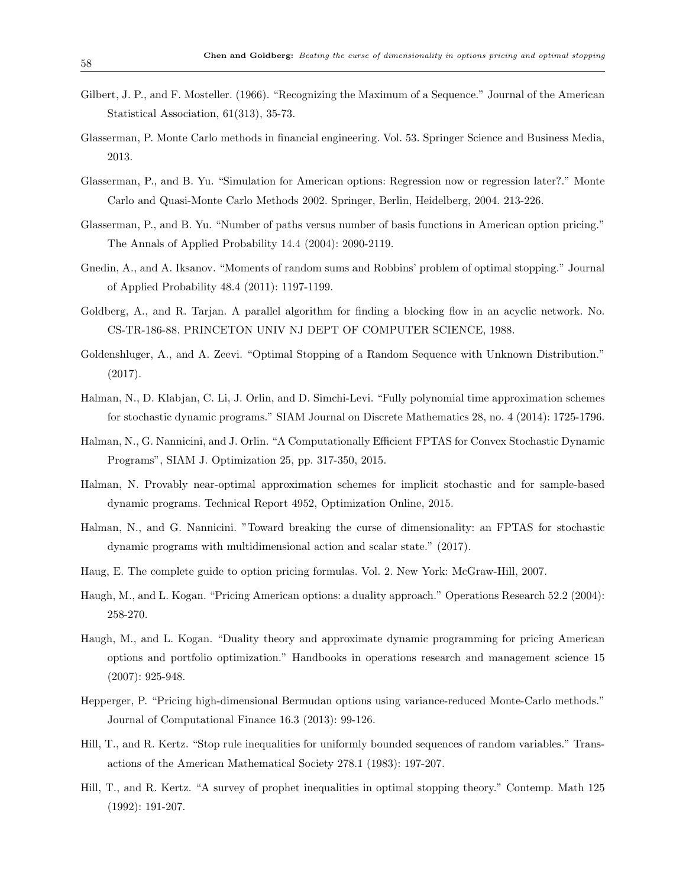- Gilbert, J. P., and F. Mosteller. (1966). "Recognizing the Maximum of a Sequence." Journal of the American Statistical Association, 61(313), 35-73.
- Glasserman, P. Monte Carlo methods in financial engineering. Vol. 53. Springer Science and Business Media, 2013.
- Glasserman, P., and B. Yu. "Simulation for American options: Regression now or regression later?." Monte Carlo and Quasi-Monte Carlo Methods 2002. Springer, Berlin, Heidelberg, 2004. 213-226.
- Glasserman, P., and B. Yu. "Number of paths versus number of basis functions in American option pricing." The Annals of Applied Probability 14.4 (2004): 2090-2119.
- Gnedin, A., and A. Iksanov. "Moments of random sums and Robbins' problem of optimal stopping." Journal of Applied Probability 48.4 (2011): 1197-1199.
- Goldberg, A., and R. Tarjan. A parallel algorithm for finding a blocking flow in an acyclic network. No. CS-TR-186-88. PRINCETON UNIV NJ DEPT OF COMPUTER SCIENCE, 1988.
- Goldenshluger, A., and A. Zeevi. "Optimal Stopping of a Random Sequence with Unknown Distribution." (2017).
- Halman, N., D. Klabjan, C. Li, J. Orlin, and D. Simchi-Levi. "Fully polynomial time approximation schemes for stochastic dynamic programs." SIAM Journal on Discrete Mathematics 28, no. 4 (2014): 1725-1796.
- Halman, N., G. Nannicini, and J. Orlin. "A Computationally Efficient FPTAS for Convex Stochastic Dynamic Programs", SIAM J. Optimization 25, pp. 317-350, 2015.
- Halman, N. Provably near-optimal approximation schemes for implicit stochastic and for sample-based dynamic programs. Technical Report 4952, Optimization Online, 2015.
- Halman, N., and G. Nannicini. "Toward breaking the curse of dimensionality: an FPTAS for stochastic dynamic programs with multidimensional action and scalar state." (2017).
- Haug, E. The complete guide to option pricing formulas. Vol. 2. New York: McGraw-Hill, 2007.
- Haugh, M., and L. Kogan. "Pricing American options: a duality approach." Operations Research 52.2 (2004): 258-270.
- Haugh, M., and L. Kogan. "Duality theory and approximate dynamic programming for pricing American options and portfolio optimization." Handbooks in operations research and management science 15 (2007): 925-948.
- Hepperger, P. "Pricing high-dimensional Bermudan options using variance-reduced Monte-Carlo methods." Journal of Computational Finance 16.3 (2013): 99-126.
- Hill, T., and R. Kertz. "Stop rule inequalities for uniformly bounded sequences of random variables." Transactions of the American Mathematical Society 278.1 (1983): 197-207.
- Hill, T., and R. Kertz. "A survey of prophet inequalities in optimal stopping theory." Contemp. Math 125 (1992): 191-207.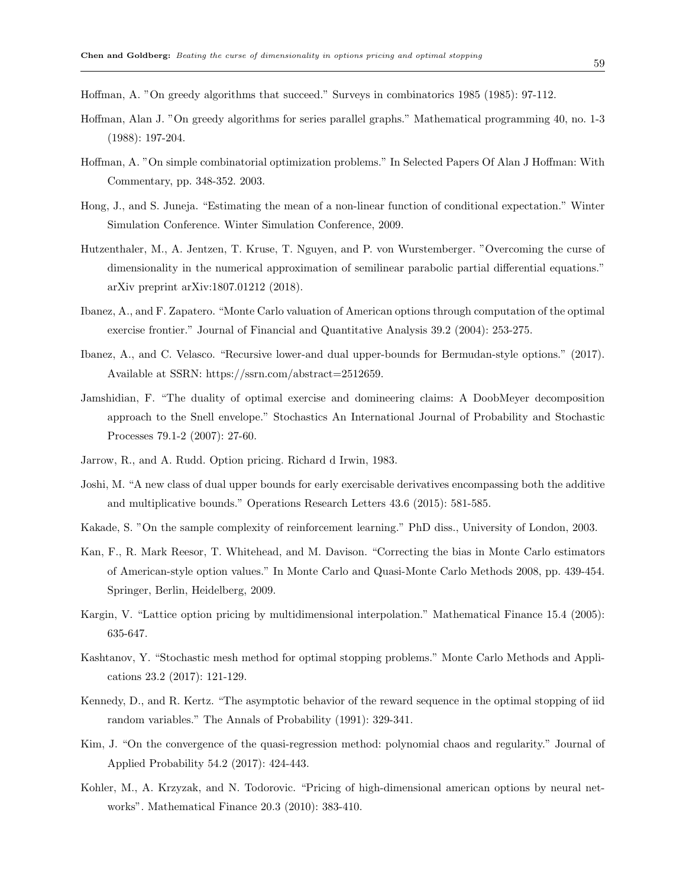Hoffman, A. "On greedy algorithms that succeed." Surveys in combinatorics 1985 (1985): 97-112.

- Hoffman, Alan J. "On greedy algorithms for series parallel graphs." Mathematical programming 40, no. 1-3 (1988): 197-204.
- Hoffman, A. "On simple combinatorial optimization problems." In Selected Papers Of Alan J Hoffman: With Commentary, pp. 348-352. 2003.
- Hong, J., and S. Juneja. "Estimating the mean of a non-linear function of conditional expectation." Winter Simulation Conference. Winter Simulation Conference, 2009.
- Hutzenthaler, M., A. Jentzen, T. Kruse, T. Nguyen, and P. von Wurstemberger. "Overcoming the curse of dimensionality in the numerical approximation of semilinear parabolic partial differential equations." arXiv preprint arXiv:1807.01212 (2018).
- Ibanez, A., and F. Zapatero. "Monte Carlo valuation of American options through computation of the optimal exercise frontier." Journal of Financial and Quantitative Analysis 39.2 (2004): 253-275.
- Ibanez, A., and C. Velasco. "Recursive lower-and dual upper-bounds for Bermudan-style options." (2017). Available at SSRN: https://ssrn.com/abstract=2512659.
- Jamshidian, F. "The duality of optimal exercise and domineering claims: A DoobMeyer decomposition approach to the Snell envelope." Stochastics An International Journal of Probability and Stochastic Processes 79.1-2 (2007): 27-60.
- Jarrow, R., and A. Rudd. Option pricing. Richard d Irwin, 1983.
- Joshi, M. "A new class of dual upper bounds for early exercisable derivatives encompassing both the additive and multiplicative bounds." Operations Research Letters 43.6 (2015): 581-585.
- Kakade, S. "On the sample complexity of reinforcement learning." PhD diss., University of London, 2003.
- Kan, F., R. Mark Reesor, T. Whitehead, and M. Davison. "Correcting the bias in Monte Carlo estimators of American-style option values." In Monte Carlo and Quasi-Monte Carlo Methods 2008, pp. 439-454. Springer, Berlin, Heidelberg, 2009.
- Kargin, V. "Lattice option pricing by multidimensional interpolation." Mathematical Finance 15.4 (2005): 635-647.
- Kashtanov, Y. "Stochastic mesh method for optimal stopping problems." Monte Carlo Methods and Applications 23.2 (2017): 121-129.
- Kennedy, D., and R. Kertz. "The asymptotic behavior of the reward sequence in the optimal stopping of iid random variables." The Annals of Probability (1991): 329-341.
- Kim, J. "On the convergence of the quasi-regression method: polynomial chaos and regularity." Journal of Applied Probability 54.2 (2017): 424-443.
- Kohler, M., A. Krzyzak, and N. Todorovic. "Pricing of high-dimensional american options by neural networks". Mathematical Finance 20.3 (2010): 383-410.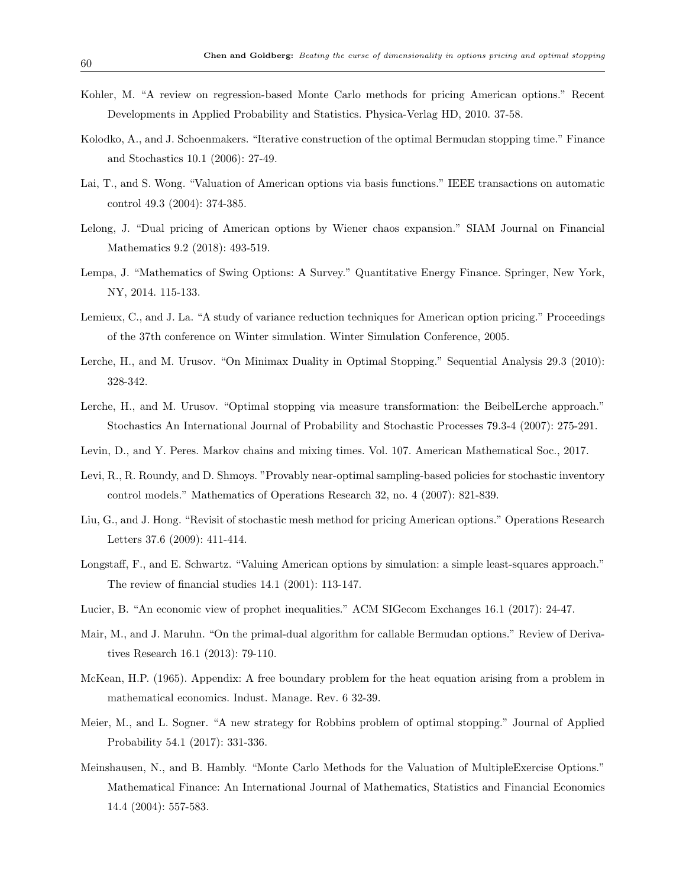- Kohler, M. "A review on regression-based Monte Carlo methods for pricing American options." Recent Developments in Applied Probability and Statistics. Physica-Verlag HD, 2010. 37-58.
- Kolodko, A., and J. Schoenmakers. "Iterative construction of the optimal Bermudan stopping time." Finance and Stochastics 10.1 (2006): 27-49.
- Lai, T., and S. Wong. "Valuation of American options via basis functions." IEEE transactions on automatic control 49.3 (2004): 374-385.
- Lelong, J. "Dual pricing of American options by Wiener chaos expansion." SIAM Journal on Financial Mathematics 9.2 (2018): 493-519.
- Lempa, J. "Mathematics of Swing Options: A Survey." Quantitative Energy Finance. Springer, New York, NY, 2014. 115-133.
- Lemieux, C., and J. La. "A study of variance reduction techniques for American option pricing." Proceedings of the 37th conference on Winter simulation. Winter Simulation Conference, 2005.
- Lerche, H., and M. Urusov. "On Minimax Duality in Optimal Stopping." Sequential Analysis 29.3 (2010): 328-342.
- Lerche, H., and M. Urusov. "Optimal stopping via measure transformation: the BeibelLerche approach." Stochastics An International Journal of Probability and Stochastic Processes 79.3-4 (2007): 275-291.
- Levin, D., and Y. Peres. Markov chains and mixing times. Vol. 107. American Mathematical Soc., 2017.
- Levi, R., R. Roundy, and D. Shmoys. "Provably near-optimal sampling-based policies for stochastic inventory control models." Mathematics of Operations Research 32, no. 4 (2007): 821-839.
- Liu, G., and J. Hong. "Revisit of stochastic mesh method for pricing American options." Operations Research Letters 37.6 (2009): 411-414.
- Longstaff, F., and E. Schwartz. "Valuing American options by simulation: a simple least-squares approach." The review of financial studies 14.1 (2001): 113-147.
- Lucier, B. "An economic view of prophet inequalities." ACM SIGecom Exchanges 16.1 (2017): 24-47.
- Mair, M., and J. Maruhn. "On the primal-dual algorithm for callable Bermudan options." Review of Derivatives Research 16.1 (2013): 79-110.
- McKean, H.P. (1965). Appendix: A free boundary problem for the heat equation arising from a problem in mathematical economics. Indust. Manage. Rev. 6 32-39.
- Meier, M., and L. Sogner. "A new strategy for Robbins problem of optimal stopping." Journal of Applied Probability 54.1 (2017): 331-336.
- Meinshausen, N., and B. Hambly. "Monte Carlo Methods for the Valuation of MultipleExercise Options." Mathematical Finance: An International Journal of Mathematics, Statistics and Financial Economics 14.4 (2004): 557-583.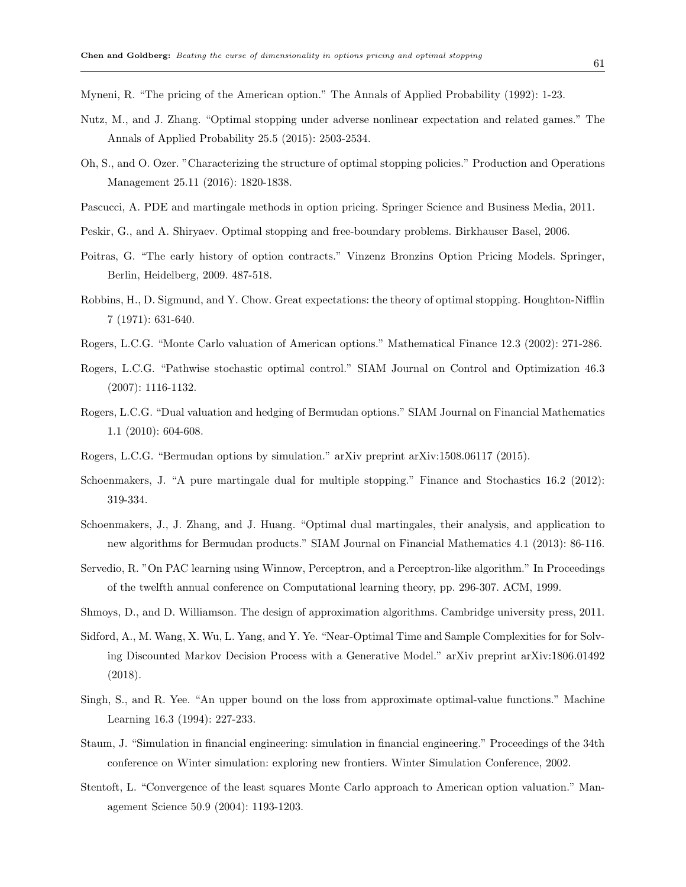Myneni, R. "The pricing of the American option." The Annals of Applied Probability (1992): 1-23.

- Nutz, M., and J. Zhang. "Optimal stopping under adverse nonlinear expectation and related games." The Annals of Applied Probability 25.5 (2015): 2503-2534.
- Oh, S., and O. Ozer. "Characterizing the structure of optimal stopping policies." Production and Operations Management 25.11 (2016): 1820-1838.
- Pascucci, A. PDE and martingale methods in option pricing. Springer Science and Business Media, 2011.
- Peskir, G., and A. Shiryaev. Optimal stopping and free-boundary problems. Birkhauser Basel, 2006.
- Poitras, G. "The early history of option contracts." Vinzenz Bronzins Option Pricing Models. Springer, Berlin, Heidelberg, 2009. 487-518.
- Robbins, H., D. Sigmund, and Y. Chow. Great expectations: the theory of optimal stopping. Houghton-Nifflin 7 (1971): 631-640.
- Rogers, L.C.G. "Monte Carlo valuation of American options." Mathematical Finance 12.3 (2002): 271-286.
- Rogers, L.C.G. "Pathwise stochastic optimal control." SIAM Journal on Control and Optimization 46.3 (2007): 1116-1132.
- Rogers, L.C.G. "Dual valuation and hedging of Bermudan options." SIAM Journal on Financial Mathematics 1.1 (2010): 604-608.
- Rogers, L.C.G. "Bermudan options by simulation." arXiv preprint arXiv:1508.06117 (2015).
- Schoenmakers, J. "A pure martingale dual for multiple stopping." Finance and Stochastics 16.2 (2012): 319-334.
- Schoenmakers, J., J. Zhang, and J. Huang. "Optimal dual martingales, their analysis, and application to new algorithms for Bermudan products." SIAM Journal on Financial Mathematics 4.1 (2013): 86-116.
- Servedio, R. "On PAC learning using Winnow, Perceptron, and a Perceptron-like algorithm." In Proceedings of the twelfth annual conference on Computational learning theory, pp. 296-307. ACM, 1999.
- Shmoys, D., and D. Williamson. The design of approximation algorithms. Cambridge university press, 2011.
- Sidford, A., M. Wang, X. Wu, L. Yang, and Y. Ye. "Near-Optimal Time and Sample Complexities for for Solving Discounted Markov Decision Process with a Generative Model." arXiv preprint arXiv:1806.01492 (2018).
- Singh, S., and R. Yee. "An upper bound on the loss from approximate optimal-value functions." Machine Learning 16.3 (1994): 227-233.
- Staum, J. "Simulation in financial engineering: simulation in financial engineering." Proceedings of the 34th conference on Winter simulation: exploring new frontiers. Winter Simulation Conference, 2002.
- Stentoft, L. "Convergence of the least squares Monte Carlo approach to American option valuation." Management Science 50.9 (2004): 1193-1203.